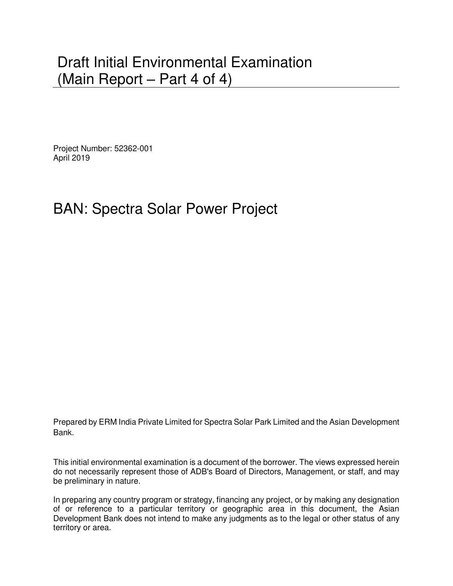# Draft Initial Environmental Examination (Main Report – Part 4 of 4)

Project Number: 52362-001 April 2019

# BAN: Spectra Solar Power Project

Prepared by ERM India Private Limited for Spectra Solar Park Limited and the Asian Development Bank.

This initial environmental examination is a document of the borrower. The views expressed herein do not necessarily represent those of ADB's Board of Directors, Management, or staff, and may be preliminary in nature.

In preparing any country program or strategy, financing any project, or by making any designation of or reference to a particular territory or geographic area in this document, the Asian Development Bank does not intend to make any judgments as to the legal or other status of any territory or area.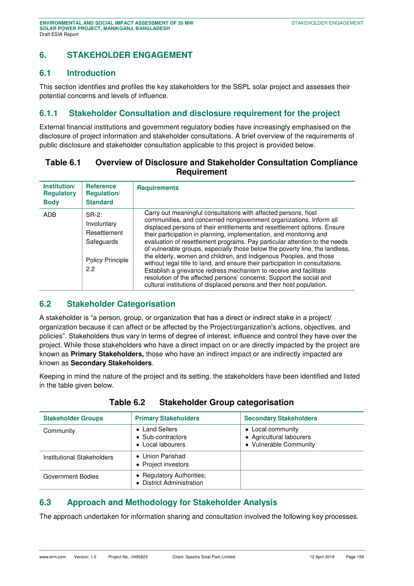# **6. STAKEHOLDER ENGAGEMENT**

## **6.1 Introduction**

This section identifies and profiles the key stakeholders for the SSPL solar project and assesses their potential concerns and levels of influence.

# **6.1.1 Stakeholder Consultation and disclosure requirement for the project**

External financial institutions and government regulatory bodies have increasingly emphasised on the disclosure of project information and stakeholder consultations. A brief overview of the requirements of public disclosure and stakeholder consultation applicable to this project is provided below.

## **Table 6.1 Overview of Disclosure and Stakeholder Consultation Compliance Requirement**

| Institution/<br><b>Regulatory</b><br><b>Body</b> | <b>Reference</b><br><b>Regulation/</b><br><b>Standard</b>                               | <b>Requirements</b>                                                                                                                                                                                                                                                                                                                                                                                                                                                                                                                                                                                                                                                                                                                                                                                                                |
|--------------------------------------------------|-----------------------------------------------------------------------------------------|------------------------------------------------------------------------------------------------------------------------------------------------------------------------------------------------------------------------------------------------------------------------------------------------------------------------------------------------------------------------------------------------------------------------------------------------------------------------------------------------------------------------------------------------------------------------------------------------------------------------------------------------------------------------------------------------------------------------------------------------------------------------------------------------------------------------------------|
| <b>ADB</b>                                       | $SR-2$ :<br>Involuntary<br>Resettlement<br>Safeguards<br><b>Policy Principle</b><br>2.2 | Carry out meaningful consultations with affected persons, host<br>communities, and concerned nongovernment organizations. Inform all<br>displaced persons of their entitlements and resettlement options. Ensure<br>their participation in planning, implementation, and monitoring and<br>evaluation of resettlement programs. Pay particular attention to the needs<br>of vulnerable groups, especially those below the poverty line, the landless,<br>the elderly, women and children, and Indigenous Peoples, and those<br>without legal title to land, and ensure their participation in consultations.<br>Establish a grievance redress mechanism to receive and facilitate<br>resolution of the affected persons' concerns. Support the social and<br>cultural institutions of displaced persons and their host population. |

## **6.2 Stakeholder Categorisation**

A stakeholder is "a person, group, or organization that has a direct or indirect stake in a project/ organization because it can affect or be affected by the Project/organization's actions, objectives, and policies". Stakeholders thus vary in terms of degree of interest, influence and control they have over the project. While those stakeholders who have a direct impact on or are directly impacted by the project are known as **Primary Stakeholders,** those who have an indirect impact or are indirectly impacted are known as **Secondary Stakeholders**.

Keeping in mind the nature of the project and its setting, the stakeholders have been identified and listed in the table given below.

| <b>Stakeholder Groups</b>  | <b>Primary Stakeholders</b>                              | <b>Secondary Stakeholders</b>                                           |
|----------------------------|----------------------------------------------------------|-------------------------------------------------------------------------|
| Community                  | • Land Sellers<br>• Sub-contractors<br>• Local labourers | • Local community<br>• Agricultural labourers<br>• Vulnerable Community |
| Institutional Stakeholders | • Union Parishad<br>• Project investors                  |                                                                         |
| Government Bodies          | • Regulatory Authorities;<br>• District Administration   |                                                                         |

#### **Table 6.2 Stakeholder Group categorisation**

# **6.3 Approach and Methodology for Stakeholder Analysis**

The approach undertaken for information sharing and consultation involved the following key processes.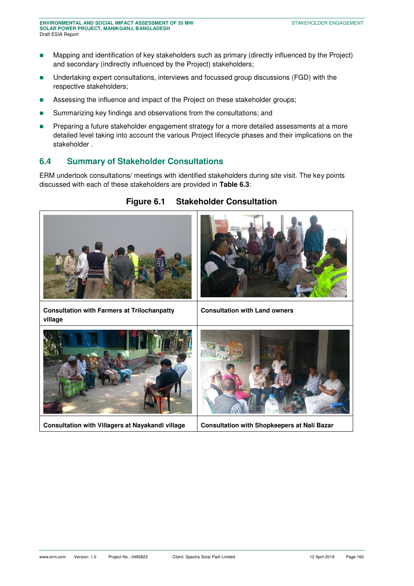- **Mapping and identification of key stakeholders such as primary (directly influenced by the Project)** and secondary (indirectly influenced by the Project) stakeholders;
- Undertaking expert consultations, interviews and focussed group discussions (FGD) with the respective stakeholders;
- **EXECT:** Assessing the influence and impact of the Project on these stakeholder groups;
- **EXECUTE:** Summarizing key findings and observations from the consultations; and
- **Preparing a future stakeholder engagement strategy for a more detailed assessments at a more** detailed level taking into account the various Project lifecycle phases and their implications on the stakeholder .

# **6.4 Summary of Stakeholder Consultations**

ERM undertook consultations/ meetings with identified stakeholders during site visit. The key points discussed with each of these stakeholders are provided in **[Table 6.3](#page-3-0)**:



#### **Figure 6.1 Stakeholder Consultation**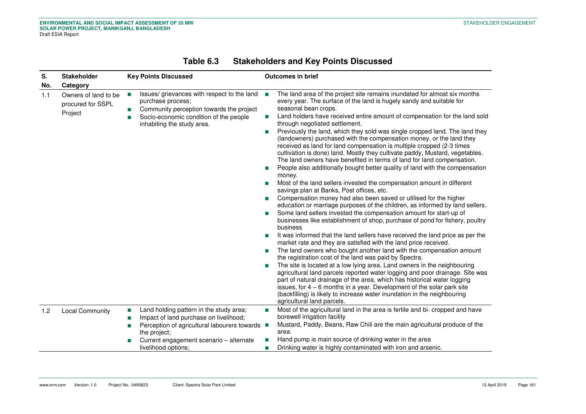<span id="page-3-0"></span>

| S.<br>No. | <b>Stakeholder</b><br>Category                       | <b>Key Points Discussed</b>                                                                                                                                                                                                                                     | <b>Outcomes in brief</b>                                                                                                                                                                                                                                                                                                                                                                                                                                                                                                                                                                                                                                                                                                                                                                                                                                                                                                                                                                                                                                                                                                                                                                                                                                                                                                                                                                                                                                                                                                                                                                                                                                                                                                                                                                                                                                                                                                                                                                 |
|-----------|------------------------------------------------------|-----------------------------------------------------------------------------------------------------------------------------------------------------------------------------------------------------------------------------------------------------------------|------------------------------------------------------------------------------------------------------------------------------------------------------------------------------------------------------------------------------------------------------------------------------------------------------------------------------------------------------------------------------------------------------------------------------------------------------------------------------------------------------------------------------------------------------------------------------------------------------------------------------------------------------------------------------------------------------------------------------------------------------------------------------------------------------------------------------------------------------------------------------------------------------------------------------------------------------------------------------------------------------------------------------------------------------------------------------------------------------------------------------------------------------------------------------------------------------------------------------------------------------------------------------------------------------------------------------------------------------------------------------------------------------------------------------------------------------------------------------------------------------------------------------------------------------------------------------------------------------------------------------------------------------------------------------------------------------------------------------------------------------------------------------------------------------------------------------------------------------------------------------------------------------------------------------------------------------------------------------------------|
| 1.1       | Owners of land to be<br>procured for SSPL<br>Project | Issues/ grievances with respect to the land<br><b>Tale</b><br>purchase process;<br>Community perception towards the project<br>ш<br>Socio-economic condition of the people<br>inhabiting the study area.                                                        | The land area of the project site remains inundated for almost six months<br>every year. The surface of the land is hugely sandy and suitable for<br>seasonal bean crops.<br>Land holders have received entire amount of compensation for the land sold<br><b>Tale</b><br>through negotiated settlement.<br>Previously the land, which they sold was single cropped land. The land they<br><b>The State</b><br>(landowners) purchased with the compensation money, or the land they<br>received as land for land compensation is multiple cropped (2-3 times<br>cultivation is done) land. Mostly they cultivate paddy, Mustard, vegetables.<br>The land owners have benefited in terms of land for land compensation.<br>People also additionally bought better quality of land with the compensation<br>money.<br>Most of the land sellers invested the compensation amount in different<br>savings plan at Banks, Post offices, etc.<br>Compensation money had also been saved or utilised for the higher<br>education or marriage purposes of the children, as informed by land sellers.<br>Some land sellers invested the compensation amount for start-up of<br>businesses like establishment of shop, purchase of pond for fishery, poultry<br>business<br>It was informed that the land sellers have received the land price as per the<br>П<br>market rate and they are satisfied with the land price received.<br>The land owners who bought another land with the compensation amount<br>the registration cost of the land was paid by Spectra.<br>The site is located at a low lying area. Land owners in the neighbouring<br>agricultural land parcels reported water logging and poor drainage. Site was<br>part of natural drainage of the area, which has historical water logging<br>issues, for $4 - 6$ months in a year. Development of the solar park site<br>(backfilling) is likely to increase water inundation in the neighbouring<br>agricultural land parcels. |
| 1.2       | <b>Local Community</b>                               | Land holding pattern in the study area;<br>$\mathcal{L}_{\mathcal{A}}$<br>Impact of land purchase on livelihood;<br>П<br>Perception of agricultural labourers towards ■<br>m.<br>the project;<br>Current engagement scenario - alternate<br>livelihood options; | Most of the agricultural land in the area is fertile and bi- cropped and have<br>П<br>borewell irrigation facility<br>Mustard, Paddy, Beans, Raw Chili are the main agricultural produce of the<br>area.<br>Hand pump is main source of drinking water in the area<br>Drinking water is highly contaminated with iron and arsenic.                                                                                                                                                                                                                                                                                                                                                                                                                                                                                                                                                                                                                                                                                                                                                                                                                                                                                                                                                                                                                                                                                                                                                                                                                                                                                                                                                                                                                                                                                                                                                                                                                                                       |

# **Table 6.3 Stakeholders and Key Points Discussed**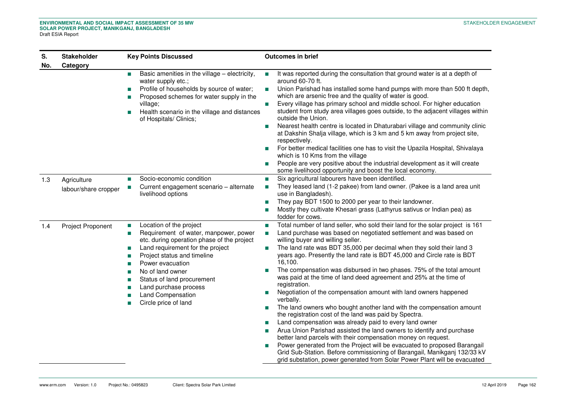| S.<br>No. | <b>Stakeholder</b><br>Category      | <b>Key Points Discussed</b>                                                                                                                                                                                                                                                                                                                                           | <b>Outcomes in brief</b>                                                                                                                                                                                                                                                                                                                                                                                                                                                                                                                                                                                                                                                                                                                                                                                                                                                                                                                                                                                                                                                                                                                                                                                                    |
|-----------|-------------------------------------|-----------------------------------------------------------------------------------------------------------------------------------------------------------------------------------------------------------------------------------------------------------------------------------------------------------------------------------------------------------------------|-----------------------------------------------------------------------------------------------------------------------------------------------------------------------------------------------------------------------------------------------------------------------------------------------------------------------------------------------------------------------------------------------------------------------------------------------------------------------------------------------------------------------------------------------------------------------------------------------------------------------------------------------------------------------------------------------------------------------------------------------------------------------------------------------------------------------------------------------------------------------------------------------------------------------------------------------------------------------------------------------------------------------------------------------------------------------------------------------------------------------------------------------------------------------------------------------------------------------------|
|           |                                     | Basic amenities in the village - electricity,<br><b>The Second</b><br>water supply etc.;<br>Profile of households by source of water;<br>Proposed schemes for water supply in the<br>village;<br>Health scenario in the village and distances<br>of Hospitals/ Clinics;                                                                                               | It was reported during the consultation that ground water is at a depth of<br>around 60-70 ft.<br>Union Parishad has installed some hand pumps with more than 500 ft depth,<br>T.<br>which are arsenic free and the quality of water is good.<br>Every village has primary school and middle school. For higher education<br>T.<br>student from study area villages goes outside, to the adjacent villages within<br>outside the Union.<br>Nearest health centre is located in Dhaturabari village and community clinic<br>T.<br>at Dakshin Shalja village, which is 3 km and 5 km away from project site,<br>respectively.<br>For better medical facilities one has to visit the Upazila Hospital, Shivalaya<br>T.<br>which is 10 Kms from the village<br>People are very positive about the industrial development as it will create<br>T.<br>some livelihood opportunity and boost the local economy.                                                                                                                                                                                                                                                                                                                    |
| 1.3       | Agriculture<br>labour/share cropper | Socio-economic condition<br>п<br>Current engagement scenario - alternate<br>livelihood options                                                                                                                                                                                                                                                                        | Six agricultural labourers have been identified.<br>T.<br>They leased land (1-2 pakee) from land owner. (Pakee is a land area unit<br>T.<br>use in Bangladesh).<br>They pay BDT 1500 to 2000 per year to their landowner.<br>T.<br>Mostly they cultivate Khesari grass (Lathyrus sativus or Indian pea) as<br>T.<br>fodder for cows.                                                                                                                                                                                                                                                                                                                                                                                                                                                                                                                                                                                                                                                                                                                                                                                                                                                                                        |
| 1.4       | <b>Project Proponent</b>            | Location of the project<br>$\overline{\phantom{a}}$<br>Requirement of water, manpower, power<br>m.<br>etc. during operation phase of the project<br>Land requirement for the project<br>m.<br>Project status and timeline<br>Power evacuation<br>No of land owner<br>Status of land procurement<br>Land purchase process<br>Land Compensation<br>Circle price of land | Total number of land seller, who sold their land for the solar project is 161<br>T.<br>Land purchase was based on negotiated settlement and was based on<br>T.<br>willing buyer and willing seller.<br>The land rate was BDT 35,000 per decimal when they sold their land 3<br>years ago. Presently the land rate is BDT 45,000 and Circle rate is BDT<br>16,100.<br>The compensation was disbursed in two phases. 75% of the total amount<br>T.<br>was paid at the time of land deed agreement and 25% at the time of<br>registration.<br>Negotiation of the compensation amount with land owners happened<br>T.<br>verbally.<br>The land owners who bought another land with the compensation amount<br>T.<br>the registration cost of the land was paid by Spectra.<br>Land compensation was already paid to every land owner<br>T.<br>Arua Union Parishad assisted the land owners to identify and purchase<br>T.<br>better land parcels with their compensation money on request.<br>Power generated from the Project will be evacuated to proposed Barangail<br>Grid Sub-Station. Before commissioning of Barangail, Manikganj 132/33 kV<br>grid substation, power generated from Solar Power Plant will be evacuated |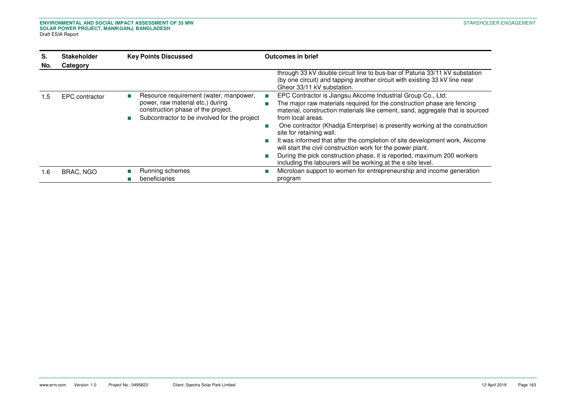| S.  | <b>Stakeholder</b> | <b>Key Points Discussed</b>                                                                                                                                      | <b>Outcomes in brief</b>                                                                                                                                                                                                                                                                                                                                                                                                                                                                                                                                                                                                                              |
|-----|--------------------|------------------------------------------------------------------------------------------------------------------------------------------------------------------|-------------------------------------------------------------------------------------------------------------------------------------------------------------------------------------------------------------------------------------------------------------------------------------------------------------------------------------------------------------------------------------------------------------------------------------------------------------------------------------------------------------------------------------------------------------------------------------------------------------------------------------------------------|
| No. | Category           |                                                                                                                                                                  |                                                                                                                                                                                                                                                                                                                                                                                                                                                                                                                                                                                                                                                       |
|     |                    |                                                                                                                                                                  | through 33 kV double circuit line to bus-bar of Paturia 33/11 kV substation<br>(by one circuit) and tapping another circuit with existing 33 kV line near<br>Gheor 33/11 kV substation.                                                                                                                                                                                                                                                                                                                                                                                                                                                               |
| .5  | EPC contractor     | Resource requirement (water, manpower,<br>power, raw material etc.) during<br>construction phase of the project.<br>Subcontractor to be involved for the project | EPC Contractor is Jiangsu Akcome Industrial Group Co., Ltd;<br>The major raw materials required for the construction phase are fencing<br>material, construction materials like cement, sand, aggregate that is sourced<br>from local areas.<br>One contractor (Khadija Enterprise) is presently working at the construction<br>site for retaining wall.<br>It was informed that after the completion of site development work, Akcome<br>will start the civil construction work for the power plant.<br>During the pick construction phase, it is reported, maximum 200 workers<br>П<br>including the labourers will be working at the e site level. |
| .6  | <b>BRAC, NGO</b>   | Running schemes<br>beneficiaries                                                                                                                                 | Microloan support to women for entrepreneurship and income generation<br>program                                                                                                                                                                                                                                                                                                                                                                                                                                                                                                                                                                      |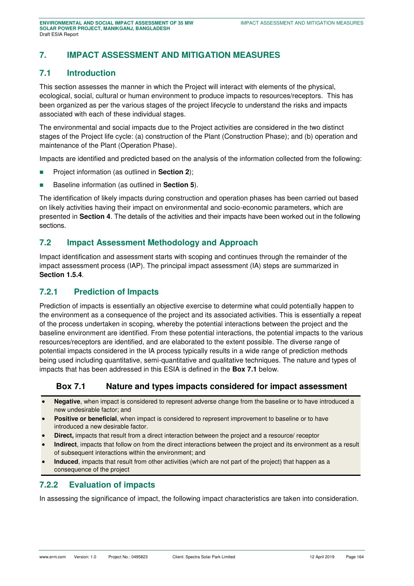# **7. IMPACT ASSESSMENT AND MITIGATION MEASURES**

## **7.1 Introduction**

This section assesses the manner in which the Project will interact with elements of the physical, ecological, social, cultural or human environment to produce impacts to resources/receptors. This has been organized as per the various stages of the project lifecycle to understand the risks and impacts associated with each of these individual stages.

The environmental and social impacts due to the Project activities are considered in the two distinct stages of the Project life cycle: (a) construction of the Plant (Construction Phase); and (b) operation and maintenance of the Plant (Operation Phase).

Impacts are identified and predicted based on the analysis of the information collected from the following:

- **Project information (as outlined in Section 2);**
- Baseline information (as outlined in **Section 5**).

The identification of likely impacts during construction and operation phases has been carried out based on likely activities having their impact on environmental and socio-economic parameters, which are presented in **Section 4**. The details of the activities and their impacts have been worked out in the following sections.

#### **7.2 Impact Assessment Methodology and Approach**

Impact identification and assessment starts with scoping and continues through the remainder of the impact assessment process (IAP). The principal impact assessment (IA) steps are summarized in **Section 1.5.4**.

#### **7.2.1 Prediction of Impacts**

Prediction of impacts is essentially an objective exercise to determine what could potentially happen to the environment as a consequence of the project and its associated activities. This is essentially a repeat of the process undertaken in scoping, whereby the potential interactions between the project and the baseline environment are identified. From these potential interactions, the potential impacts to the various resources/receptors are identified, and are elaborated to the extent possible. The diverse range of potential impacts considered in the IA process typically results in a wide range of prediction methods being used including quantitative, semi-quantitative and qualitative techniques. The nature and types of impacts that has been addressed in this ESIA is defined in the **[Box 7.1](#page-6-0)** below.

## <span id="page-6-0"></span>**Box 7.1 Nature and types impacts considered for impact assessment**

- **Negative**, when impact is considered to represent adverse change from the baseline or to have introduced a new undesirable factor; and
- **Positive or beneficial**, when impact is considered to represent improvement to baseline or to have introduced a new desirable factor.
- **Direct,** impacts that result from a direct interaction between the project and a resource/ receptor
- **Indirect**, impacts that follow on from the direct interactions between the project and its environment as a result of subsequent interactions within the environment; and
- **Induced**, impacts that result from other activities (which are not part of the project) that happen as a consequence of the project

## **7.2.2 Evaluation of impacts**

In assessing the significance of impact, the following impact characteristics are taken into consideration.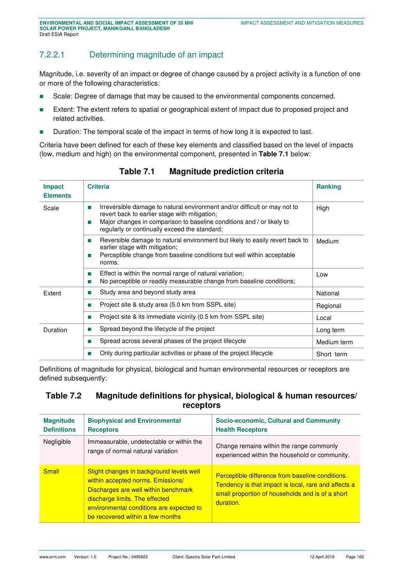# 7.2.2.1 Determining magnitude of an impact

Magnitude, i.e. severity of an impact or degree of change caused by a project activity is a function of one or more of the following characteristics:

- Scale: Degree of damage that may be caused to the environmental components concerned.
- **Extent:** The extent refers to spatial or geographical extent of impact due to proposed project and related activities.
- **Duration: The temporal scale of the impact in terms of how long it is expected to last.**

Criteria have been defined for each of these key elements and classified based on the level of impacts (low, medium and high) on the environmental component, presented in **[Table 7.1](#page-7-0)** below:

<span id="page-7-0"></span>

| <b>Impact</b><br><b>Elements</b> | <b>Criteria</b>                                                                                                                                                                                                                                                  | <b>Ranking</b> |
|----------------------------------|------------------------------------------------------------------------------------------------------------------------------------------------------------------------------------------------------------------------------------------------------------------|----------------|
| Scale                            | Irreversible damage to natural environment and/or difficult or may not to<br>m.<br>revert back to earlier stage with mitigation;<br>Major changes in comparison to baseline conditions and / or likely to<br>m.<br>regularly or continually exceed the standard; | High           |
|                                  | Reversible damage to natural environment but likely to easily revert back to<br><b>COL</b><br>earlier stage with mitigation;<br>Perceptible change from baseline conditions but well within acceptable<br>ш<br>norms.                                            | Medium         |
|                                  | Effect is within the normal range of natural variation;<br><b>COL</b><br>No perceptible or readily measurable change from baseline conditions;<br><b>COL</b>                                                                                                     | Low            |
| Extent                           | Study area and beyond study area<br>m.                                                                                                                                                                                                                           | National       |
|                                  | Project site & study area (5.0 km from SSPL site)<br>m.                                                                                                                                                                                                          | Regional       |
|                                  | Project site & its immediate vicinity (0.5 km from SSPL site)<br>m.                                                                                                                                                                                              | Local          |
| Duration                         | Spread beyond the lifecycle of the project<br>ш                                                                                                                                                                                                                  | Long term      |
|                                  | Spread across several phases of the project lifecycle<br>m.                                                                                                                                                                                                      | Medium term    |
|                                  | Only during particular activities or phase of the project lifecycle                                                                                                                                                                                              | Short term     |

**Table 7.1 Magnitude prediction criteria** 

Definitions of magnitude for physical, biological and human environmental resources or receptors are defined subsequently:

## <span id="page-7-1"></span>**Table 7.2 Magnitude definitions for physical, biological & human resources/ receptors**

| <b>Magnitude</b><br><b>Definitions</b> | <b>Biophysical and Environmental</b><br><b>Receptors</b>                                                                                                                                                                                | <b>Socio-economic, Cultural and Community</b><br><b>Health Receptors</b>                                                                                                  |
|----------------------------------------|-----------------------------------------------------------------------------------------------------------------------------------------------------------------------------------------------------------------------------------------|---------------------------------------------------------------------------------------------------------------------------------------------------------------------------|
| Negligible                             | Immeasurable, undetectable or within the<br>range of normal natural variation                                                                                                                                                           | Change remains within the range commonly<br>experienced within the household or community.                                                                                |
| <b>Small</b>                           | Slight changes in background levels well<br>within accepted norms. Emissions/<br>Discharges are well within benchmark<br>discharge limits. The effected<br>environmental conditions are expected to<br>be recovered within a few months | Perceptible difference from baseline conditions.<br>Tendency is that impact is local, rare and affects a<br>small proportion of households and is of a short<br>duration. |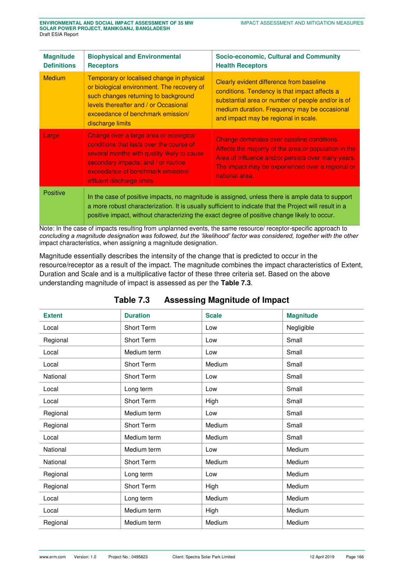| <b>Magnitude</b><br><b>Definitions</b> | <b>Biophysical and Environmental</b><br><b>Receptors</b>                                                                                                                                                                                                                                                   | <b>Socio-economic, Cultural and Community</b><br><b>Health Receptors</b>                                                                                                                                                               |
|----------------------------------------|------------------------------------------------------------------------------------------------------------------------------------------------------------------------------------------------------------------------------------------------------------------------------------------------------------|----------------------------------------------------------------------------------------------------------------------------------------------------------------------------------------------------------------------------------------|
| <b>Medium</b>                          | Temporary or localised change in physical<br>or biological environment. The recovery of<br>such changes returning to background<br>levels thereafter and / or Occasional<br>exceedance of benchmark emission/<br>discharge limits                                                                          | Clearly evident difference from baseline<br>conditions. Tendency is that impact affects a<br>substantial area or number of people and/or is of<br>medium duration. Frequency may be occasional<br>and impact may be regional in scale. |
| Large                                  | Change over a large area or ecological<br>conditions that lasts over the course of<br>several months with quality likely to cause<br>secondary impacts; and / or routine<br>exceedance of benchmark emission/<br>effluent discharge limits                                                                 | Change dominates over baseline conditions.<br>Affects the majority of the area or population in the<br>Area of Influence and/or persists over many years.<br>The impact may be experienced over a regional or<br>national area.        |
| <b>Positive</b>                        | In the case of positive impacts, no magnitude is assigned, unless there is ample data to support<br>a more robust characterization. It is usually sufficient to indicate that the Project will result in a<br>positive impact, without characterizing the exact degree of positive change likely to occur. |                                                                                                                                                                                                                                        |

Note: In the case of impacts resulting from unplanned events, the same resource/ receptor-specific approach to *concluding a magnitude designation was followed, but the 'likelihood' factor was considered, together with the other*  impact characteristics, when assigning a magnitude designation.

Magnitude essentially describes the intensity of the change that is predicted to occur in the resource/receptor as a result of the impact. The magnitude combines the impact characteristics of Extent, Duration and Scale and is a multiplicative factor of these three criteria set. Based on the above understanding magnitude of impact is assessed as per the **[Table 7.3](#page-8-0)**.

<span id="page-8-0"></span>

| <b>Extent</b> | <b>Duration</b>   | <b>Scale</b> | <b>Magnitude</b> |
|---------------|-------------------|--------------|------------------|
| Local         | Short Term        | Low          | Negligible       |
| Regional      | Short Term        | Low          | Small            |
| Local         | Medium term       | Low          | Small            |
| Local         | Short Term        | Medium       | Small            |
| National      | <b>Short Term</b> | Low          | Small            |
| Local         | Long term         | Low          | Small            |
| Local         | Short Term        | High         | Small            |
| Regional      | Medium term       | Low          | Small            |
| Regional      | Short Term        | Medium       | Small            |
| Local         | Medium term       | Medium       | Small            |
| National      | Medium term       | Low          | Medium           |
| National      | Short Term        | Medium       | Medium           |
| Regional      | Long term         | Low          | Medium           |
| Regional      | Short Term        | High         | Medium           |
| Local         | Long term         | Medium       | Medium           |
| Local         | Medium term       | High         | Medium           |
| Regional      | Medium term       | Medium       | Medium           |

#### **Table 7.3 Assessing Magnitude of Impact**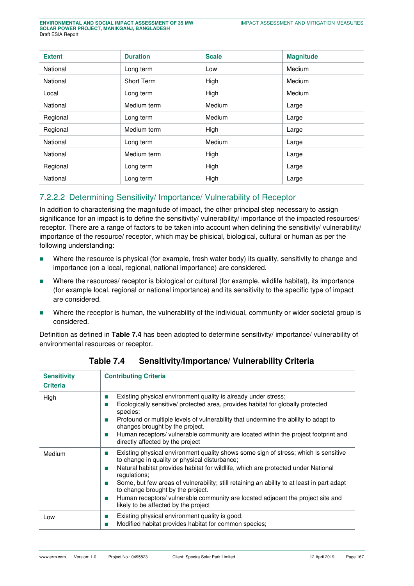| <b>Extent</b> | <b>Duration</b>   | <b>Scale</b> | <b>Magnitude</b> |
|---------------|-------------------|--------------|------------------|
| National      | Long term         | Low          | Medium           |
| National      | <b>Short Term</b> | High         | Medium           |
| Local         | Long term         | High         | Medium           |
| National      | Medium term       | Medium       | Large            |
| Regional      | Long term         | Medium       | Large            |
| Regional      | Medium term       | High         | Large            |
| National      | Long term         | Medium       | Large            |
| National      | Medium term       | High         | Large            |
| Regional      | Long term         | High         | Large            |
| National      | Long term         | High         | Large            |

# 7.2.2.2 Determining Sensitivity/ Importance/ Vulnerability of Receptor

In addition to characterising the magnitude of impact, the other principal step necessary to assign significance for an impact is to define the sensitivity/ vulnerability/ importance of the impacted resources/ receptor. There are a range of factors to be taken into account when defining the sensitivity/ vulnerability/ importance of the resource/ receptor, which may be phisical, biological, cultural or human as per the following understanding:

- Where the resource is physical (for example, fresh water body) its quality, sensitivity to change and importance (on a local, regional, national importance) are considered.
- Where the resources/ receptor is biological or cultural (for example, wildlife habitat), its importance (for example local, regional or national importance) and its sensitivity to the specific type of impact are considered.
- Where the receptor is human, the vulnerability of the individual, community or wider societal group is considered.

<span id="page-9-0"></span>Definition as defined in **[Table 7.4](#page-9-0)** has been adopted to determine sensitivity/ importance/ vulnerability of environmental resources or receptor.

| <b>Sensitivity</b><br><b>Criteria</b> | <b>Contributing Criteria</b>                                                                                                                                                                                                                                                                                                                                                                                                                                                                                                                         |
|---------------------------------------|------------------------------------------------------------------------------------------------------------------------------------------------------------------------------------------------------------------------------------------------------------------------------------------------------------------------------------------------------------------------------------------------------------------------------------------------------------------------------------------------------------------------------------------------------|
| High                                  | Existing physical environment quality is already under stress;<br><b>The State</b><br>Ecologically sensitive/ protected area, provides habitat for globally protected<br>T.<br>species;<br>Profound or multiple levels of vulnerability that undermine the ability to adapt to<br><b>Tale</b><br>changes brought by the project.<br>Human receptors/vulnerable community are located within the project footprint and<br><b>Tale</b><br>directly affected by the project                                                                             |
| Medium                                | Existing physical environment quality shows some sign of stress; which is sensitive<br><b>The State</b><br>to change in quality or physical disturbance;<br>Natural habitat provides habitat for wildlife, which are protected under National<br>T.<br>regulations;<br>Some, but few areas of vulnerability; still retaining an ability to at least in part adapt<br>ш<br>to change brought by the project.<br>Human receptors/vulnerable community are located adjacent the project site and<br><b>Tale</b><br>likely to be affected by the project |
| Low                                   | Existing physical environment quality is good;<br><b>The State</b><br>Modified habitat provides habitat for common species;<br>ш                                                                                                                                                                                                                                                                                                                                                                                                                     |

#### **Table 7.4 Sensitivity/Importance/ Vulnerability Criteria**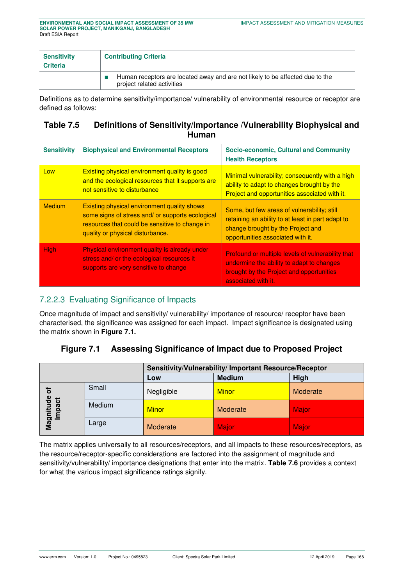| <b>Sensitivity</b><br><b>Criteria</b> | <b>Contributing Criteria</b>                                                                                |
|---------------------------------------|-------------------------------------------------------------------------------------------------------------|
|                                       | Human receptors are located away and are not likely to be affected due to the<br>project related activities |

Definitions as to determine sensitivity/importance/ vulnerability of environmental resource or receptor are defined as follows:

## **Table 7.5 Definitions of Sensitivity/Importance /Vulnerability Biophysical and Human**

| <b>Sensitivity</b> | <b>Biophysical and Environmental Receptors</b>                                                                                                                                               | Socio-economic, Cultural and Community<br><b>Health Receptors</b>                                                                                                          |
|--------------------|----------------------------------------------------------------------------------------------------------------------------------------------------------------------------------------------|----------------------------------------------------------------------------------------------------------------------------------------------------------------------------|
| Low                | Existing physical environment quality is good<br>and the ecological resources that it supports are<br>not sensitive to disturbance                                                           | Minimal vulnerability; consequently with a high<br>ability to adapt to changes brought by the<br>Project and opportunities associated with it.                             |
| <b>Medium</b>      | <b>Existing physical environment quality shows</b><br>some signs of stress and/ or supports ecological<br>resources that could be sensitive to change in<br>quality or physical disturbance. | Some, but few areas of vulnerability; still<br>retaining an ability to at least in part adapt to<br>change brought by the Project and<br>opportunities associated with it. |
| <b>High</b>        | Physical environment quality is already under<br>stress and/ or the ecological resources it<br>supports are very sensitive to change                                                         | Profound or multiple levels of vulnerability that<br>undermine the ability to adapt to changes<br>brought by the Project and opportunities<br>associated with it.          |

# 7.2.2.3 Evaluating Significance of Impacts

Once magnitude of impact and sensitivity/ vulnerability/ importance of resource/ receptor have been characterised, the significance was assigned for each impact. Impact significance is designated using the matrix shown in **[Figure 7.1.](#page-10-0)** 

## <span id="page-10-0"></span>**Figure 7.1 Assessing Significance of Impact due to Proposed Project**

|                                  |        | Sensitivity/Vulnerability/ Important Resource/Receptor |               |          |  |
|----------------------------------|--------|--------------------------------------------------------|---------------|----------|--|
|                                  |        | Low                                                    | <b>Medium</b> | High     |  |
| ō                                | Small  | Negligible                                             | <b>Minor</b>  | Moderate |  |
| Magnitude<br>ಕ<br><u>පි</u><br>Ξ | Medium | <b>Minor</b>                                           | Moderate      | Major    |  |
|                                  | Large  | Moderate                                               | <b>Major</b>  | Major    |  |

The matrix applies universally to all resources/receptors, and all impacts to these resources/receptors, as the resource/receptor-specific considerations are factored into the assignment of magnitude and sensitivity/vulnerability/ importance designations that enter into the matrix. **[Table 7.6](#page-11-0)** provides a context for what the various impact significance ratings signify.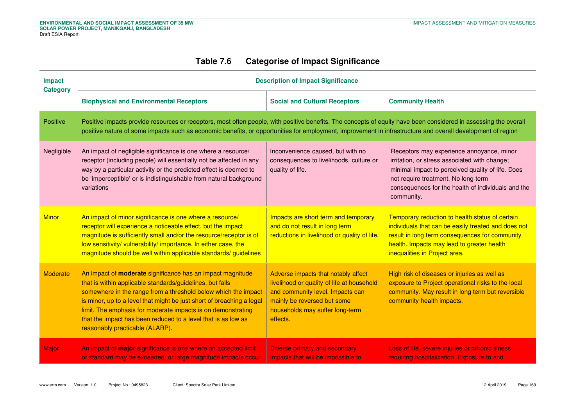# **Table 7.6 Categorise of Impact Significance**

<span id="page-11-0"></span>

| Impact<br><b>Category</b> | <b>Description of Impact Significance</b>                                                                                                                                                                                                                                                                                                                                                                                                     |                                                                                                                                                                                                     |                                                                                                                                                                                                                                                            |  |  |  |
|---------------------------|-----------------------------------------------------------------------------------------------------------------------------------------------------------------------------------------------------------------------------------------------------------------------------------------------------------------------------------------------------------------------------------------------------------------------------------------------|-----------------------------------------------------------------------------------------------------------------------------------------------------------------------------------------------------|------------------------------------------------------------------------------------------------------------------------------------------------------------------------------------------------------------------------------------------------------------|--|--|--|
|                           | <b>Biophysical and Environmental Receptors</b>                                                                                                                                                                                                                                                                                                                                                                                                | <b>Social and Cultural Receptors</b>                                                                                                                                                                | <b>Community Health</b>                                                                                                                                                                                                                                    |  |  |  |
| Positive                  | Positive impacts provide resources or receptors, most often people, with positive benefits. The concepts of equity have been considered in assessing the overall<br>positive nature of some impacts such as economic benefits, or opportunities for employment, improvement in infrastructure and overall development of region                                                                                                               |                                                                                                                                                                                                     |                                                                                                                                                                                                                                                            |  |  |  |
| Negligible                | An impact of negligible significance is one where a resource/<br>receptor (including people) will essentially not be affected in any<br>way by a particular activity or the predicted effect is deemed to<br>be 'imperceptible' or is indistinguishable from natural background<br>variations                                                                                                                                                 | Inconvenience caused, but with no<br>consequences to livelihoods, culture or<br>quality of life.                                                                                                    | Receptors may experience annoyance, minor<br>irritation, or stress associated with change;<br>minimal impact to perceived quality of life. Does<br>not require treatment. No long-term<br>consequences for the health of individuals and the<br>community. |  |  |  |
| <b>Minor</b>              | An impact of minor significance is one where a resource/<br>receptor will experience a noticeable effect, but the impact<br>magnitude is sufficiently small and/or the resource/receptor is of<br>low sensitivity/ vulnerability/ importance. In either case, the<br>magnitude should be well within applicable standards/ guidelines                                                                                                         | Impacts are short term and temporary<br>and do not result in long term<br>reductions in livelihood or quality of life.                                                                              | Temporary reduction to health status of certain<br>individuals that can be easily treated and does not<br>result in long term consequences for community<br>health. Impacts may lead to greater health<br>inequalities in Project area.                    |  |  |  |
| Moderate                  | An impact of <b>moderate</b> significance has an impact magnitude<br>that is within applicable standards/guidelines, but falls<br>somewhere in the range from a threshold below which the impact<br>is minor, up to a level that might be just short of breaching a legal<br>limit. The emphasis for moderate impacts is on demonstrating<br>that the impact has been reduced to a level that is as low as<br>reasonably practicable (ALARP). | Adverse impacts that notably affect<br>livelihood or quality of life at household<br>and community level. Impacts can<br>mainly be reversed but some<br>households may suffer long-term<br>effects. | High risk of diseases or injuries as well as<br>exposure to Project operational risks to the local<br>community. May result in long term but reversible<br>community health impacts.                                                                       |  |  |  |
| Major                     | An impact of major significance is one where an accepted limit<br>or standard may be exceeded, or large magnitude impacts occur                                                                                                                                                                                                                                                                                                               | Diverse primary and secondary<br>impacts that will be impossible to                                                                                                                                 | Loss of life, severe injuries or chronic illness<br>requiring hospitalization. Exposure to and                                                                                                                                                             |  |  |  |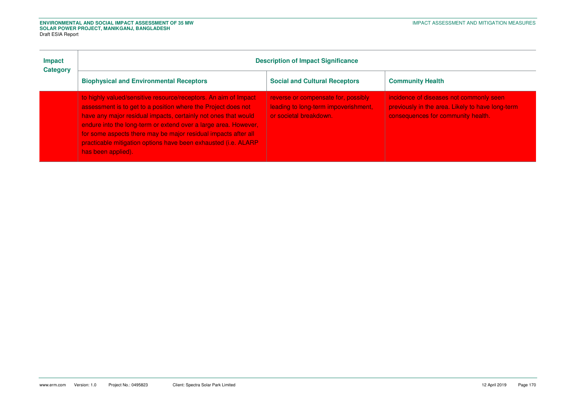| <b>Impact</b><br><b>Category</b> | <b>Description of Impact Significance</b>                                                                                                                                                                                                                                                                                                                                                                                       |                                                                                                       |                                                                                                                                   |  |  |  |
|----------------------------------|---------------------------------------------------------------------------------------------------------------------------------------------------------------------------------------------------------------------------------------------------------------------------------------------------------------------------------------------------------------------------------------------------------------------------------|-------------------------------------------------------------------------------------------------------|-----------------------------------------------------------------------------------------------------------------------------------|--|--|--|
|                                  | <b>Biophysical and Environmental Receptors</b>                                                                                                                                                                                                                                                                                                                                                                                  | <b>Social and Cultural Receptors</b>                                                                  | <b>Community Health</b>                                                                                                           |  |  |  |
|                                  | to highly valued/sensitive resource/receptors. An aim of Impact<br>assessment is to get to a position where the Project does not<br>have any major residual impacts, certainly not ones that would<br>endure into the long-term or extend over a large area. However,<br>for some aspects there may be major residual impacts after all<br>practicable mitigation options have been exhausted (i.e. ALARP<br>has been applied). | reverse or compensate for, possibly<br>leading to long-term impoverishment,<br>or societal breakdown. | incidence of diseases not commonly seen<br>previously in the area. Likely to have long-term<br>consequences for community health. |  |  |  |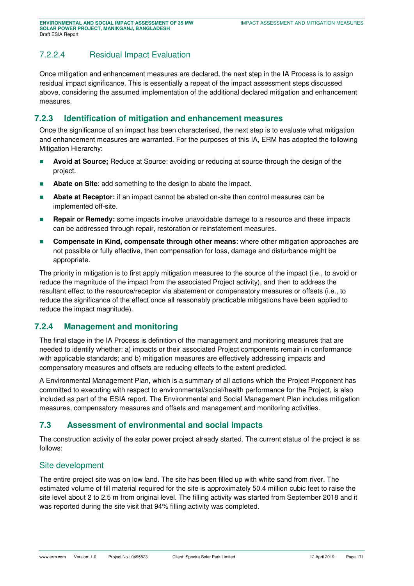# 7.2.2.4 Residual Impact Evaluation

Once mitigation and enhancement measures are declared, the next step in the IA Process is to assign residual impact significance. This is essentially a repeat of the impact assessment steps discussed above, considering the assumed implementation of the additional declared mitigation and enhancement measures.

## **7.2.3 Identification of mitigation and enhancement measures**

Once the significance of an impact has been characterised, the next step is to evaluate what mitigation and enhancement measures are warranted. For the purposes of this IA, ERM has adopted the following Mitigation Hierarchy:

- **Avoid at Source;** Reduce at Source: avoiding or reducing at source through the design of the project.
- **Abate on Site:** add something to the design to abate the impact.
- **Abate at Receptor:** if an impact cannot be abated on-site then control measures can be implemented off-site.
- **Repair or Remedy:** some impacts involve unavoidable damage to a resource and these impacts can be addressed through repair, restoration or reinstatement measures.
- **Compensate in Kind, compensate through other means:** where other mitigation approaches are not possible or fully effective, then compensation for loss, damage and disturbance might be appropriate.

The priority in mitigation is to first apply mitigation measures to the source of the impact (i.e., to avoid or reduce the magnitude of the impact from the associated Project activity), and then to address the resultant effect to the resource/receptor via abatement or compensatory measures or offsets (i.e., to reduce the significance of the effect once all reasonably practicable mitigations have been applied to reduce the impact magnitude).

## **7.2.4 Management and monitoring**

The final stage in the IA Process is definition of the management and monitoring measures that are needed to identify whether: a) impacts or their associated Project components remain in conformance with applicable standards; and b) mitigation measures are effectively addressing impacts and compensatory measures and offsets are reducing effects to the extent predicted.

A Environmental Management Plan, which is a summary of all actions which the Project Proponent has committed to executing with respect to environmental/social/health performance for the Project, is also included as part of the ESIA report. The Environmental and Social Management Plan includes mitigation measures, compensatory measures and offsets and management and monitoring activities.

## **7.3 Assessment of environmental and social impacts**

The construction activity of the solar power project already started. The current status of the project is as follows:

#### Site development

The entire project site was on low land. The site has been filled up with white sand from river. The estimated volume of fill material required for the site is approximately 50.4 million cubic feet to raise the site level about 2 to 2.5 m from original level. The filling activity was started from September 2018 and it was reported during the site visit that 94% filling activity was completed.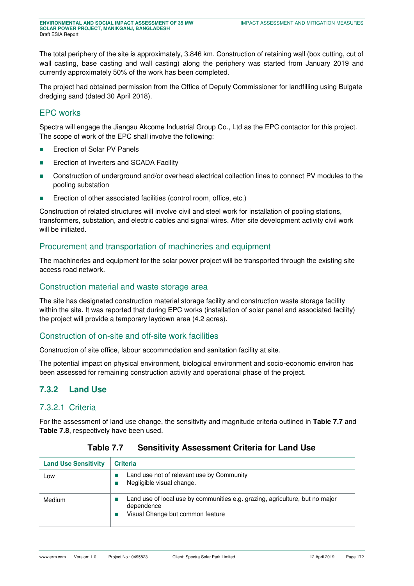The total periphery of the site is approximately, 3.846 km. Construction of retaining wall (box cutting, cut of wall casting, base casting and wall casting) along the periphery was started from January 2019 and currently approximately 50% of the work has been completed.

The project had obtained permission from the Office of Deputy Commissioner for landfilling using Bulgate dredging sand (dated 30 April 2018).

## EPC works

Spectra will engage the Jiangsu Akcome Industrial Group Co., Ltd as the EPC contactor for this project. The scope of work of the EPC shall involve the following:

- **Exection of Solar PV Panels**
- **Exection of Inverters and SCADA Facility**
- Construction of underground and/or overhead electrical collection lines to connect PV modules to the pooling substation
- **Exection of other associated facilities (control room, office, etc.)**

Construction of related structures will involve civil and steel work for installation of pooling stations, transformers, substation, and electric cables and signal wires. After site development activity civil work will be initiated.

## Procurement and transportation of machineries and equipment

The machineries and equipment for the solar power project will be transported through the existing site access road network.

#### Construction material and waste storage area

The site has designated construction material storage facility and construction waste storage facility within the site. It was reported that during EPC works (installation of solar panel and associated facility) the project will provide a temporary laydown area (4.2 acres).

#### Construction of on-site and off-site work facilities

Construction of site office, labour accommodation and sanitation facility at site.

The potential impact on physical environment, biological environment and socio-economic environ has been assessed for remaining construction activity and operational phase of the project.

## **7.3.2 Land Use**

#### 7.3.2.1 Criteria

<span id="page-14-0"></span>For the assessment of land use change, the sensitivity and magnitude criteria outlined in **[Table 7.7](#page-14-0)** and **[Table 7.8](#page-15-0)**, respectively have been used.

| <b>Land Use Sensitivity</b> | <b>Criteria</b>                                                                                                                |
|-----------------------------|--------------------------------------------------------------------------------------------------------------------------------|
| Low                         | Land use not of relevant use by Community<br>Negligible visual change.                                                         |
| Medium                      | Land use of local use by communities e.g. grazing, agriculture, but no major<br>dependence<br>Visual Change but common feature |

**Table 7.7 Sensitivity Assessment Criteria for Land Use**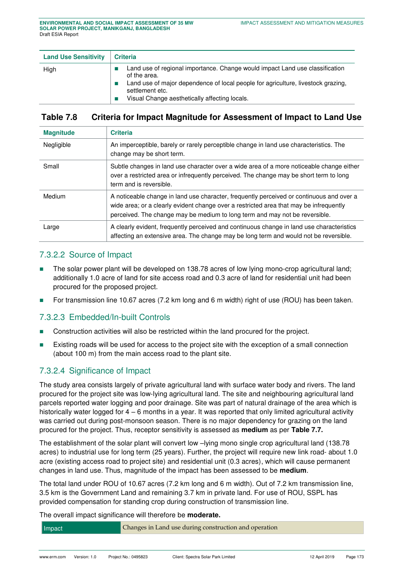| <b>Land Use Sensitivity</b> | <b>Criteria</b>                                                                                                                                                                                                                                      |
|-----------------------------|------------------------------------------------------------------------------------------------------------------------------------------------------------------------------------------------------------------------------------------------------|
| High                        | Land use of regional importance. Change would impact Land use classification<br>of the area.<br>Land use of major dependence of local people for agriculture, livestock grazing,<br>settlement etc.<br>Visual Change aesthetically affecting locals. |

## <span id="page-15-0"></span>**Table 7.8 Criteria for Impact Magnitude for Assessment of Impact to Land Use**

| <b>Magnitude</b> | <b>Criteria</b>                                                                                                                                                                                                                                                   |
|------------------|-------------------------------------------------------------------------------------------------------------------------------------------------------------------------------------------------------------------------------------------------------------------|
| Negligible       | An imperceptible, barely or rarely perceptible change in land use characteristics. The<br>change may be short term.                                                                                                                                               |
| Small            | Subtle changes in land use character over a wide area of a more noticeable change either<br>over a restricted area or infrequently perceived. The change may be short term to long<br>term and is reversible.                                                     |
| Medium           | A noticeable change in land use character, frequently perceived or continuous and over a<br>wide area; or a clearly evident change over a restricted area that may be infrequently<br>perceived. The change may be medium to long term and may not be reversible. |
| Large            | A clearly evident, frequently perceived and continuous change in land use characteristics<br>affecting an extensive area. The change may be long term and would not be reversible.                                                                                |

## 7.3.2.2 Source of Impact

- The solar power plant will be developed on 138.78 acres of low lying mono-crop agricultural land; additionally 1.0 acre of land for site access road and 0.3 acre of land for residential unit had been procured for the proposed project.
- For transmission line 10.67 acres (7.2 km long and 6 m width) right of use (ROU) has been taken.

#### 7.3.2.3 Embedded/In-built Controls

- Construction activities will also be restricted within the land procured for the project.
- Existing roads will be used for access to the project site with the exception of a small connection (about 100 m) from the main access road to the plant site.

## 7.3.2.4 Significance of Impact

The study area consists largely of private agricultural land with surface water body and rivers. The land procured for the project site was low-lying agricultural land. The site and neighbouring agricultural land parcels reported water logging and poor drainage. Site was part of natural drainage of the area which is historically water logged for  $4 - 6$  months in a year. It was reported that only limited agricultural activity was carried out during post-monsoon season. There is no major dependency for grazing on the land procured for the project. Thus, receptor sensitivity is assessed as **medium** as per **[Table 7.7.](#page-14-0)**

The establishment of the solar plant will convert low –lying mono single crop agricultural land (138.78 acres) to industrial use for long term (25 years). Further, the project will require new link road- about 1.0 acre (existing access road to project site) and residential unit (0.3 acres), which will cause permanent changes in land use. Thus, magnitude of the impact has been assessed to be **medium**.

The total land under ROU of 10.67 acres (7.2 km long and 6 m width). Out of 7.2 km transmission line, 3.5 km is the Government Land and remaining 3.7 km in private land. For use of ROU, SSPL has provided compensation for standing crop during construction of transmission line.

The overall impact significance will therefore be **moderate.**

| Impact | Changes in Land use during construction and operation |
|--------|-------------------------------------------------------|
|--------|-------------------------------------------------------|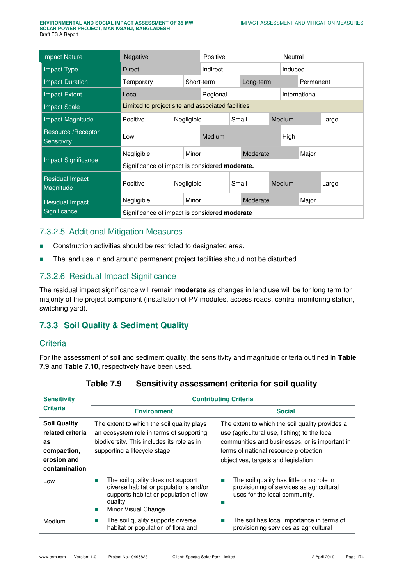| <b>Impact Nature</b>                | Negative                                             |  | Positive  |          | Neutral  |               |       |       |  |  |
|-------------------------------------|------------------------------------------------------|--|-----------|----------|----------|---------------|-------|-------|--|--|
| Impact Type                         | Direct                                               |  | Indirect  |          | Induced  |               |       |       |  |  |
| <b>Impact Duration</b>              | Temporary<br>Short-term                              |  | Long-term |          |          | Permanent     |       |       |  |  |
| <b>Impact Extent</b>                | Local                                                |  | Regional  |          |          | International |       |       |  |  |
| <b>Impact Scale</b>                 | Limited to project site and associated facilities    |  |           |          |          |               |       |       |  |  |
| <b>Impact Magnitude</b>             | Positive<br>Negligible                               |  |           | Small    |          | Medium        |       | Large |  |  |
| Resource / Receptor<br>Sensitivity  | Low                                                  |  | Medium    |          | High     |               |       |       |  |  |
|                                     | Minor<br>Negligible                                  |  |           |          | Moderate |               |       | Major |  |  |
| <b>Impact Significance</b>          | Significance of impact is considered moderate.       |  |           |          |          |               |       |       |  |  |
| <b>Residual Impact</b><br>Magnitude | Positive<br>Negligible                               |  | Small     |          |          | Medium        |       | Large |  |  |
| <b>Residual Impact</b>              | Negligible                                           |  | Minor     | Moderate |          |               | Major |       |  |  |
| Significance                        | Significance of impact is considered <b>moderate</b> |  |           |          |          |               |       |       |  |  |

## 7.3.2.5 Additional Mitigation Measures

- Construction activities should be restricted to designated area.
- The land use in and around permanent project facilities should not be disturbed.

# 7.3.2.6 Residual Impact Significance

The residual impact significance will remain **moderate** as changes in land use will be for long term for majority of the project component (installation of PV modules, access roads, central monitoring station, switching yard).

# **7.3.3 Soil Quality & Sediment Quality**

#### **Criteria**

<span id="page-16-0"></span>For the assessment of soil and sediment quality, the sensitivity and magnitude criteria outlined in **[Table](#page-16-0)  [7.9](#page-16-0)** and **[Table 7.10](#page-17-0)**, respectively have been used.

| <b>Sensitivity</b>                                                                           | <b>Contributing Criteria</b>                                                                                                                                         |                                                                                                                                                                                                                                   |  |  |  |  |  |
|----------------------------------------------------------------------------------------------|----------------------------------------------------------------------------------------------------------------------------------------------------------------------|-----------------------------------------------------------------------------------------------------------------------------------------------------------------------------------------------------------------------------------|--|--|--|--|--|
| <b>Criteria</b>                                                                              | <b>Environment</b>                                                                                                                                                   | <b>Social</b>                                                                                                                                                                                                                     |  |  |  |  |  |
| <b>Soil Quality</b><br>related criteria<br>as<br>compaction,<br>erosion and<br>contamination | The extent to which the soil quality plays<br>an ecosystem role in terms of supporting<br>biodiversity. This includes its role as in<br>supporting a lifecycle stage | The extent to which the soil quality provides a<br>use (agricultural use, fishing) to the local<br>communities and businesses, or is important in<br>terms of national resource protection<br>objectives, targets and legislation |  |  |  |  |  |
| Low                                                                                          | The soil quality does not support<br>diverse habitat or populations and/or<br>supports habitat or population of low<br>quality.<br>Minor Visual Change.              | The soil quality has little or no role in<br>T.<br>provisioning of services as agricultural<br>uses for the local community.<br>ш                                                                                                 |  |  |  |  |  |
| Medium                                                                                       | The soil quality supports diverse<br>ш<br>habitat or population of flora and                                                                                         | The soil has local importance in terms of<br><b>The State</b><br>provisioning services as agricultural                                                                                                                            |  |  |  |  |  |

## **Table 7.9 Sensitivity assessment criteria for soil quality**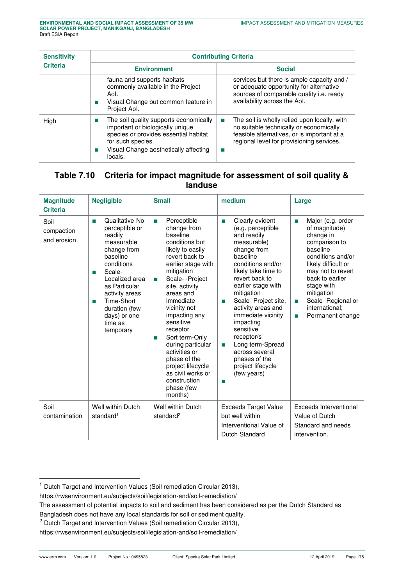| <b>Sensitivity</b><br><b>Criteria</b> | <b>Contributing Criteria</b>                                                                                                                                                                 |                                                                                                                                                                                                         |  |  |  |  |  |
|---------------------------------------|----------------------------------------------------------------------------------------------------------------------------------------------------------------------------------------------|---------------------------------------------------------------------------------------------------------------------------------------------------------------------------------------------------------|--|--|--|--|--|
|                                       | <b>Environment</b>                                                                                                                                                                           | <b>Social</b>                                                                                                                                                                                           |  |  |  |  |  |
|                                       | fauna and supports habitats<br>commonly available in the Project<br>Aol.<br>Visual Change but common feature in<br>Project Aol.                                                              | services but there is ample capacity and /<br>or adequate opportunity for alternative<br>sources of comparable quality i.e. ready<br>availability across the Aol.                                       |  |  |  |  |  |
| High                                  | The soil quality supports economically<br>important or biologically unique<br>species or provides essential habitat<br>for such species.<br>Visual Change aesthetically affecting<br>locals. | The soil is wholly relied upon locally, with<br><b>The State</b><br>no suitable technically or economically<br>feasible alternatives, or is important at a<br>regional level for provisioning services. |  |  |  |  |  |

## <span id="page-17-0"></span>**Table 7.10 Criteria for impact magnitude for assessment of soil quality & landuse**

| <b>Magnitude</b><br><b>Criteria</b> | <b>Negligible</b>                                                                                                                                                                                                                                          | <b>Small</b>                                                                                                                                                                                                                                                                                                                                                                                                                          | medium                                                                                                                                                                                                                                                                                                                                                                                                                                | Large                                                                                                                                                                                                                                                                            |
|-------------------------------------|------------------------------------------------------------------------------------------------------------------------------------------------------------------------------------------------------------------------------------------------------------|---------------------------------------------------------------------------------------------------------------------------------------------------------------------------------------------------------------------------------------------------------------------------------------------------------------------------------------------------------------------------------------------------------------------------------------|---------------------------------------------------------------------------------------------------------------------------------------------------------------------------------------------------------------------------------------------------------------------------------------------------------------------------------------------------------------------------------------------------------------------------------------|----------------------------------------------------------------------------------------------------------------------------------------------------------------------------------------------------------------------------------------------------------------------------------|
| Soil<br>compaction<br>and erosion   | Qualitative-No<br>m.<br>perceptible or<br>readily<br>measurable<br>change from<br>baseline<br>conditions<br>Scale-<br>T.<br>Localized area<br>as Particular<br>activity areas<br>Time-Short<br>T.<br>duration (few<br>days) or one<br>time as<br>temporary | Perceptible<br>m.<br>change from<br>baseline<br>conditions but<br>likely to easily<br>revert back to<br>earlier stage with<br>mitigation<br>Scale--Project<br>п<br>site, activity<br>areas and<br>immediate<br>vicinity not<br>impacting any<br>sensitive<br>receptor<br>Sort term-Only<br>п<br>during particular<br>activities or<br>phase of the<br>project lifecycle<br>as civil works or<br>construction<br>phase (few<br>months) | Clearly evident<br>m.<br>(e.g. perceptible<br>and readily<br>measurable)<br>change from<br>baseline<br>conditions and/or<br>likely take time to<br>revert back to<br>earlier stage with<br>mitigation<br>Scale- Project site,<br><b>COL</b><br>activity areas and<br>immediate vicinity<br>impacting<br>sensitive<br>receptor/s<br>Long term-Spread<br>п<br>across several<br>phases of the<br>project lifecycle<br>(few years)<br>m. | Major (e.g. order<br>ш<br>of magnitude)<br>change in<br>comparison to<br>baseline<br>conditions and/or<br>likely difficult or<br>may not to revert<br>back to earlier<br>stage with<br>mitigation<br>Scale-Regional or<br>m.<br>international:<br>Permanent change<br><b>COL</b> |
| Soil                                | Well within Dutch<br>standard <sup>1</sup>                                                                                                                                                                                                                 | Well within Dutch<br>standard <sup>2</sup>                                                                                                                                                                                                                                                                                                                                                                                            | <b>Exceeds Target Value</b><br>but well within                                                                                                                                                                                                                                                                                                                                                                                        | Exceeds Interventional<br>Value of Dutch                                                                                                                                                                                                                                         |
| contamination                       |                                                                                                                                                                                                                                                            |                                                                                                                                                                                                                                                                                                                                                                                                                                       | Interventional Value of<br>Dutch Standard                                                                                                                                                                                                                                                                                                                                                                                             | Standard and needs<br>intervention.                                                                                                                                                                                                                                              |

j

<sup>&</sup>lt;sup>1</sup> Dutch Target and Intervention Values (Soil remediation Circular 2013),

https://rwsenvironment.eu/subjects/soil/legislation-and/soil-remediation/

The assessment of potential impacts to soil and sediment has been considered as per the Dutch Standard as

Bangladesh does not have any local standards for soil or sediment quality.

 $2$  Dutch Target and Intervention Values (Soil remediation Circular 2013),

https://rwsenvironment.eu/subjects/soil/legislation-and/soil-remediation/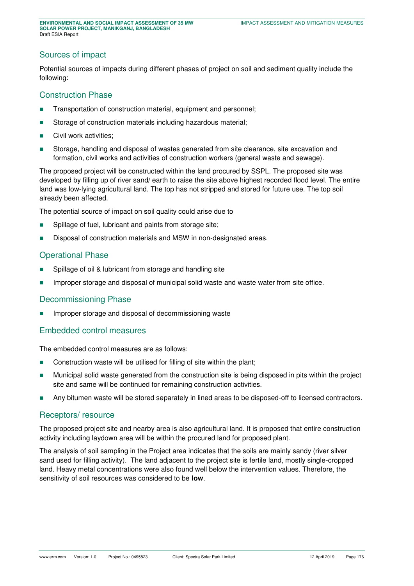## Sources of impact

Potential sources of impacts during different phases of project on soil and sediment quality include the following:

#### Construction Phase

- **Transportation of construction material, equipment and personnel;**
- Storage of construction materials including hazardous material;
- Civil work activities;
- Storage, handling and disposal of wastes generated from site clearance, site excavation and formation, civil works and activities of construction workers (general waste and sewage).

The proposed project will be constructed within the land procured by SSPL. The proposed site was developed by filling up of river sand/ earth to raise the site above highest recorded flood level. The entire land was low-lying agricultural land. The top has not stripped and stored for future use. The top soil already been affected.

The potential source of impact on soil quality could arise due to

- **Spillage of fuel, lubricant and paints from storage site;**
- **Disposal of construction materials and MSW in non-designated areas.**

#### Operational Phase

- Spillage of oil & lubricant from storage and handling site
- **IMPROPER STORE 3 Improper storage and disposal of municipal solid waste and waste water from site office.**

#### Decommissioning Phase

Improper storage and disposal of decommissioning waste

#### Embedded control measures

The embedded control measures are as follows:

- Construction waste will be utilised for filling of site within the plant;
- Municipal solid waste generated from the construction site is being disposed in pits within the project site and same will be continued for remaining construction activities.
- Any bitumen waste will be stored separately in lined areas to be disposed-off to licensed contractors.

#### Receptors/ resource

The proposed project site and nearby area is also agricultural land. It is proposed that entire construction activity including laydown area will be within the procured land for proposed plant.

The analysis of soil sampling in the Project area indicates that the soils are mainly sandy (river silver sand used for filling activity). The land adjacent to the project site is fertile land, mostly single-cropped land. Heavy metal concentrations were also found well below the intervention values. Therefore, the sensitivity of soil resources was considered to be **low**.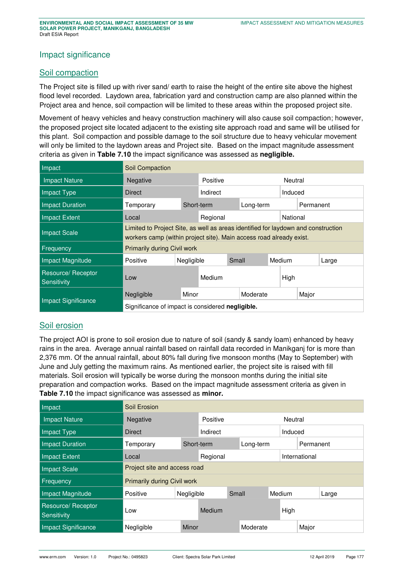#### Impact significance

#### Soil compaction

The Project site is filled up with river sand/ earth to raise the height of the entire site above the highest flood level recorded. Laydown area, fabrication yard and construction camp are also planned within the Project area and hence, soil compaction will be limited to these areas within the proposed project site.

Movement of heavy vehicles and heavy construction machinery will also cause soil compaction; however, the proposed project site located adjacent to the existing site approach road and same will be utilised for this plant. Soil compaction and possible damage to the soil structure due to heavy vehicular movement will only be limited to the laydown areas and Project site. Based on the impact magnitude assessment criteria as given in **[Table 7.10](#page-17-0)** the impact significance was assessed as **negligible.**

| Impact                            | Soil Compaction                                                                                                                                          |                      |           |       |           |  |        |         |       |  |
|-----------------------------------|----------------------------------------------------------------------------------------------------------------------------------------------------------|----------------------|-----------|-------|-----------|--|--------|---------|-------|--|
| <b>Impact Nature</b>              | Negative                                                                                                                                                 | Positive             |           |       |           |  |        | Neutral |       |  |
| Impact Type                       | <b>Direct</b>                                                                                                                                            | Indirect             |           |       | Induced   |  |        |         |       |  |
| <b>Impact Duration</b>            | Temporary                                                                                                                                                | Short-term           | Long-term |       | Permanent |  |        |         |       |  |
| Impact Extent                     | Local                                                                                                                                                    | Regional<br>National |           |       |           |  |        |         |       |  |
| <b>Impact Scale</b>               | Limited to Project Site, as well as areas identified for laydown and construction<br>workers camp (within project site). Main access road already exist. |                      |           |       |           |  |        |         |       |  |
| Frequency                         | <b>Primarily during Civil work</b>                                                                                                                       |                      |           |       |           |  |        |         |       |  |
| <b>Impact Magnitude</b>           | Positive                                                                                                                                                 | Negligible           |           | Small |           |  | Medium |         | Large |  |
| Resource/ Receptor<br>Sensitivity | Low                                                                                                                                                      |                      | Medium    |       | High      |  |        |         |       |  |
|                                   | Negligible                                                                                                                                               | Minor                |           |       | Moderate  |  | Major  |         |       |  |
| <b>Impact Significance</b>        | Significance of impact is considered negligible.                                                                                                         |                      |           |       |           |  |        |         |       |  |

## Soil erosion

The project AOI is prone to soil erosion due to nature of soil (sandy & sandy loam) enhanced by heavy rains in the area. Average annual rainfall based on rainfall data recorded in Manikganj for is more than 2,376 mm. Of the annual rainfall, about 80% fall during five monsoon months (May to September) with June and July getting the maximum rains. As mentioned earlier, the project site is raised with fill materials. Soil erosion will typically be worse during the monsoon months during the initial site preparation and compaction works. Based on the impact magnitude assessment criteria as given in **[Table 7.10](#page-17-0)** the impact significance was assessed as **minor.**

| Impact                            | Soil Erosion                 |            |         |       |           |  |               |           |       |  |
|-----------------------------------|------------------------------|------------|---------|-------|-----------|--|---------------|-----------|-------|--|
| <b>Impact Nature</b>              | Negative                     | Positive   | Neutral |       |           |  |               |           |       |  |
| Impact Type                       | <b>Direct</b>                | Indirect   |         |       | Induced   |  |               |           |       |  |
| <b>Impact Duration</b>            | Temporary                    | Short-term |         |       | Long-term |  |               | Permanent |       |  |
| <b>Impact Extent</b>              | Local                        | Regional   |         |       |           |  | International |           |       |  |
| <b>Impact Scale</b>               | Project site and access road |            |         |       |           |  |               |           |       |  |
| Frequency                         | Primarily during Civil work  |            |         |       |           |  |               |           |       |  |
| Impact Magnitude                  | Positive                     | Negligible |         | Small |           |  | Medium        |           | Large |  |
| Resource/ Receptor<br>Sensitivity | Low                          |            | Medium  |       |           |  | High          |           |       |  |
| <b>Impact Significance</b>        | Negligible                   | Minor      |         |       | Moderate  |  |               | Major     |       |  |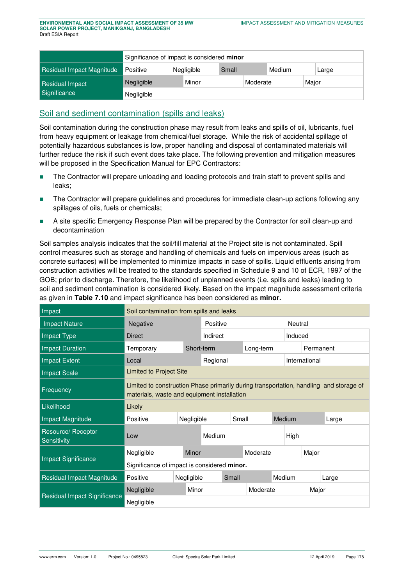|                           | Significance of impact is considered minor |  |            |       |  |        |  |       |  |  |
|---------------------------|--------------------------------------------|--|------------|-------|--|--------|--|-------|--|--|
| Residual Impact Magnitude | Positive                                   |  | Negligible | Small |  | Medium |  | Large |  |  |
| Residual Impact           | Minor<br>Major<br>Negligible<br>Moderate   |  |            |       |  |        |  |       |  |  |
| Significance              | Negligible                                 |  |            |       |  |        |  |       |  |  |

# Soil and sediment contamination (spills and leaks)

Soil contamination during the construction phase may result from leaks and spills of oil, lubricants, fuel from heavy equipment or leakage from chemical/fuel storage. While the risk of accidental spillage of potentially hazardous substances is low, proper handling and disposal of contaminated materials will further reduce the risk if such event does take place. The following prevention and mitigation measures will be proposed in the Specification Manual for EPC Contractors:

- **The Contractor will prepare unloading and loading protocols and train staff to prevent spills and** leaks;
- **The Contractor will prepare guidelines and procedures for immediate clean-up actions following any** spillages of oils, fuels or chemicals;
- **A** site specific Emergency Response Plan will be prepared by the Contractor for soil clean-up and decontamination

Soil samples analysis indicates that the soil/fill material at the Project site is not contaminated. Spill control measures such as storage and handling of chemicals and fuels on impervious areas (such as concrete surfaces) will be implemented to minimize impacts in case of spills. Liquid effluents arising from construction activities will be treated to the standards specified in Schedule 9 and 10 of ECR, 1997 of the GOB; prior to discharge. Therefore, the likelihood of unplanned events (i.e. spills and leaks) leading to soil and sediment contamination is considered likely. Based on the impact magnitude assessment criteria as given in **[Table 7.10](#page-17-0)** and impact significance has been considered as **minor.**

| Impact                            | Soil contamination from spills and leaks    |                                                                                                                                       |            |          |       |               |         |         |           |       |  |
|-----------------------------------|---------------------------------------------|---------------------------------------------------------------------------------------------------------------------------------------|------------|----------|-------|---------------|---------|---------|-----------|-------|--|
| <b>Impact Nature</b>              | Negative                                    |                                                                                                                                       |            | Positive |       |               |         | Neutral |           |       |  |
| Impact Type                       | <b>Direct</b>                               |                                                                                                                                       |            | Indirect |       |               | Induced |         |           |       |  |
| <b>Impact Duration</b>            | Temporary                                   |                                                                                                                                       | Short-term |          |       | Long-term     |         |         | Permanent |       |  |
| <b>Impact Extent</b>              | Local                                       |                                                                                                                                       |            | Regional |       | International |         |         |           |       |  |
| <b>Impact Scale</b>               |                                             | <b>Limited to Project Site</b>                                                                                                        |            |          |       |               |         |         |           |       |  |
| Frequency                         |                                             | Limited to construction Phase primarily during transportation, handling and storage of<br>materials, waste and equipment installation |            |          |       |               |         |         |           |       |  |
| Likelihood                        | Likely                                      |                                                                                                                                       |            |          |       |               |         |         |           |       |  |
| Impact Magnitude                  | Positive                                    |                                                                                                                                       | Negligible |          | Small |               | Medium  |         | Large     |       |  |
| Resource/ Receptor<br>Sensitivity | Low                                         |                                                                                                                                       |            | Medium   |       |               |         | High    |           |       |  |
|                                   | Negligible                                  |                                                                                                                                       | Minor      |          |       | Moderate      |         |         | Major     |       |  |
| <b>Impact Significance</b>        | Significance of impact is considered minor. |                                                                                                                                       |            |          |       |               |         |         |           |       |  |
| Residual Impact Magnitude         | Positive                                    | Negligible                                                                                                                            |            |          | Small |               |         | Medium  |           | Large |  |
|                                   | Negligible                                  |                                                                                                                                       | Minor      | Moderate |       |               |         |         |           | Major |  |
| Residual Impact Significance      | Negligible                                  |                                                                                                                                       |            |          |       |               |         |         |           |       |  |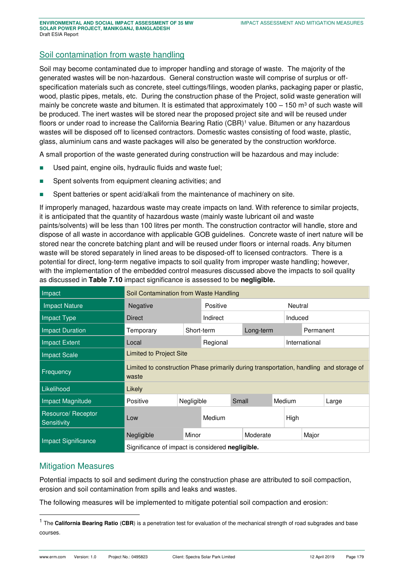## Soil contamination from waste handling

Soil may become contaminated due to improper handling and storage of waste. The majority of the generated wastes will be non-hazardous. General construction waste will comprise of surplus or offspecification materials such as concrete, steel cuttings/filings, wooden planks, packaging paper or plastic, wood, plastic pipes, metals, etc. During the construction phase of the Project, solid waste generation will mainly be concrete waste and bitumen. It is estimated that approximately 100 – 150 m<sup>3</sup> of such waste will be produced. The inert wastes will be stored near the proposed project site and will be reused under floors or under road to increase the California Bearing Ratio (CBR)<sup>1</sup> value. Bitumen or any hazardous wastes will be disposed off to licensed contractors. Domestic wastes consisting of food waste, plastic, glass, aluminium cans and waste packages will also be generated by the construction workforce.

A small proportion of the waste generated during construction will be hazardous and may include:

- Used paint, engine oils, hydraulic fluids and waste fuel;
- Spent solvents from equipment cleaning activities; and
- **Spent batteries or spent acid/alkali from the maintenance of machinery on site.**

If improperly managed, hazardous waste may create impacts on land. With reference to similar projects, it is anticipated that the quantity of hazardous waste (mainly waste lubricant oil and waste paints/solvents) will be less than 100 litres per month. The construction contractor will handle, store and dispose of all waste in accordance with applicable GOB guidelines. Concrete waste of inert nature will be stored near the concrete batching plant and will be reused under floors or internal roads. Any bitumen waste will be stored separately in lined areas to be disposed-off to licensed contractors. There is a potential for direct, long-term negative impacts to soil quality from improper waste handling; however, with the implementation of the embedded control measures discussed above the impacts to soil quality as discussed in **[Table 7.10](#page-17-0)** impact significance is assessed to be **negligible.** 

| Impact                            | Soil Contamination from Waste Handling                                                          |            |           |       |          |               |        |         |       |  |
|-----------------------------------|-------------------------------------------------------------------------------------------------|------------|-----------|-------|----------|---------------|--------|---------|-------|--|
| <b>Impact Nature</b>              | Negative                                                                                        |            | Positive  |       |          |               |        | Neutral |       |  |
| Impact Type                       | Direct                                                                                          | Indirect   |           |       |          | Induced       |        |         |       |  |
| <b>Impact Duration</b>            | Temporary                                                                                       | Short-term | Long-term |       |          | Permanent     |        |         |       |  |
| Impact Extent                     | Local                                                                                           | Regional   |           |       |          | International |        |         |       |  |
| <b>Impact Scale</b>               | <b>Limited to Project Site</b>                                                                  |            |           |       |          |               |        |         |       |  |
| Frequency                         | Limited to construction Phase primarily during transportation, handling and storage of<br>waste |            |           |       |          |               |        |         |       |  |
| Likelihood                        | Likely                                                                                          |            |           |       |          |               |        |         |       |  |
| Impact Magnitude                  | Positive                                                                                        | Negligible |           | Small |          |               | Medium |         | Large |  |
| Resource/ Receptor<br>Sensitivity | Low                                                                                             |            | Medium    |       |          |               | High   |         |       |  |
|                                   | Negligible                                                                                      | Minor      |           |       | Moderate |               |        | Major   |       |  |
| <b>Impact Significance</b>        | Significance of impact is considered negligible.                                                |            |           |       |          |               |        |         |       |  |

#### Mitigation Measures

-

Potential impacts to soil and sediment during the construction phase are attributed to soil compaction, erosion and soil contamination from spills and leaks and wastes.

The following measures will be implemented to mitigate potential soil compaction and erosion:

<sup>&</sup>lt;sup>1</sup> The **California Bearing Ratio** (CBR) is a penetration test for evaluation of the mechanical strength of road subgrades and base courses.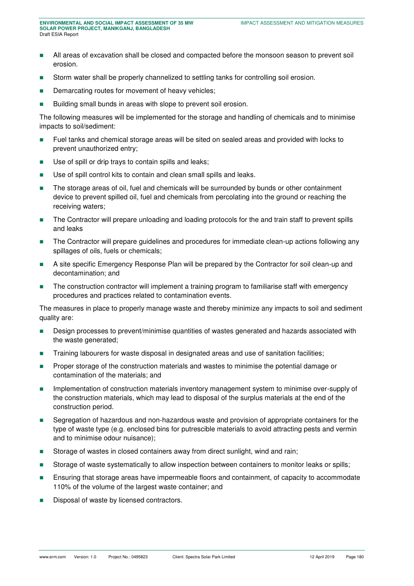- All areas of excavation shall be closed and compacted before the monsoon season to prevent soil erosion.
- **Storm water shall be properly channelized to settling tanks for controlling soil erosion.**
- Demarcating routes for movement of heavy vehicles;
- **Building small bunds in areas with slope to prevent soil erosion.**

The following measures will be implemented for the storage and handling of chemicals and to minimise impacts to soil/sediment:

- Fuel tanks and chemical storage areas will be sited on sealed areas and provided with locks to prevent unauthorized entry;
- Use of spill or drip trays to contain spills and leaks;
- Use of spill control kits to contain and clean small spills and leaks.
- The storage areas of oil, fuel and chemicals will be surrounded by bunds or other containment device to prevent spilled oil, fuel and chemicals from percolating into the ground or reaching the receiving waters;
- The Contractor will prepare unloading and loading protocols for the and train staff to prevent spills and leaks
- **The Contractor will prepare guidelines and procedures for immediate clean-up actions following any** spillages of oils, fuels or chemicals;
- **A** site specific Emergency Response Plan will be prepared by the Contractor for soil clean-up and decontamination; and
- The construction contractor will implement a training program to familiarise staff with emergency procedures and practices related to contamination events.

The measures in place to properly manage waste and thereby minimize any impacts to soil and sediment quality are:

- **Design processes to prevent/minimise quantities of wastes generated and hazards associated with** the waste generated;
- **Training labourers for waste disposal in designated areas and use of sanitation facilities;**
- **Proper storage of the construction materials and wastes to minimise the potential damage or** contamination of the materials; and
- **IMPLEMENT IMPLEMENTATION** of construction materials inventory management system to minimise over-supply of the construction materials, which may lead to disposal of the surplus materials at the end of the construction period.
- Segregation of hazardous and non-hazardous waste and provision of appropriate containers for the type of waste type (e.g. enclosed bins for putrescible materials to avoid attracting pests and vermin and to minimise odour nuisance);
- **Storage of wastes in closed containers away from direct sunlight, wind and rain;**
- **Storage of waste systematically to allow inspection between containers to monitor leaks or spills;**
- **Ensuring that storage areas have impermeable floors and containment, of capacity to accommodate** 110% of the volume of the largest waste container; and
- Disposal of waste by licensed contractors.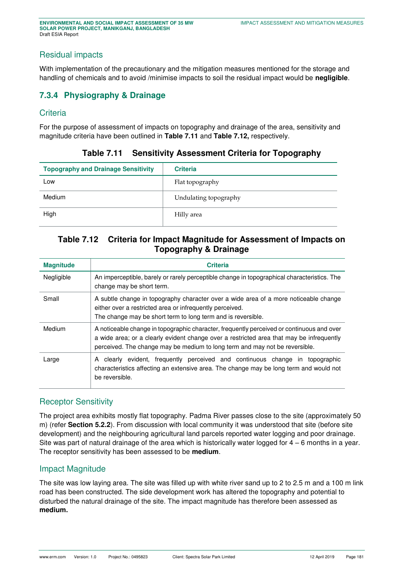## Residual impacts

With implementation of the precautionary and the mitigation measures mentioned for the storage and handling of chemicals and to avoid /minimise impacts to soil the residual impact would be **negligible**.

# **7.3.4 Physiography & Drainage**

## **Criteria**

<span id="page-23-0"></span>For the purpose of assessment of impacts on topography and drainage of the area, sensitivity and magnitude criteria have been outlined in **[Table 7.11](#page-23-0)** and **[Table 7.12,](#page-23-1)** respectively.

|  |  | Table 7.11 Sensitivity Assessment Criteria for Topography |  |  |  |
|--|--|-----------------------------------------------------------|--|--|--|
|--|--|-----------------------------------------------------------|--|--|--|

| <b>Topography and Drainage Sensitivity</b> | <b>Criteria</b>       |
|--------------------------------------------|-----------------------|
| Low                                        | Flat topography       |
| Medium                                     | Undulating topography |
| High                                       | Hilly area            |

## <span id="page-23-1"></span>**Table 7.12 Criteria for Impact Magnitude for Assessment of Impacts on Topography & Drainage**

| <b>Magnitude</b> | <b>Criteria</b>                                                                                                                                                                                                                                                      |
|------------------|----------------------------------------------------------------------------------------------------------------------------------------------------------------------------------------------------------------------------------------------------------------------|
| Negligible       | An imperceptible, barely or rarely perceptible change in topographical characteristics. The<br>change may be short term.                                                                                                                                             |
| Small            | A subtle change in topography character over a wide area of a more noticeable change<br>either over a restricted area or infrequently perceived.<br>The change may be short term to long term and is reversible.                                                     |
| Medium           | A noticeable change in topographic character, frequently perceived or continuous and over<br>a wide area; or a clearly evident change over a restricted area that may be infrequently<br>perceived. The change may be medium to long term and may not be reversible. |
| Large            | A clearly evident, frequently perceived and continuous change in topographic<br>characteristics affecting an extensive area. The change may be long term and would not<br>be reversible.                                                                             |

#### Receptor Sensitivity

The project area exhibits mostly flat topography. Padma River passes close to the site (approximately 50 m) (refer **Section 5.2.2**). From discussion with local community it was understood that site (before site development) and the neighbouring agricultural land parcels reported water logging and poor drainage. Site was part of natural drainage of the area which is historically water logged for 4 – 6 months in a year. The receptor sensitivity has been assessed to be **medium**.

#### Impact Magnitude

The site was low laying area. The site was filled up with white river sand up to 2 to 2.5 m and a 100 m link road has been constructed. The side development work has altered the topography and potential to disturbed the natural drainage of the site. The impact magnitude has therefore been assessed as **medium.**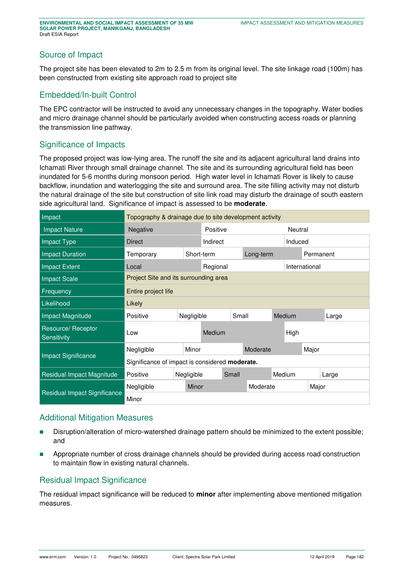## Source of Impact

The project site has been elevated to 2m to 2.5 m from its original level. The site linkage road (100m) has been constructed from existing site approach road to project site

## Embedded/In-built Control

The EPC contractor will be instructed to avoid any unnecessary changes in the topography. Water bodies and micro drainage channel should be particularly avoided when constructing access roads or planning the transmission line pathway.

### Significance of Impacts

The proposed project was low-lying area. The runoff the site and its adjacent agricultural land drains into Ichamati River through small drainage channel. The site and its surrounding agricultural field has been inundated for 5-6 months during monsoon period. High water level in Ichamati Rover is likely to cause backflow, inundation and waterlogging the site and surround area. The site filling activity may not disturb the natural drainage of the site but construction of site link road may disturb the drainage of south eastern side agricultural land. Significance of impact is assessed to be **moderate**.

| Impact                            | Topography & drainage due to site development activity |                                       |          |           |          |               |         |       |           |  |  |
|-----------------------------------|--------------------------------------------------------|---------------------------------------|----------|-----------|----------|---------------|---------|-------|-----------|--|--|
| <b>Impact Nature</b>              | Negative                                               |                                       | Positive |           |          |               | Neutral |       |           |  |  |
| Impact Type                       | Direct                                                 | Indirect                              |          |           |          | Induced       |         |       |           |  |  |
| <b>Impact Duration</b>            | Temporary                                              | Short-term                            |          | Long-term |          |               |         |       | Permanent |  |  |
| Impact Extent                     | Local                                                  | Regional                              |          |           |          | International |         |       |           |  |  |
| <b>Impact Scale</b>               |                                                        | Project Site and its surrounding area |          |           |          |               |         |       |           |  |  |
| Frequency                         | Entire project life                                    |                                       |          |           |          |               |         |       |           |  |  |
| Likelihood                        | Likely                                                 |                                       |          |           |          |               |         |       |           |  |  |
| Impact Magnitude                  | Positive                                               | Negligible                            |          | Small     |          | Medium        |         |       | Large     |  |  |
| Resource/ Receptor<br>Sensitivity | Low                                                    |                                       | Medium   |           |          |               | High    |       |           |  |  |
|                                   | Negligible                                             | Minor                                 |          |           | Moderate |               |         | Major |           |  |  |
| <b>Impact Significance</b>        | Significance of impact is considered moderate.         |                                       |          |           |          |               |         |       |           |  |  |
| Residual Impact Magnitude         | Positive                                               | Negligible                            |          | Small     |          | Medium        |         |       | Large     |  |  |
|                                   | Negligible                                             | Minor                                 |          | Moderate  |          |               |         | Major |           |  |  |
| Residual Impact Significance      | Minor                                                  |                                       |          |           |          |               |         |       |           |  |  |

#### Additional Mitigation Measures

- Disruption/alteration of micro-watershed drainage pattern should be minimized to the extent possible; and
- **Appropriate number of cross drainage channels should be provided during access road construction** to maintain flow in existing natural channels.

## Residual Impact Significance

The residual impact significance will be reduced to **minor** after implementing above mentioned mitigation measures.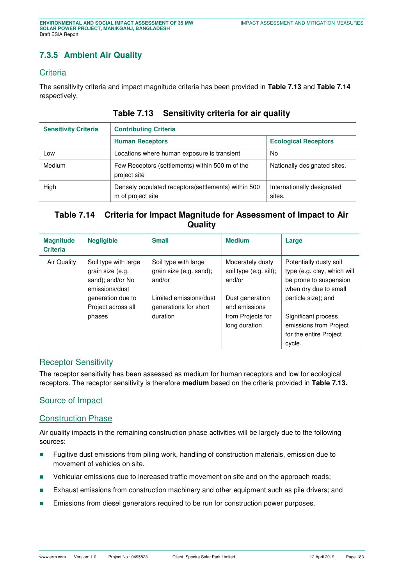# **7.3.5 Ambient Air Quality**

## **Criteria**

<span id="page-25-0"></span>The sensitivity criteria and impact magnitude criteria has been provided in **[Table 7.13](#page-25-0)** and **[Table 7.14](#page-25-1)** respectively.

| <b>Sensitivity Criteria</b> | <b>Contributing Criteria</b>                                              |                                      |  |  |  |  |  |  |  |  |  |
|-----------------------------|---------------------------------------------------------------------------|--------------------------------------|--|--|--|--|--|--|--|--|--|
|                             | <b>Human Receptors</b>                                                    | <b>Ecological Receptors</b>          |  |  |  |  |  |  |  |  |  |
| Low                         | Locations where human exposure is transient                               | No                                   |  |  |  |  |  |  |  |  |  |
| Medium                      | Few Receptors (settlements) within 500 m of the<br>project site           | Nationally designated sites.         |  |  |  |  |  |  |  |  |  |
| High                        | Densely populated receptors (settlements) within 500<br>m of project site | Internationally designated<br>sites. |  |  |  |  |  |  |  |  |  |

## **Table 7.13 Sensitivity criteria for air quality**

# <span id="page-25-1"></span>**Table 7.14 Criteria for Impact Magnitude for Assessment of Impact to Air Quality**

| <b>Magnitude</b><br><b>Criteria</b> | <b>Negligible</b>                                                              | <b>Small</b>                                                | <b>Medium</b>                                                          | Large                                                                                                    |
|-------------------------------------|--------------------------------------------------------------------------------|-------------------------------------------------------------|------------------------------------------------------------------------|----------------------------------------------------------------------------------------------------------|
| Air Quality                         | Soil type with large<br>grain size (e.g.<br>sand); and/or No<br>emissions/dust | Soil type with large<br>grain size (e.g. sand);<br>and/or   | Moderately dusty<br>soil type (e.g. silt);<br>and/or                   | Potentially dusty soil<br>type (e.g. clay, which will<br>be prone to suspension<br>when dry due to small |
|                                     | generation due to<br>Project across all<br>phases                              | Limited emissions/dust<br>generations for short<br>duration | Dust generation<br>and emissions<br>from Projects for<br>long duration | particle size); and<br>Significant process<br>emissions from Project<br>for the entire Project<br>cycle. |

## Receptor Sensitivity

The receptor sensitivity has been assessed as medium for human receptors and low for ecological receptors. The receptor sensitivity is therefore **medium** based on the criteria provided in **[Table 7.13.](#page-25-0)**

## Source of Impact

## Construction Phase

Air quality impacts in the remaining construction phase activities will be largely due to the following sources:

- **Fugitive dust emissions from piling work, handling of construction materials, emission due to** movement of vehicles on site.
- **•** Vehicular emissions due to increased traffic movement on site and on the approach roads;
- **Exhaust emissions from construction machinery and other equipment such as pile drivers; and**
- **Emissions from diesel generators required to be run for construction power purposes.**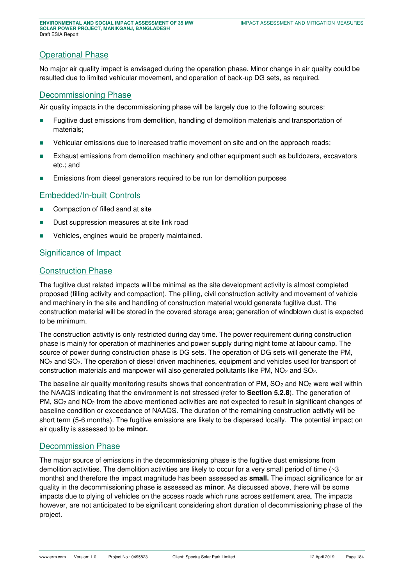#### Operational Phase

No major air quality impact is envisaged during the operation phase. Minor change in air quality could be resulted due to limited vehicular movement, and operation of back-up DG sets, as required.

#### Decommissioning Phase

Air quality impacts in the decommissioning phase will be largely due to the following sources:

- Fugitive dust emissions from demolition, handling of demolition materials and transportation of materials;
- Vehicular emissions due to increased traffic movement on site and on the approach roads;
- **Exhaust emissions from demolition machinery and other equipment such as bulldozers, excavators** etc.; and
- **Emissions from diesel generators required to be run for demolition purposes**

#### Embedded/In-built Controls

- Compaction of filled sand at site
- **Dust suppression measures at site link road**
- **Vehicles, engines would be properly maintained.**

#### Significance of Impact

## Construction Phase

The fugitive dust related impacts will be minimal as the site development activity is almost completed proposed (filling activity and compaction). The pilling, civil construction activity and movement of vehicle and machinery in the site and handling of construction material would generate fugitive dust. The construction material will be stored in the covered storage area; generation of windblown dust is expected to be minimum.

The construction activity is only restricted during day time. The power requirement during construction phase is mainly for operation of machineries and power supply during night tome at labour camp. The source of power during construction phase is DG sets. The operation of DG sets will generate the PM, NO<sub>2</sub> and SO<sub>2</sub>. The operation of diesel driven machineries, equipment and vehicles used for transport of construction materials and manpower will also generated pollutants like PM,  $NO<sub>2</sub>$  and  $SO<sub>2</sub>$ .

The baseline air quality monitoring results shows that concentration of PM,  $SO<sub>2</sub>$  and  $NO<sub>2</sub>$  were well within the NAAQS indicating that the environment is not stressed (refer to **Section 5.2.8**). The generation of PM,  $SO<sub>2</sub>$  and  $NO<sub>2</sub>$  from the above mentioned activities are not expected to result in significant changes of baseline condition or exceedance of NAAQS. The duration of the remaining construction activity will be short term (5-6 months). The fugitive emissions are likely to be dispersed locally. The potential impact on air quality is assessed to be **minor.** 

#### Decommission Phase

The major source of emissions in the decommissioning phase is the fugitive dust emissions from demolition activities. The demolition activities are likely to occur for a very small period of time  $\sim$ 3 months) and therefore the impact magnitude has been assessed as **small.** The impact significance for air quality in the decommissioning phase is assessed as **minor**. As discussed above, there will be some impacts due to plying of vehicles on the access roads which runs across settlement area. The impacts however, are not anticipated to be significant considering short duration of decommissioning phase of the project.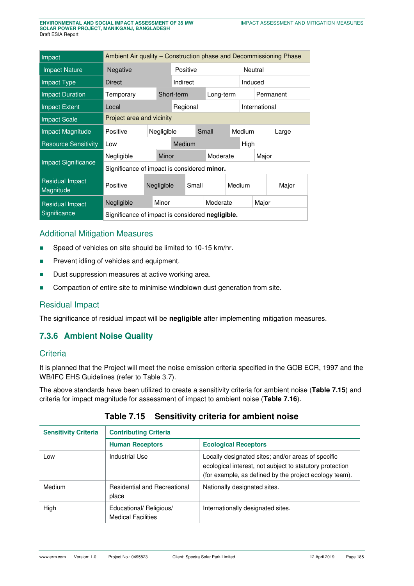| Impact                              | Ambient Air quality – Construction phase and Decommissioning Phase |                           |            |        |           |  |          |        |           |               |       |  |  |
|-------------------------------------|--------------------------------------------------------------------|---------------------------|------------|--------|-----------|--|----------|--------|-----------|---------------|-------|--|--|
| <b>Impact Nature</b>                | <b>Negative</b>                                                    |                           |            |        | Positive  |  |          |        |           | Neutral       |       |  |  |
| <b>Impact Type</b>                  | Direct                                                             |                           |            |        | Indirect  |  |          |        |           | Induced       |       |  |  |
| <b>Impact Duration</b>              | Temporary<br>Short-term                                            |                           |            |        | Long-term |  |          |        | Permanent |               |       |  |  |
| <b>Impact Extent</b>                | Local                                                              |                           |            |        | Regional  |  |          |        |           | International |       |  |  |
| <b>Impact Scale</b>                 |                                                                    | Project area and vicinity |            |        |           |  |          |        |           |               |       |  |  |
| <b>Impact Magnitude</b>             | Positive<br>Negligible                                             |                           |            |        |           |  | Small    | Medium |           | Large         |       |  |  |
| <b>Resource Sensitivity</b>         | Low                                                                |                           |            | Medium |           |  |          |        |           | High          |       |  |  |
|                                     | Negligible                                                         |                           | Minor      |        |           |  | Moderate |        |           |               | Major |  |  |
| <b>Impact Significance</b>          | Significance of impact is considered minor.                        |                           |            |        |           |  |          |        |           |               |       |  |  |
| <b>Residual Impact</b><br>Magnitude | Positive                                                           |                           | Negligible |        | Small     |  |          | Medium |           |               | Major |  |  |
| <b>Residual Impact</b>              | Negligible                                                         |                           | Minor      |        |           |  | Moderate |        |           | Major         |       |  |  |
| Significance                        | Significance of impact is considered negligible.                   |                           |            |        |           |  |          |        |           |               |       |  |  |

# Additional Mitigation Measures

- Speed of vehicles on site should be limited to 10-15 km/hr.
- **Prevent idling of vehicles and equipment.**
- Dust suppression measures at active working area.
- Compaction of entire site to minimise windblown dust generation from site.

#### Residual Impact

The significance of residual impact will be **negligible** after implementing mitigation measures.

# **7.3.6 Ambient Noise Quality**

#### **Criteria**

It is planned that the Project will meet the noise emission criteria specified in the GOB ECR, 1997 and the WB/IFC EHS Guidelines (refer to Table 3.7).

The above standards have been utilized to create a sensitivity criteria for ambient noise (**[Table 7.15](#page-27-0)**) and criteria for impact magnitude for assessment of impact to ambient noise (**[Table 7.16](#page-28-0)**).

<span id="page-27-0"></span>

| <b>Sensitivity Criteria</b> | <b>Contributing Criteria</b>                         |                                                                                                                                                                          |  |  |  |  |  |
|-----------------------------|------------------------------------------------------|--------------------------------------------------------------------------------------------------------------------------------------------------------------------------|--|--|--|--|--|
|                             | <b>Human Receptors</b>                               | <b>Ecological Receptors</b>                                                                                                                                              |  |  |  |  |  |
| Low                         | Industrial Use                                       | Locally designated sites; and/or areas of specific<br>ecological interest, not subject to statutory protection<br>(for example, as defined by the project ecology team). |  |  |  |  |  |
| Medium                      | <b>Residential and Recreational</b><br>place         | Nationally designated sites.                                                                                                                                             |  |  |  |  |  |
| High                        | Educational/ Religious/<br><b>Medical Facilities</b> | Internationally designated sites.                                                                                                                                        |  |  |  |  |  |

#### **Table 7.15 Sensitivity criteria for ambient noise**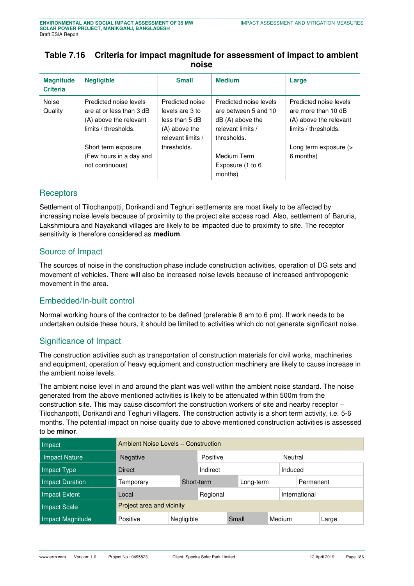## <span id="page-28-0"></span>**Table 7.16 Criteria for impact magnitude for assessment of impact to ambient noise**

| <b>Magnitude</b><br><b>Criteria</b> | <b>Negligible</b>                                                                                    | <b>Small</b>                                                                               | <b>Medium</b>                                                                                           | Large                                                                                           |
|-------------------------------------|------------------------------------------------------------------------------------------------------|--------------------------------------------------------------------------------------------|---------------------------------------------------------------------------------------------------------|-------------------------------------------------------------------------------------------------|
| Noise<br>Quality                    | Predicted noise levels<br>are at or less than 3 dB<br>(A) above the relevant<br>limits / thresholds. | Predicted noise<br>levels are 3 to<br>less than 5 dB<br>(A) above the<br>relevant limits / | Predicted noise levels<br>are between 5 and 10<br>$dB(A)$ above the<br>relevant limits /<br>thresholds. | Predicted noise levels<br>are more than 10 dB<br>(A) above the relevant<br>limits / thresholds. |
|                                     | Short term exposure<br>(Few hours in a day and<br>not continuous)                                    | thresholds.                                                                                | Medium Term<br>Exposure (1 to 6<br>months)                                                              | Long term exposure (><br>6 months)                                                              |

#### **Receptors**

Settlement of Tilochanpotti, Dorikandi and Teghuri settlements are most likely to be affected by increasing noise levels because of proximity to the project site access road. Also, settlement of Baruria, Lakshmipura and Nayakandi villages are likely to be impacted due to proximity to site. The receptor sensitivity is therefore considered as **medium**.

## Source of Impact

The sources of noise in the construction phase include construction activities, operation of DG sets and movement of vehicles. There will also be increased noise levels because of increased anthropogenic movement in the area.

## Embedded/In-built control

Normal working hours of the contractor to be defined (preferable 8 am to 6 pm). If work needs to be undertaken outside these hours, it should be limited to activities which do not generate significant noise.

## Significance of Impact

The construction activities such as transportation of construction materials for civil works, machineries and equipment, operation of heavy equipment and construction machinery are likely to cause increase in the ambient noise levels.

The ambient noise level in and around the plant was well within the ambient noise standard. The noise generated from the above mentioned activities is likely to be attenuated within 500m from the construction site. This may cause discomfort the construction workers of site and nearby receptor – Tilochanpotti, Dorikandi and Teghuri villagers. The construction activity is a short term activity, i.e. 5-6 months. The potential impact on noise quality due to above mentioned construction activities is assessed to be **minor**.

| Impact               | <b>Ambient Noise Levels - Construction</b> |            |          |       |           |               |  |           |  |
|----------------------|--------------------------------------------|------------|----------|-------|-----------|---------------|--|-----------|--|
| <b>Impact Nature</b> | <b>Negative</b>                            | Positive   |          |       | Neutral   |               |  |           |  |
| Impact Type          | <b>Direct</b>                              | Indirect   |          |       | Induced   |               |  |           |  |
| Impact Duration      | Temporary                                  | Short-term |          |       | Long-term |               |  | Permanent |  |
| Impact Extent        | Local                                      |            | Regional |       |           | International |  |           |  |
| Impact Scale         | Project area and vicinity                  |            |          |       |           |               |  |           |  |
| Impact Magnitude     | Positive                                   | Negligible |          | Small |           | Medium        |  | Large     |  |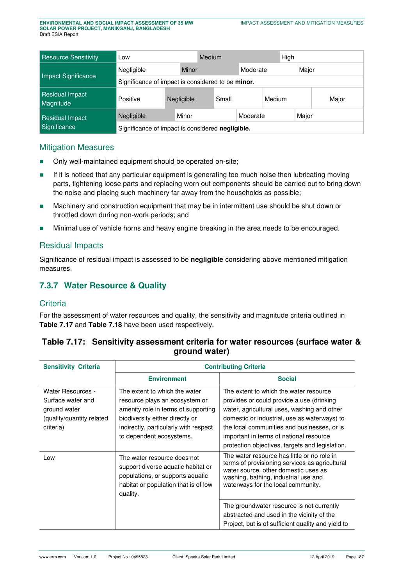| <b>Resource Sensitivity</b>     | Low                                               |  |            | Medium |  | High     |  |       |
|---------------------------------|---------------------------------------------------|--|------------|--------|--|----------|--|-------|
|                                 | Negligible                                        |  | Minor      |        |  | Moderate |  | Major |
| Impact Significance             | Significance of impact is considered to be minor. |  |            |        |  |          |  |       |
| Residual Impact<br>Magnitude    | Positive                                          |  | Negligible | Small  |  | Medium   |  | Major |
| Residual Impact<br>Significance | Minor<br>Major<br>Moderate<br>Negligible          |  |            |        |  |          |  |       |
|                                 | Significance of impact is considered negligible.  |  |            |        |  |          |  |       |

#### Mitigation Measures

- Only well-maintained equipment should be operated on-site;
- If it is noticed that any particular equipment is generating too much noise then lubricating moving parts, tightening loose parts and replacing worn out components should be carried out to bring down the noise and placing such machinery far away from the households as possible;
- **Machinery and construction equipment that may be in intermittent use should be shut down or** throttled down during non-work periods; and
- **Minimal use of vehicle horns and heavy engine breaking in the area needs to be encouraged.**

#### Residual Impacts

Significance of residual impact is assessed to be **negligible** considering above mentioned mitigation measures.

# **7.3.7 Water Resource & Quality**

#### **Criteria**

For the assessment of water resources and quality, the sensitivity and magnitude criteria outlined in **[Table 7.17](#page-29-0)** and **[Table 7.18](#page-30-0)** have been used respectively.

<span id="page-29-0"></span>

| Table 7.17: Sensitivity assessment criteria for water resources (surface water & |
|----------------------------------------------------------------------------------|
| ground water)                                                                    |

| <b>Sensitivity Criteria</b>                                                                             |                                                                                                                                                                                                                | <b>Contributing Criteria</b>                                                                                                                                                                                                                                                                                                    |  |  |  |
|---------------------------------------------------------------------------------------------------------|----------------------------------------------------------------------------------------------------------------------------------------------------------------------------------------------------------------|---------------------------------------------------------------------------------------------------------------------------------------------------------------------------------------------------------------------------------------------------------------------------------------------------------------------------------|--|--|--|
|                                                                                                         | <b>Environment</b>                                                                                                                                                                                             | <b>Social</b>                                                                                                                                                                                                                                                                                                                   |  |  |  |
| <b>Water Resources -</b><br>Surface water and<br>ground water<br>(quality/quantity related<br>criteria) | The extent to which the water<br>resource plays an ecosystem or<br>amenity role in terms of supporting<br>biodiversity either directly or<br>indirectly, particularly with respect<br>to dependent ecosystems. | The extent to which the water resource<br>provides or could provide a use (drinking<br>water, agricultural uses, washing and other<br>domestic or industrial, use as waterways) to<br>the local communities and businesses, or is<br>important in terms of national resource<br>protection objectives, targets and legislation. |  |  |  |
| Low                                                                                                     | The water resource does not<br>support diverse aquatic habitat or<br>populations, or supports aquatic<br>habitat or population that is of low<br>quality.                                                      | The water resource has little or no role in<br>terms of provisioning services as agricultural<br>water source, other domestic uses as<br>washing, bathing, industrial use and<br>waterways for the local community.<br>The groundwater resource is not currently<br>abstracted and used in the vicinity of the                  |  |  |  |
|                                                                                                         |                                                                                                                                                                                                                | Project, but is of sufficient quality and yield to                                                                                                                                                                                                                                                                              |  |  |  |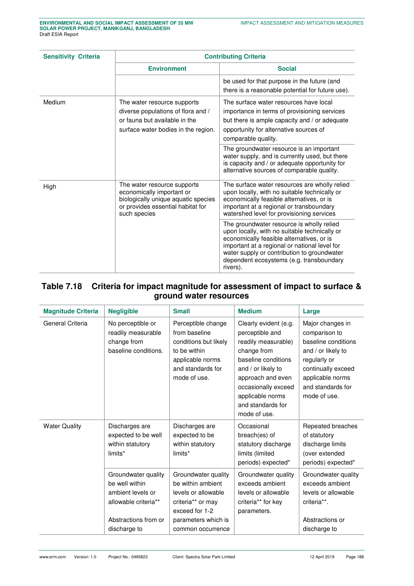| <b>Sensitivity Criteria</b> |                                                                                                                                                      | <b>Contributing Criteria</b>                                                                                                                                                                                                                                                                    |  |  |  |  |  |
|-----------------------------|------------------------------------------------------------------------------------------------------------------------------------------------------|-------------------------------------------------------------------------------------------------------------------------------------------------------------------------------------------------------------------------------------------------------------------------------------------------|--|--|--|--|--|
|                             | <b>Environment</b>                                                                                                                                   | <b>Social</b>                                                                                                                                                                                                                                                                                   |  |  |  |  |  |
|                             |                                                                                                                                                      | be used for that purpose in the future (and<br>there is a reasonable potential for future use).                                                                                                                                                                                                 |  |  |  |  |  |
| Medium                      | The water resource supports<br>diverse populations of flora and /<br>or fauna but available in the<br>surface water bodies in the region.            | The surface water resources have local<br>importance in terms of provisioning services<br>but there is ample capacity and / or adequate<br>opportunity for alternative sources of<br>comparable quality.                                                                                        |  |  |  |  |  |
|                             |                                                                                                                                                      | The groundwater resource is an important<br>water supply, and is currently used, but there<br>is capacity and / or adequate opportunity for<br>alternative sources of comparable quality.                                                                                                       |  |  |  |  |  |
| High                        | The water resource supports<br>economically important or<br>biologically unique aquatic species<br>or provides essential habitat for<br>such species | The surface water resources are wholly relied<br>upon locally, with no suitable technically or<br>economically feasible alternatives, or is<br>important at a regional or transboundary<br>watershed level for provisioning services                                                            |  |  |  |  |  |
|                             |                                                                                                                                                      | The groundwater resource is wholly relied<br>upon locally, with no suitable technically or<br>economically feasible alternatives, or is<br>important at a regional or national level for<br>water supply or contribution to groundwater<br>dependent ecosystems (e.g. transboundary<br>rivers). |  |  |  |  |  |

# <span id="page-30-0"></span>**Table 7.18 Criteria for impact magnitude for assessment of impact to surface & ground water resources**

| <b>Magnitude Criteria</b> | <b>Negligible</b>                                                                                                                       | <b>Small</b>                                                                                                                                       | <b>Medium</b>                                                                                                                                                                                                                    | Large                                                                                                                                                                         |
|---------------------------|-----------------------------------------------------------------------------------------------------------------------------------------|----------------------------------------------------------------------------------------------------------------------------------------------------|----------------------------------------------------------------------------------------------------------------------------------------------------------------------------------------------------------------------------------|-------------------------------------------------------------------------------------------------------------------------------------------------------------------------------|
| General Criteria          | No perceptible or<br>readily measurable<br>change from<br>baseline conditions.                                                          | Perceptible change<br>from baseline<br>conditions but likely<br>to be within<br>applicable norms<br>and standards for<br>mode of use.              | Clearly evident (e.g.<br>perceptible and<br>readily measurable)<br>change from<br>baseline conditions<br>and / or likely to<br>approach and even<br>occasionally exceed<br>applicable norms<br>and standards for<br>mode of use. | Major changes in<br>comparison to<br>baseline conditions<br>and / or likely to<br>regularly or<br>continually exceed<br>applicable norms<br>and standards for<br>mode of use. |
| <b>Water Quality</b>      | Discharges are<br>Discharges are<br>expected to be well<br>expected to be<br>within statutory<br>within statutory<br>limits*<br>limits* |                                                                                                                                                    | Occasional<br>breach(es) of<br>statutory discharge<br>limits (limited<br>periods) expected*                                                                                                                                      | Repeated breaches<br>of statutory<br>discharge limits<br>(over extended<br>periods) expected*                                                                                 |
|                           | Groundwater quality<br>be well within<br>ambient levels or<br>allowable criteria**<br>Abstractions from or<br>discharge to              | Groundwater quality<br>be within ambient<br>levels or allowable<br>criteria** or may<br>exceed for 1-2<br>parameters which is<br>common occurrence | Groundwater quality<br>exceeds ambient<br>levels or allowable<br>criteria** for key<br>parameters.                                                                                                                               | Groundwater quality<br>exceeds ambient<br>levels or allowable<br>criteria**.<br>Abstractions or<br>discharge to                                                               |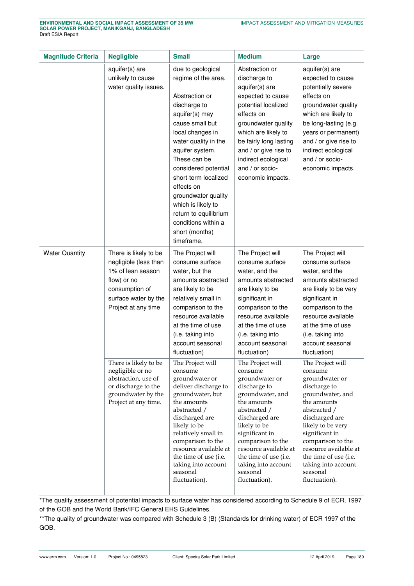| <b>Magnitude Criteria</b> | <b>Negligible</b>                                                                                                                                   | <b>Small</b>                                                                                                                                                                                                                                                                                                                                                                              | <b>Medium</b>                                                                                                                                                                                                                                                                                   | Large                                                                                                                                                                                                                                                                                                |
|---------------------------|-----------------------------------------------------------------------------------------------------------------------------------------------------|-------------------------------------------------------------------------------------------------------------------------------------------------------------------------------------------------------------------------------------------------------------------------------------------------------------------------------------------------------------------------------------------|-------------------------------------------------------------------------------------------------------------------------------------------------------------------------------------------------------------------------------------------------------------------------------------------------|------------------------------------------------------------------------------------------------------------------------------------------------------------------------------------------------------------------------------------------------------------------------------------------------------|
|                           | aquifer(s) are<br>unlikely to cause<br>water quality issues.                                                                                        | due to geological<br>regime of the area.<br>Abstraction or<br>discharge to<br>aquifer(s) may<br>cause small but<br>local changes in<br>water quality in the<br>aquifer system.<br>These can be<br>considered potential<br>short-term localized<br>effects on<br>groundwater quality<br>which is likely to<br>return to equilibrium<br>conditions within a<br>short (months)<br>timeframe. | Abstraction or<br>discharge to<br>aquifer(s) are<br>expected to cause<br>potential localized<br>effects on<br>groundwater quality<br>which are likely to<br>be fairly long lasting<br>and / or give rise to<br>indirect ecological<br>and / or socio-<br>economic impacts.                      | aquifer(s) are<br>expected to cause<br>potentially severe<br>effects on<br>groundwater quality<br>which are likely to<br>be long-lasting (e.g.<br>years or permanent)<br>and / or give rise to<br>indirect ecological<br>and / or socio-<br>economic impacts.                                        |
| <b>Water Quantity</b>     | There is likely to be<br>negligible (less than<br>1% of lean season<br>flow) or no<br>consumption of<br>surface water by the<br>Project at any time | The Project will<br>consume surface<br>water, but the<br>amounts abstracted<br>are likely to be<br>relatively small in<br>comparison to the<br>resource available<br>at the time of use<br>(i.e. taking into<br>account seasonal<br>fluctuation)                                                                                                                                          | The Project will<br>consume surface<br>water, and the<br>amounts abstracted<br>are likely to be<br>significant in<br>comparison to the<br>resource available<br>at the time of use<br>(i.e. taking into<br>account seasonal<br>fluctuation)                                                     | The Project will<br>consume surface<br>water, and the<br>amounts abstracted<br>are likely to be very<br>significant in<br>comparison to the<br>resource available<br>at the time of use<br>(i.e. taking into<br>account seasonal<br>fluctuation)                                                     |
|                           | There is likely to be<br>negligible or no<br>abstraction, use of<br>or discharge to the<br>groundwater by the<br>Project at any time.               | The Project will<br>consume<br>groundwater or<br>deliver discharge to<br>groundwater, but<br>the amounts<br>abstracted /<br>discharged are<br>likely to be<br>relatively small in<br>comparison to the<br>resource available at<br>the time of use (i.e.<br>taking into account<br>seasonal<br>fluctuation).                                                                              | The Project will<br>consume<br>groundwater or<br>discharge to<br>groundwater, and<br>the amounts<br>abstracted /<br>discharged are<br>likely to be<br>significant in<br>comparison to the<br>resource available at<br>the time of use (i.e.<br>taking into account<br>seasonal<br>fluctuation). | The Project will<br>consume<br>groundwater or<br>discharge to<br>groundwater, and<br>the amounts<br>abstracted /<br>discharged are<br>likely to be very<br>significant in<br>comparison to the<br>resource available at<br>the time of use (i.e.<br>taking into account<br>seasonal<br>fluctuation). |

\*The quality assessment of potential impacts to surface water has considered according to Schedule 9 of ECR, 1997 of the GOB and the World Bank/IFC General EHS Guidelines.

\*\*The quality of groundwater was compared with Schedule 3 (B) (Standards for drinking water) of ECR 1997 of the GOB.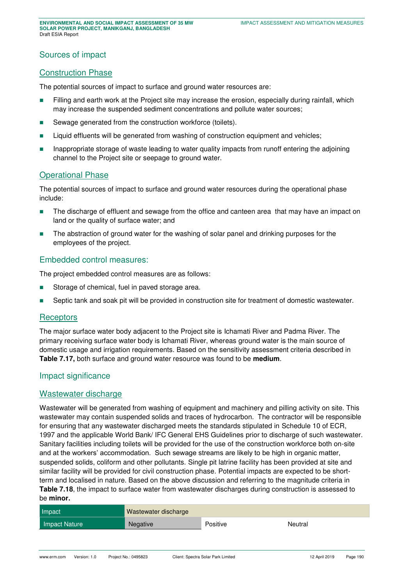## Sources of impact

#### Construction Phase

The potential sources of impact to surface and ground water resources are:

- **Filling and earth work at the Project site may increase the erosion, especially during rainfall, which** may increase the suspended sediment concentrations and pollute water sources;
- Sewage generated from the construction workforce (toilets).
- **Liquid effluents will be generated from washing of construction equipment and vehicles;**
- **Inappropriate storage of waste leading to water quality impacts from runoff entering the adjoining** channel to the Project site or seepage to ground water.

#### Operational Phase

The potential sources of impact to surface and ground water resources during the operational phase include:

- The discharge of effluent and sewage from the office and canteen area that may have an impact on land or the quality of surface water; and
- The abstraction of ground water for the washing of solar panel and drinking purposes for the employees of the project.

#### Embedded control measures:

The project embedded control measures are as follows:

- Storage of chemical, fuel in paved storage area.
- **Septic tank and soak pit will be provided in construction site for treatment of domestic wastewater.**

#### **Receptors**

The major surface water body adjacent to the Project site is Ichamati River and Padma River. The primary receiving surface water body is Ichamati River, whereas ground water is the main source of domestic usage and irrigation requirements. Based on the sensitivity assessment criteria described in **[Table 7.17,](#page-29-0)** both surface and ground water resource was found to be **medium**.

#### Impact significance

#### Wastewater discharge

Wastewater will be generated from washing of equipment and machinery and pilling activity on site. This wastewater may contain suspended solids and traces of hydrocarbon. The contractor will be responsible for ensuring that any wastewater discharged meets the standards stipulated in Schedule 10 of ECR, 1997 and the applicable World Bank/ IFC General EHS Guidelines prior to discharge of such wastewater. Sanitary facilities including toilets will be provided for the use of the construction workforce both on-site and at the workers' accommodation. Such sewage streams are likely to be high in organic matter, suspended solids, coliform and other pollutants. Single pit latrine facility has been provided at site and similar facility will be provided for civil construction phase. Potential impacts are expected to be shortterm and localised in nature. Based on the above discussion and referring to the magnitude criteria in **[Table 7.18](#page-30-0)**, the impact to surface water from wastewater discharges during construction is assessed to be **minor.** 

| Impact        | Wastewater discharge |          |         |
|---------------|----------------------|----------|---------|
| Impact Nature | <b>Negative</b>      | Positive | Neutral |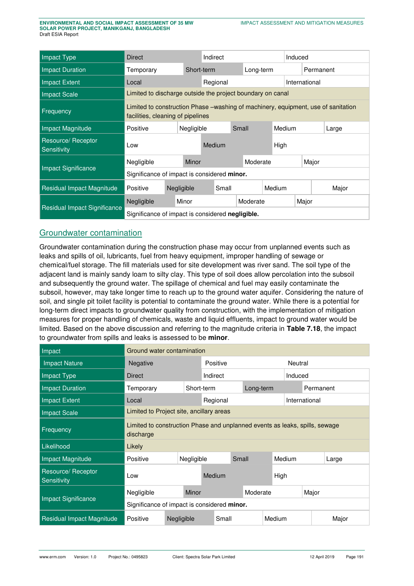| Impact Type                       | Direct                                             |                                                                                                                         | Indirect   |                |  |  |        |           | Induced       |       |  |
|-----------------------------------|----------------------------------------------------|-------------------------------------------------------------------------------------------------------------------------|------------|----------------|--|--|--------|-----------|---------------|-------|--|
| <b>Impact Duration</b>            | Temporary                                          | Short-term                                                                                                              |            | Long-term      |  |  |        | Permanent |               |       |  |
| <b>Impact Extent</b>              | Local                                              |                                                                                                                         |            | Regional       |  |  |        |           | International |       |  |
| <b>Impact Scale</b>               |                                                    | Limited to discharge outside the project boundary on canal                                                              |            |                |  |  |        |           |               |       |  |
| Frequency                         |                                                    | Limited to construction Phase – washing of machinery, equipment, use of sanitation<br>facilities, cleaning of pipelines |            |                |  |  |        |           |               |       |  |
| Impact Magnitude                  | Positive                                           |                                                                                                                         | Negligible | Small          |  |  | Medium |           | Large         |       |  |
| Resource/ Receptor<br>Sensitivity | Low                                                |                                                                                                                         |            | High<br>Medium |  |  |        |           |               |       |  |
|                                   | Negligible<br>Minor                                |                                                                                                                         |            | Moderate       |  |  |        | Major     |               |       |  |
| Impact Significance               | Significance of impact is considered <b>minor.</b> |                                                                                                                         |            |                |  |  |        |           |               |       |  |
| Residual Impact Magnitude         | Positive                                           | Negligible                                                                                                              |            | Small          |  |  | Medium |           |               | Major |  |
|                                   | Negligible                                         | Minor                                                                                                                   |            | Moderate       |  |  |        | Major     |               |       |  |
| Residual Impact Significance      |                                                    | Significance of impact is considered <b>negligible.</b>                                                                 |            |                |  |  |        |           |               |       |  |

## Groundwater contamination

Groundwater contamination during the construction phase may occur from unplanned events such as leaks and spills of oil, lubricants, fuel from heavy equipment, improper handling of sewage or chemical/fuel storage. The fill materials used for site development was river sand. The soil type of the adjacent land is mainly sandy loam to silty clay. This type of soil does allow percolation into the subsoil and subsequently the ground water. The spillage of chemical and fuel may easily contaminate the subsoil, however, may take longer time to reach up to the ground water aquifer. Considering the nature of soil, and single pit toilet facility is potential to contaminate the ground water. While there is a potential for long-term direct impacts to groundwater quality from construction, with the implementation of mitigation measures for proper handling of chemicals, waste and liquid effluents, impact to ground water would be limited. Based on the above discussion and referring to the magnitude criteria in **[Table 7.18](#page-30-0)**, the impact to groundwater from spills and leaks is assessed to be **minor**.

| Impact                            | Ground water contamination                                                               |            |               |       |               |           |         |  |       |
|-----------------------------------|------------------------------------------------------------------------------------------|------------|---------------|-------|---------------|-----------|---------|--|-------|
| <b>Impact Nature</b>              | <b>Negative</b>                                                                          | Positive   |               |       |               |           | Neutral |  |       |
| <b>Impact Type</b>                | <b>Direct</b>                                                                            | Indirect   |               |       |               | Induced   |         |  |       |
| <b>Impact Duration</b>            | Temporary                                                                                | Short-term | Long-term     |       |               | Permanent |         |  |       |
| <b>Impact Extent</b>              | Regional<br>Local                                                                        |            |               |       | International |           |         |  |       |
| <b>Impact Scale</b>               | Limited to Project site, ancillary areas                                                 |            |               |       |               |           |         |  |       |
| Frequency                         | Limited to construction Phase and unplanned events as leaks, spills, sewage<br>discharge |            |               |       |               |           |         |  |       |
| Likelihood                        | Likely                                                                                   |            |               |       |               |           |         |  |       |
| Impact Magnitude                  | Positive                                                                                 | Negligible |               | Small |               |           | Medium  |  | Large |
| Resource/ Receptor<br>Sensitivity | Low                                                                                      |            | <b>Medium</b> |       |               | High      |         |  |       |
|                                   | Negligible                                                                               | Minor      |               |       | Moderate      |           | Major   |  |       |
| <b>Impact Significance</b>        | Significance of impact is considered minor.                                              |            |               |       |               |           |         |  |       |
| Residual Impact Magnitude         | Positive                                                                                 | Negligible | Small         |       |               | Medium    | Major   |  |       |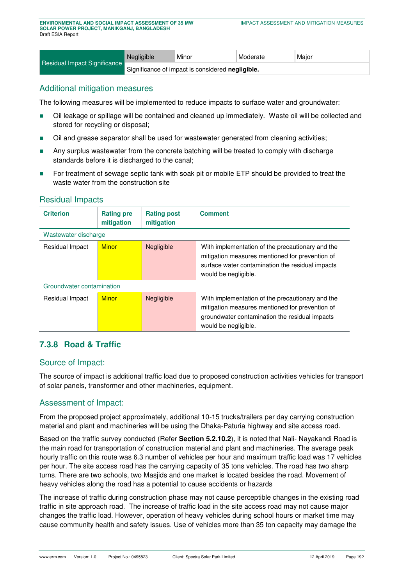|                                                                                         | Negligible | Minor | Moderate | Major |  |
|-----------------------------------------------------------------------------------------|------------|-------|----------|-------|--|
| Residual Impact Significance<br>Significance of impact is considered <b>negligible.</b> |            |       |          |       |  |

## Additional mitigation measures

The following measures will be implemented to reduce impacts to surface water and groundwater:

- Oil leakage or spillage will be contained and cleaned up immediately. Waste oil will be collected and stored for recycling or disposal;
- Oil and grease separator shall be used for wastewater generated from cleaning activities;
- **Any surplus wastewater from the concrete batching will be treated to comply with discharge** standards before it is discharged to the canal;
- For treatment of sewage septic tank with soak pit or mobile ETP should be provided to treat the waste water from the construction site

#### Residual Impacts

| <b>Criterion</b>          | <b>Rating pre</b><br>mitigation | <b>Rating post</b><br>mitigation | <b>Comment</b>                                                                                                                                                                  |
|---------------------------|---------------------------------|----------------------------------|---------------------------------------------------------------------------------------------------------------------------------------------------------------------------------|
| Wastewater discharge      |                                 |                                  |                                                                                                                                                                                 |
| Residual Impact           | <b>Minor</b>                    | Negligible                       | With implementation of the precautionary and the<br>mitigation measures mentioned for prevention of<br>surface water contamination the residual impacts<br>would be negligible. |
| Groundwater contamination |                                 |                                  |                                                                                                                                                                                 |
| Residual Impact           | <b>Minor</b>                    | Negligible                       | With implementation of the precautionary and the<br>mitigation measures mentioned for prevention of<br>groundwater contamination the residual impacts<br>would be negligible.   |

# **7.3.8 Road & Traffic**

## Source of Impact:

The source of impact is additional traffic load due to proposed construction activities vehicles for transport of solar panels, transformer and other machineries, equipment.

#### Assessment of Impact:

From the proposed project approximately, additional 10-15 trucks/trailers per day carrying construction material and plant and machineries will be using the Dhaka-Paturia highway and site access road.

Based on the traffic survey conducted (Refer **Section 5.2.10.2**), it is noted that Nali- Nayakandi Road is the main road for transportation of construction material and plant and machineries. The average peak hourly traffic on this route was 6.3 number of vehicles per hour and maximum traffic load was 17 vehicles per hour. The site access road has the carrying capacity of 35 tons vehicles. The road has two sharp turns. There are two schools, two Masjids and one market is located besides the road. Movement of heavy vehicles along the road has a potential to cause accidents or hazards

The increase of traffic during construction phase may not cause perceptible changes in the existing road traffic in site approach road. The increase of traffic load in the site access road may not cause major changes the traffic load. However, operation of heavy vehicles during school hours or market time may cause community health and safety issues. Use of vehicles more than 35 ton capacity may damage the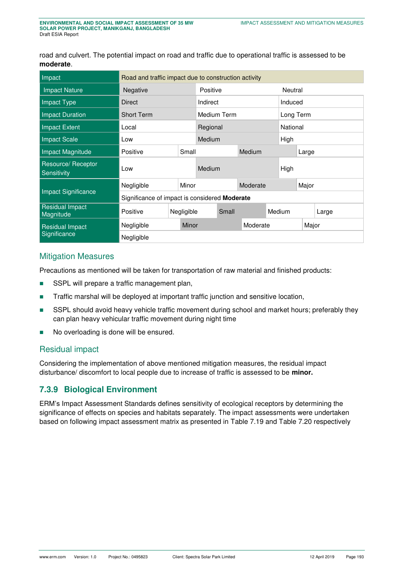road and culvert. The potential impact on road and traffic due to operational traffic is assessed to be **moderate**.

| Impact                              | Road and traffic impact due to construction activity |  |        |          |             |        |          |          |           |  |  |
|-------------------------------------|------------------------------------------------------|--|--------|----------|-------------|--------|----------|----------|-----------|--|--|
| <b>Impact Nature</b>                | Negative                                             |  |        |          | Positive    |        |          |          | Neutral   |  |  |
| Impact Type                         | Direct                                               |  |        | Indirect |             |        |          | Induced  |           |  |  |
| Impact Duration                     | <b>Short Term</b>                                    |  |        |          | Medium Term |        |          |          | Long Term |  |  |
| <b>Impact Extent</b>                | Local                                                |  |        | Regional |             |        |          | National |           |  |  |
| <b>Impact Scale</b>                 | Low                                                  |  | Medium |          |             | High   |          |          |           |  |  |
| Impact Magnitude                    | Positive                                             |  | Small  |          | Medium      |        | Large    |          |           |  |  |
| Resource/ Receptor<br>Sensitivity   | Low                                                  |  | Medium |          |             | High   |          |          |           |  |  |
|                                     | Negligible                                           |  | Minor  | Moderate |             | Major  |          |          |           |  |  |
| <b>Impact Significance</b>          | Significance of impact is considered Moderate        |  |        |          |             |        |          |          |           |  |  |
| <b>Residual Impact</b><br>Magnitude | Negligible<br>Positive                               |  | Small  |          |             | Medium |          | Large    |           |  |  |
| <b>Residual Impact</b>              | Negligible                                           |  | Minor  |          |             |        | Moderate |          | Major     |  |  |
| Significance                        | Negligible                                           |  |        |          |             |        |          |          |           |  |  |

#### Mitigation Measures

Precautions as mentioned will be taken for transportation of raw material and finished products:

- SSPL will prepare a traffic management plan,
- **Traffic marshal will be deployed at important traffic junction and sensitive location,**
- SSPL should avoid heavy vehicle traffic movement during school and market hours; preferably they can plan heavy vehicular traffic movement during night time
- No overloading is done will be ensured.

#### Residual impact

Considering the implementation of above mentioned mitigation measures, the residual impact disturbance/ discomfort to local people due to increase of traffic is assessed to be **minor.** 

## **7.3.9 Biological Environment**

ERM's Impact Assessment Standards defines sensitivity of ecological receptors by determining the significance of effects on species and habitats separately. The impact assessments were undertaken based on following impact assessment matrix as presented in [Table 7.19](#page-36-0) and [Table 7.20](#page-37-0) respectively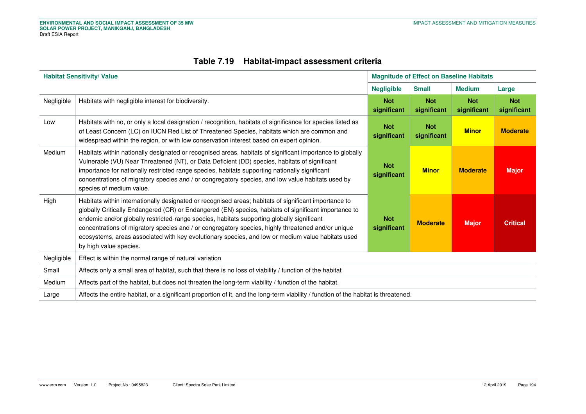|  | Table 7.19 Habitat-impact assessment criteria |  |  |
|--|-----------------------------------------------|--|--|
|--|-----------------------------------------------|--|--|

<span id="page-36-0"></span>

|            | <b>Habitat Sensitivity/ Value</b>                                                                                                                                                                                                                                                                                                                                                                                                                                                                                                                 | <b>Magnitude of Effect on Baseline Habitats</b>        |                           |                 |                           |  |  |
|------------|---------------------------------------------------------------------------------------------------------------------------------------------------------------------------------------------------------------------------------------------------------------------------------------------------------------------------------------------------------------------------------------------------------------------------------------------------------------------------------------------------------------------------------------------------|--------------------------------------------------------|---------------------------|-----------------|---------------------------|--|--|
|            |                                                                                                                                                                                                                                                                                                                                                                                                                                                                                                                                                   | <b>Negligible</b>                                      | <b>Small</b>              | <b>Medium</b>   | Large                     |  |  |
| Negligible | Habitats with negligible interest for biodiversity.                                                                                                                                                                                                                                                                                                                                                                                                                                                                                               | <b>Not</b><br><b>Not</b><br>significant<br>significant |                           |                 | <b>Not</b><br>significant |  |  |
| Low        | Habitats with no, or only a local designation / recognition, habitats of significance for species listed as<br>of Least Concern (LC) on IUCN Red List of Threatened Species, habitats which are common and<br>widespread within the region, or with low conservation interest based on expert opinion.                                                                                                                                                                                                                                            | <b>Not</b><br>significant                              | <b>Not</b><br>significant | <b>Minor</b>    | <b>Moderate</b>           |  |  |
| Medium     | Habitats within nationally designated or recognised areas, habitats of significant importance to globally<br>Vulnerable (VU) Near Threatened (NT), or Data Deficient (DD) species, habitats of significant<br>importance for nationally restricted range species, habitats supporting nationally significant<br>concentrations of migratory species and / or congregatory species, and low value habitats used by<br>species of medium value.                                                                                                     | <b>Not</b><br>significant                              | <b>Minor</b>              | <b>Moderate</b> | <b>Major</b>              |  |  |
| High       | Habitats within internationally designated or recognised areas; habitats of significant importance to<br>globally Critically Endangered (CR) or Endangered (EN) species, habitats of significant importance to<br>endemic and/or globally restricted-range species, habitats supporting globally significant<br>concentrations of migratory species and / or congregatory species, highly threatened and/or unique<br>ecosystems, areas associated with key evolutionary species, and low or medium value habitats used<br>by high value species. | <b>Not</b><br>significant                              | <b>Moderate</b>           | <b>Major</b>    | <b>Critical</b>           |  |  |
| Negligible | Effect is within the normal range of natural variation                                                                                                                                                                                                                                                                                                                                                                                                                                                                                            |                                                        |                           |                 |                           |  |  |
| Small      | Affects only a small area of habitat, such that there is no loss of viability / function of the habitat                                                                                                                                                                                                                                                                                                                                                                                                                                           |                                                        |                           |                 |                           |  |  |
| Medium     | Affects part of the habitat, but does not threaten the long-term viability / function of the habitat.                                                                                                                                                                                                                                                                                                                                                                                                                                             |                                                        |                           |                 |                           |  |  |
| Large      | Affects the entire habitat, or a significant proportion of it, and the long-term viability / function of the habitat is threatened.                                                                                                                                                                                                                                                                                                                                                                                                               |                                                        |                           |                 |                           |  |  |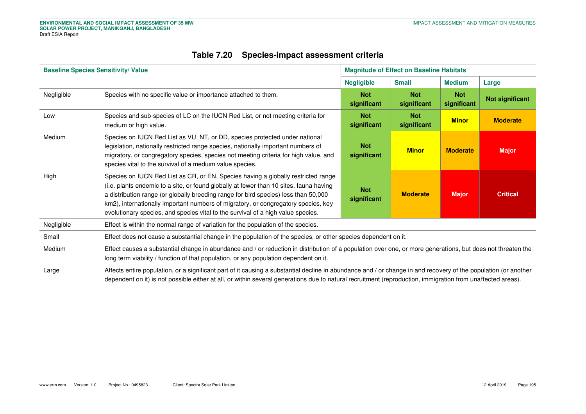<span id="page-37-0"></span>

| <b>Baseline Species Sensitivity/ Value</b> |                                                                                                                                                                                                                                                                                                                                                                                                                                              |                           | <b>Magnitude of Effect on Baseline Habitats</b> |                           |                        |  |  |  |
|--------------------------------------------|----------------------------------------------------------------------------------------------------------------------------------------------------------------------------------------------------------------------------------------------------------------------------------------------------------------------------------------------------------------------------------------------------------------------------------------------|---------------------------|-------------------------------------------------|---------------------------|------------------------|--|--|--|
|                                            |                                                                                                                                                                                                                                                                                                                                                                                                                                              | <b>Negligible</b>         | <b>Small</b>                                    | <b>Medium</b>             | Large                  |  |  |  |
| Negligible                                 | Species with no specific value or importance attached to them.                                                                                                                                                                                                                                                                                                                                                                               | <b>Not</b><br>significant | <b>Not</b><br>significant                       | <b>Not</b><br>significant | <b>Not significant</b> |  |  |  |
| Low                                        | Species and sub-species of LC on the IUCN Red List, or not meeting criteria for<br>medium or high value.                                                                                                                                                                                                                                                                                                                                     | <b>Not</b><br>significant | <b>Not</b><br>significant                       | <b>Minor</b>              | <b>Moderate</b>        |  |  |  |
| Medium                                     | Species on IUCN Red List as VU, NT, or DD, species protected under national<br>legislation, nationally restricted range species, nationally important numbers of<br>migratory, or congregatory species, species not meeting criteria for high value, and<br>species vital to the survival of a medium value species.                                                                                                                         | <b>Not</b><br>significant |                                                 |                           |                        |  |  |  |
| High                                       | Species on IUCN Red List as CR, or EN. Species having a globally restricted range<br>(i.e. plants endemic to a site, or found globally at fewer than 10 sites, fauna having<br>a distribution range (or globally breeding range for bird species) less than 50,000<br>km2), internationally important numbers of migratory, or congregatory species, key<br>evolutionary species, and species vital to the survival of a high value species. | <b>Not</b><br>significant | <b>Moderate</b>                                 | <b>Major</b>              | <b>Critical</b>        |  |  |  |
| Negligible                                 | Effect is within the normal range of variation for the population of the species.                                                                                                                                                                                                                                                                                                                                                            |                           |                                                 |                           |                        |  |  |  |
| Small                                      | Effect does not cause a substantial change in the population of the species, or other species dependent on it.                                                                                                                                                                                                                                                                                                                               |                           |                                                 |                           |                        |  |  |  |
| Medium                                     | Effect causes a substantial change in abundance and / or reduction in distribution of a population over one, or more generations, but does not threaten the<br>long term viability / function of that population, or any population dependent on it.                                                                                                                                                                                         |                           |                                                 |                           |                        |  |  |  |
| Large                                      | Affects entire population, or a significant part of it causing a substantial decline in abundance and / or change in and recovery of the population (or another<br>dependent on it) is not possible either at all, or within several generations due to natural recruitment (reproduction, immigration from unaffected areas).                                                                                                               |                           |                                                 |                           |                        |  |  |  |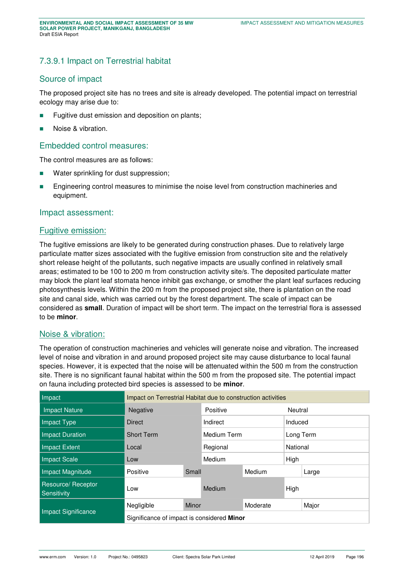## 7.3.9.1 Impact on Terrestrial habitat

## Source of impact

The proposed project site has no trees and site is already developed. The potential impact on terrestrial ecology may arise due to:

- Fugitive dust emission and deposition on plants;
- Noise & vibration.

#### Embedded control measures:

The control measures are as follows:

- **Water sprinkling for dust suppression;**
- **Engineering control measures to minimise the noise level from construction machineries and** equipment.

#### Impact assessment:

#### Fugitive emission:

The fugitive emissions are likely to be generated during construction phases. Due to relatively large particulate matter sizes associated with the fugitive emission from construction site and the relatively short release height of the pollutants, such negative impacts are usually confined in relatively small areas; estimated to be 100 to 200 m from construction activity site/s. The deposited particulate matter may block the plant leaf stomata hence inhibit gas exchange, or smother the plant leaf surfaces reducing photosynthesis levels. Within the 200 m from the proposed project site, there is plantation on the road site and canal side, which was carried out by the forest department. The scale of impact can be considered as **small**. Duration of impact will be short term. The impact on the terrestrial flora is assessed to be **minor**.

#### Noise & vibration:

The operation of construction machineries and vehicles will generate noise and vibration. The increased level of noise and vibration in and around proposed project site may cause disturbance to local faunal species. However, it is expected that the noise will be attenuated within the 500 m from the construction site. There is no significant faunal habitat within the 500 m from the proposed site. The potential impact on fauna including protected bird species is assessed to be **minor**.

| Impact                            | Impact on Terrestrial Habitat due to construction activities |       |                     |        |          |           |  |
|-----------------------------------|--------------------------------------------------------------|-------|---------------------|--------|----------|-----------|--|
| <b>Impact Nature</b>              | Negative                                                     |       | Positive<br>Neutral |        |          |           |  |
| Impact Type                       | <b>Direct</b>                                                |       | Indirect            |        |          | Induced   |  |
| <b>Impact Duration</b>            | <b>Short Term</b>                                            |       | Medium Term         |        |          | Long Term |  |
| Impact Extent                     | Local                                                        |       | Regional            |        | National |           |  |
| <b>Impact Scale</b>               | Low                                                          |       | Medium              |        | High     |           |  |
| Impact Magnitude                  | Positive                                                     | Small |                     | Medium |          | Large     |  |
| Resource/ Receptor<br>Sensitivity | Low                                                          |       | Medium              |        | High     |           |  |
|                                   | Negligible<br>Minor                                          |       | Moderate            |        | Major    |           |  |
| <b>Impact Significance</b>        | Significance of impact is considered Minor                   |       |                     |        |          |           |  |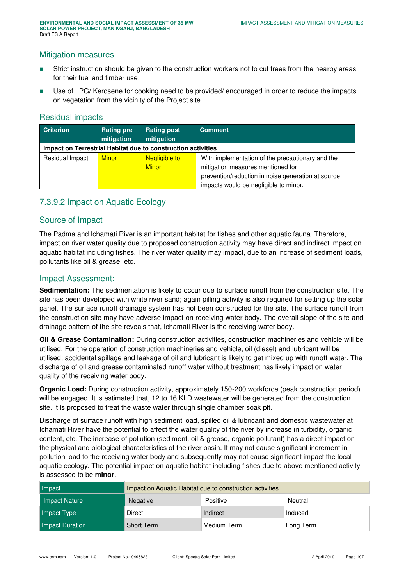#### Mitigation measures

- Strict instruction should be given to the construction workers not to cut trees from the nearby areas for their fuel and timber use;
- Use of LPG/ Kerosene for cooking need to be provided/ encouraged in order to reduce the impacts on vegetation from the vicinity of the Project site.

#### Residual impacts

| <b>Criterion</b>                                             | <b>Rating pre</b><br>mitigation | <b>Rating post</b><br>mitigation | <b>Comment</b>                                     |
|--------------------------------------------------------------|---------------------------------|----------------------------------|----------------------------------------------------|
| Impact on Terrestrial Habitat due to construction activities |                                 |                                  |                                                    |
| Residual Impact                                              | <b>Minor</b>                    | <b>Negligible to</b>             | With implementation of the precautionary and the   |
|                                                              |                                 | <b>Minor</b>                     | mitigation measures mentioned for                  |
|                                                              |                                 |                                  | prevention/reduction in noise generation at source |
|                                                              |                                 |                                  | impacts would be negligible to minor.              |

## 7.3.9.2 Impact on Aquatic Ecology

#### Source of Impact

The Padma and Ichamati River is an important habitat for fishes and other aquatic fauna. Therefore, impact on river water quality due to proposed construction activity may have direct and indirect impact on aquatic habitat including fishes. The river water quality may impact, due to an increase of sediment loads, pollutants like oil & grease, etc.

#### Impact Assessment:

**Sedimentation:** The sedimentation is likely to occur due to surface runoff from the construction site. The site has been developed with white river sand; again pilling activity is also required for setting up the solar panel. The surface runoff drainage system has not been constructed for the site. The surface runoff from the construction site may have adverse impact on receiving water body. The overall slope of the site and drainage pattern of the site reveals that, Ichamati River is the receiving water body.

**Oil & Grease Contamination:** During construction activities, construction machineries and vehicle will be utilised. For the operation of construction machineries and vehicle, oil (diesel) and lubricant will be utilised; accidental spillage and leakage of oil and lubricant is likely to get mixed up with runoff water. The discharge of oil and grease contaminated runoff water without treatment has likely impact on water quality of the receiving water body.

**Organic Load:** During construction activity, approximately 150-200 workforce (peak construction period) will be engaged. It is estimated that, 12 to 16 KLD wastewater will be generated from the construction site. It is proposed to treat the waste water through single chamber soak pit.

Discharge of surface runoff with high sediment load, spilled oil & lubricant and domestic wastewater at Ichamati River have the potential to affect the water quality of the river by increase in turbidity, organic content, etc. The increase of pollution (sediment, oil & grease, organic pollutant) has a direct impact on the physical and biological characteristics of the river basin. It may not cause significant increment in pollution load to the receiving water body and subsequently may not cause significant impact the local aquatic ecology. The potential impact on aquatic habitat including fishes due to above mentioned activity is assessed to be **minor**.

| Impact          | Impact on Aquatic Habitat due to construction activities |             |           |  |  |  |
|-----------------|----------------------------------------------------------|-------------|-----------|--|--|--|
| Impact Nature   | Negative                                                 | Positive    |           |  |  |  |
| Impact Type     | Direct                                                   | Indirect    | Induced   |  |  |  |
| Impact Duration | <b>Short Term</b>                                        | Medium Term | Long Term |  |  |  |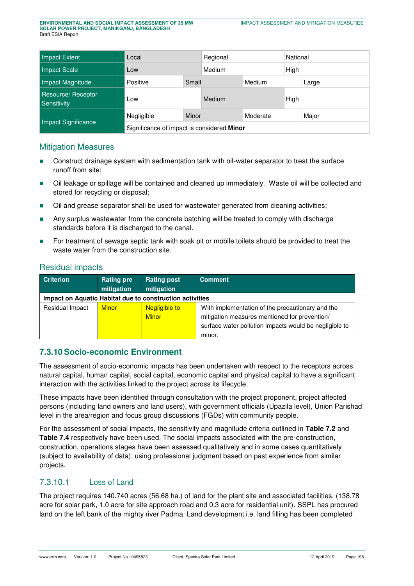| Impact Extent                    | Local                                      |       | Regional |          | National |       |
|----------------------------------|--------------------------------------------|-------|----------|----------|----------|-------|
| Impact Scale                     | Low                                        |       | Medium   |          | High     |       |
| Impact Magnitude                 | Small<br>Positive                          |       | Medium   |          |          | Large |
| Resource/Receptor<br>Sensitivity | Low                                        |       | Medium   |          | High     |       |
|                                  | Negligible                                 | Minor |          | Moderate |          | Major |
| Impact Significance              | Significance of impact is considered Minor |       |          |          |          |       |

## Mitigation Measures

- Construct drainage system with sedimentation tank with oil-water separator to treat the surface runoff from site;
- Oil leakage or spillage will be contained and cleaned up immediately. Waste oil will be collected and stored for recycling or disposal;
- Oil and grease separator shall be used for wastewater generated from cleaning activities;
- Any surplus wastewater from the concrete batching will be treated to comply with discharge standards before it is discharged to the canal.
- For treatment of sewage septic tank with soak pit or mobile toilets should be provided to treat the waste water from the construction site.

#### Residual impacts

| <b>Criterion</b>                                         | <b>Rating pre</b><br>mitigation | <b>Rating post</b><br>mitigation     | <b>Comment</b>                                                                                                                                                        |  |  |  |  |
|----------------------------------------------------------|---------------------------------|--------------------------------------|-----------------------------------------------------------------------------------------------------------------------------------------------------------------------|--|--|--|--|
| Impact on Aquatic Habitat due to construction activities |                                 |                                      |                                                                                                                                                                       |  |  |  |  |
| Residual Impact                                          | <b>Minor</b>                    | <b>Negligible to</b><br><b>Minor</b> | With implementation of the precautionary and the<br>mitigation measures mentioned for prevention/<br>surface water pollution impacts would be negligible to<br>minor. |  |  |  |  |

## **7.3.10 Socio-economic Environment**

The assessment of socio-economic impacts has been undertaken with respect to the receptors across natural capital, human capital, social capital, economic capital and physical capital to have a significant interaction with the activities linked to the project across its lifecycle.

These impacts have been identified through consultation with the project proponent, project affected persons (including land owners and land users), with government officials (Upazila level), Union Parishad level in the area/region and focus group discussions (FGDs) with community people.

For the assessment of social impacts, the sensitivity and magnitude criteria outlined in **[Table 7.2](#page-7-1)** and **[Table 7.4](#page-9-0)** respectively have been used. The social impacts associated with the pre-construction, construction, operations stages have been assessed qualitatively and in some cases quantitatively (subject to availability of data), using professional judgment based on past experience from similar projects.

## 7.3.10.1 Loss of Land

The project requires 140.740 acres (56.68 ha.) of land for the plant site and associated facilities. (138.78 acre for solar park, 1.0 acre for site approach road and 0.3 acre for residential unit). SSPL has procured land on the left bank of the mighty river Padma. Land development i.e. land filling has been completed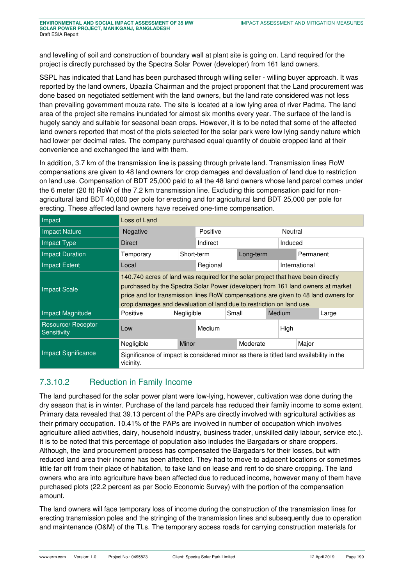**ENVIRONMENTAL AND SOCIAL IMPACT ASSESSMENT OF 35 MW SOLAR POWER PROJECT, MANIKGANJ, BANGLADESH** Draft ESIA Report

and levelling of soil and construction of boundary wall at plant site is going on. Land required for the project is directly purchased by the Spectra Solar Power (developer) from 161 land owners.

SSPL has indicated that Land has been purchased through willing seller - willing buyer approach. It was reported by the land owners, Upazila Chairman and the project proponent that the Land procurement was done based on negotiated settlement with the land owners, but the land rate considered was not less than prevailing government mouza rate. The site is located at a low lying area of river Padma. The land area of the project site remains inundated for almost six months every year. The surface of the land is hugely sandy and suitable for seasonal bean crops. However, it is to be noted that some of the affected land owners reported that most of the plots selected for the solar park were low lying sandy nature which had lower per decimal rates. The company purchased equal quantity of double cropped land at their convenience and exchanged the land with them.

In addition, 3.7 km of the transmission line is passing through private land. Transmission lines RoW compensations are given to 48 land owners for crop damages and devaluation of land due to restriction on land use. Compensation of BDT 25,000 paid to all the 48 land owners whose land parcel comes under the 6 meter (20 ft) RoW of the 7.2 km transmission line. Excluding this compensation paid for nonagricultural land BDT 40,000 per pole for erecting and for agricultural land BDT 25,000 per pole for erecting. These affected land owners have received one-time compensation.

| Impact                            | Loss of Land                                                                                                                                                                                                                                                                                                                      |            |          |       |           |        |         |               |       |
|-----------------------------------|-----------------------------------------------------------------------------------------------------------------------------------------------------------------------------------------------------------------------------------------------------------------------------------------------------------------------------------|------------|----------|-------|-----------|--------|---------|---------------|-------|
| Impact Nature                     | <b>Negative</b>                                                                                                                                                                                                                                                                                                                   | Positive   |          |       |           |        | Neutral |               |       |
| <b>Impact Type</b>                | <b>Direct</b>                                                                                                                                                                                                                                                                                                                     |            | Indirect |       |           |        | Induced |               |       |
| <b>Impact Duration</b>            | Temporary                                                                                                                                                                                                                                                                                                                         | Short-term |          |       | Long-term |        |         | Permanent     |       |
| Impact Extent                     | Local                                                                                                                                                                                                                                                                                                                             |            | Regional |       |           |        |         | International |       |
| <b>Impact Scale</b>               | 140.740 acres of land was required for the solar project that have been directly<br>purchased by the Spectra Solar Power (developer) from 161 land owners at market<br>price and for transmission lines RoW compensations are given to 48 land owners for<br>crop damages and devaluation of land due to restriction on land use. |            |          |       |           |        |         |               |       |
| Impact Magnitude                  | Positive                                                                                                                                                                                                                                                                                                                          | Negligible |          | Small |           | Medium |         |               | Large |
| Resource/ Receptor<br>Sensitivity | Low                                                                                                                                                                                                                                                                                                                               |            | Medium   |       |           |        | High    |               |       |
|                                   | Negligible                                                                                                                                                                                                                                                                                                                        | Minor      |          |       | Moderate  |        |         | Major         |       |
| <b>Impact Significance</b>        | Significance of impact is considered minor as there is titled land availability in the<br>vicinity.                                                                                                                                                                                                                               |            |          |       |           |        |         |               |       |

# 7.3.10.2 Reduction in Family Income

The land purchased for the solar power plant were low-lying, however, cultivation was done during the dry season that is in winter. Purchase of the land parcels has reduced their family income to some extent. Primary data revealed that 39.13 percent of the PAPs are directly involved with agricultural activities as their primary occupation. 10.41% of the PAPs are involved in number of occupation which involves agriculture allied activities, dairy, household industry, business trader, unskilled daily labour, service etc.). It is to be noted that this percentage of population also includes the Bargadars or share croppers. Although, the land procurement process has compensated the Bargadars for their losses, but with reduced land area their income has been affected. They had to move to adjacent locations or sometimes little far off from their place of habitation, to take land on lease and rent to do share cropping. The land owners who are into agriculture have been affected due to reduced income, however many of them have purchased plots (22.2 percent as per Socio Economic Survey) with the portion of the compensation amount.

The land owners will face temporary loss of income during the construction of the transmission lines for erecting transmission poles and the stringing of the transmission lines and subsequently due to operation and maintenance (O&M) of the TLs. The temporary access roads for carrying construction materials for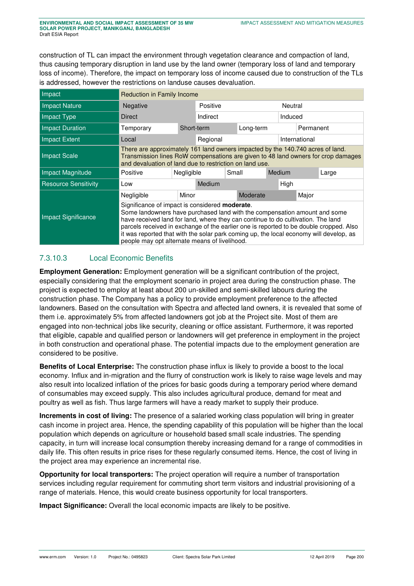construction of TL can impact the environment through vegetation clearance and compaction of land, thus causing temporary disruption in land use by the land owner (temporary loss of land and temporary loss of income). Therefore, the impact on temporary loss of income caused due to construction of the TLs is addressed, however the restrictions on landuse causes devaluation.

| Impact                      |                                                                                                                                                                                                                                                                                                                                                                                                                                                              | <b>Reduction in Family Income</b> |          |           |          |        |           |               |  |  |
|-----------------------------|--------------------------------------------------------------------------------------------------------------------------------------------------------------------------------------------------------------------------------------------------------------------------------------------------------------------------------------------------------------------------------------------------------------------------------------------------------------|-----------------------------------|----------|-----------|----------|--------|-----------|---------------|--|--|
| <b>Impact Nature</b>        | Negative                                                                                                                                                                                                                                                                                                                                                                                                                                                     |                                   | Positive |           |          |        | Neutral   |               |  |  |
| Impact Type                 | Direct                                                                                                                                                                                                                                                                                                                                                                                                                                                       |                                   | Indirect |           |          |        |           | Induced       |  |  |
| Impact Duration             | Temporary                                                                                                                                                                                                                                                                                                                                                                                                                                                    | Short-term                        |          | Long-term |          |        | Permanent |               |  |  |
| Impact Extent               | Local                                                                                                                                                                                                                                                                                                                                                                                                                                                        |                                   | Regional |           |          |        |           | International |  |  |
| Impact Scale                | There are approximately 161 land owners impacted by the 140.740 acres of land.<br>Transmission lines RoW compensations are given to 48 land owners for crop damages<br>and devaluation of land due to restriction on land use.                                                                                                                                                                                                                               |                                   |          |           |          |        |           |               |  |  |
| Impact Magnitude            | Positive                                                                                                                                                                                                                                                                                                                                                                                                                                                     | Negligible                        |          | Small     |          | Medium |           | Large         |  |  |
| <b>Resource Sensitivity</b> | Low                                                                                                                                                                                                                                                                                                                                                                                                                                                          |                                   | Medium   |           |          | High   |           |               |  |  |
|                             | Negligible                                                                                                                                                                                                                                                                                                                                                                                                                                                   | Minor                             |          |           | Moderate |        |           | Major         |  |  |
| <b>Impact Significance</b>  | Significance of impact is considered <b>moderate</b> .<br>Some landowners have purchased land with the compensation amount and some<br>have received land for land, where they can continue to do cultivation. The land<br>parcels received in exchange of the earlier one is reported to be double cropped. Also<br>it was reported that with the solar park coming up, the local economy will develop, as<br>people may opt alternate means of livelihood. |                                   |          |           |          |        |           |               |  |  |

## 7.3.10.3 Local Economic Benefits

**Employment Generation:** Employment generation will be a significant contribution of the project, especially considering that the employment scenario in project area during the construction phase. The project is expected to employ at least about 200 un-skilled and semi-skilled labours during the construction phase. The Company has a policy to provide employment preference to the affected landowners. Based on the consultation with Spectra and affected land owners, it is revealed that some of them i.e. approximately 5% from affected landowners got job at the Project site. Most of them are engaged into non-technical jobs like security, cleaning or office assistant. Furthermore, it was reported that eligible, capable and qualified person or landowners will get preference in employment in the project in both construction and operational phase. The potential impacts due to the employment generation are considered to be positive.

**Benefits of Local Enterprise:** The construction phase influx is likely to provide a boost to the local economy. Influx and in-migration and the flurry of construction work is likely to raise wage levels and may also result into localized inflation of the prices for basic goods during a temporary period where demand of consumables may exceed supply. This also includes agricultural produce, demand for meat and poultry as well as fish. Thus large farmers will have a ready market to supply their produce.

**Increments in cost of living:** The presence of a salaried working class population will bring in greater cash income in project area. Hence, the spending capability of this population will be higher than the local population which depends on agriculture or household based small scale industries. The spending capacity, in turn will increase local consumption thereby increasing demand for a range of commodities in daily life. This often results in price rises for these regularly consumed items. Hence, the cost of living in the project area may experience an incremental rise.

**Opportunity for local transporters:** The project operation will require a number of transportation services including regular requirement for commuting short term visitors and industrial provisioning of a range of materials. Hence, this would create business opportunity for local transporters.

**Impact Significance:** Overall the local economic impacts are likely to be positive.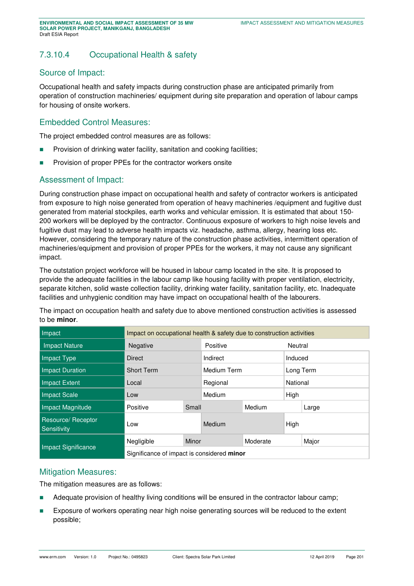# 7.3.10.4 Occupational Health & safety

#### Source of Impact:

Occupational health and safety impacts during construction phase are anticipated primarily from operation of construction machineries/ equipment during site preparation and operation of labour camps for housing of onsite workers.

## Embedded Control Measures:

The project embedded control measures are as follows:

- **Provision of drinking water facility, sanitation and cooking facilities;**
- **Provision of proper PPEs for the contractor workers onsite**

## Assessment of Impact:

During construction phase impact on occupational health and safety of contractor workers is anticipated from exposure to high noise generated from operation of heavy machineries /equipment and fugitive dust generated from material stockpiles, earth works and vehicular emission. It is estimated that about 150- 200 workers will be deployed by the contractor. Continuous exposure of workers to high noise levels and fugitive dust may lead to adverse health impacts viz. headache, asthma, allergy, hearing loss etc. However, considering the temporary nature of the construction phase activities, intermittent operation of machineries/equipment and provision of proper PPEs for the workers, it may not cause any significant impact.

The outstation project workforce will be housed in labour camp located in the site. It is proposed to provide the adequate facilities in the labour camp like housing facility with proper ventilation, electricity, separate kitchen, solid waste collection facility, drinking water facility, sanitation facility, etc. Inadequate facilities and unhygienic condition may have impact on occupational health of the labourers.

The impact on occupation health and safety due to above mentioned construction activities is assessed to be **minor**.

| Impact                            | Impact on occupational health & safety due to construction activities |                                            |             |          |           |       |  |  |  |
|-----------------------------------|-----------------------------------------------------------------------|--------------------------------------------|-------------|----------|-----------|-------|--|--|--|
| <b>Impact Nature</b>              | Negative                                                              |                                            | Positive    |          | Neutral   |       |  |  |  |
| Impact Type                       | <b>Direct</b>                                                         |                                            | Indirect    |          | Induced   |       |  |  |  |
| <b>Impact Duration</b>            | <b>Short Term</b>                                                     |                                            | Medium Term |          | Long Term |       |  |  |  |
| Impact Extent                     | Local                                                                 |                                            | Regional    |          | National  |       |  |  |  |
| Impact Scale                      | Low                                                                   |                                            | Medium      |          | High      |       |  |  |  |
| Impact Magnitude                  | Positive                                                              | Small                                      |             | Medium   |           | Large |  |  |  |
| Resource/ Receptor<br>Sensitivity | Low                                                                   |                                            | Medium      |          | High      |       |  |  |  |
|                                   | Negligible                                                            | Minor                                      |             | Moderate |           | Major |  |  |  |
| <b>Impact Significance</b>        |                                                                       | Significance of impact is considered minor |             |          |           |       |  |  |  |

#### Mitigation Measures:

The mitigation measures are as follows:

- Adequate provision of healthy living conditions will be ensured in the contractor labour camp;
- **Exposure of workers operating near high noise generating sources will be reduced to the extent** possible;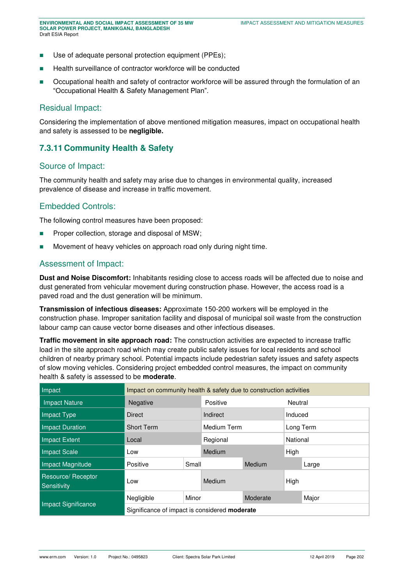- Use of adequate personal protection equipment (PPEs);
- Health surveillance of contractor workforce will be conducted
- **Decupational health and safety of contractor workforce will be assured through the formulation of an** "Occupational Health & Safety Management Plan".

#### Residual Impact:

Considering the implementation of above mentioned mitigation measures, impact on occupational health and safety is assessed to be **negligible.** 

#### **7.3.11 Community Health & Safety**

#### Source of Impact:

The community health and safety may arise due to changes in environmental quality, increased prevalence of disease and increase in traffic movement.

### Embedded Controls:

The following control measures have been proposed:

- **Proper collection, storage and disposal of MSW;**
- Movement of heavy vehicles on approach road only during night time.

#### Assessment of Impact:

**Dust and Noise Discomfort:** Inhabitants residing close to access roads will be affected due to noise and dust generated from vehicular movement during construction phase. However, the access road is a paved road and the dust generation will be minimum.

**Transmission of infectious diseases:** Approximate 150-200 workers will be employed in the construction phase. Improper sanitation facility and disposal of municipal soil waste from the construction labour camp can cause vector borne diseases and other infectious diseases.

**Traffic movement in site approach road:** The construction activities are expected to increase traffic load in the site approach road which may create public safety issues for local residents and school children of nearby primary school. Potential impacts include pedestrian safety issues and safety aspects of slow moving vehicles. Considering project embedded control measures, the impact on community health & safety is assessed to be **moderate**.

| Impact                            | Impact on community health & safety due to construction activities |       |               |          |           |         |  |  |  |
|-----------------------------------|--------------------------------------------------------------------|-------|---------------|----------|-----------|---------|--|--|--|
| <b>Impact Nature</b>              | Negative                                                           |       | Positive      |          |           | Neutral |  |  |  |
| Impact Type                       | <b>Direct</b>                                                      |       | Indirect      |          | Induced   |         |  |  |  |
| <b>Impact Duration</b>            | <b>Short Term</b>                                                  |       | Medium Term   |          | Long Term |         |  |  |  |
| Impact Extent                     | Local                                                              |       | Regional      |          | National  |         |  |  |  |
| <b>Impact Scale</b>               | Low                                                                |       | <b>Medium</b> |          | High      |         |  |  |  |
| Impact Magnitude                  | Positive                                                           | Small |               | Medium   |           | Large   |  |  |  |
| Resource/ Receptor<br>Sensitivity | Low                                                                |       | Medium        |          | High      |         |  |  |  |
|                                   | Negligible                                                         | Minor |               | Moderate |           | Major   |  |  |  |
| Impact Significance               | Significance of impact is considered <b>moderate</b>               |       |               |          |           |         |  |  |  |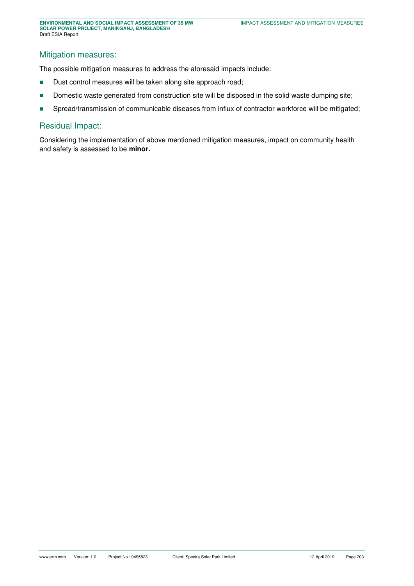# Mitigation measures:

The possible mitigation measures to address the aforesaid impacts include:

- Dust control measures will be taken along site approach road;
- Domestic waste generated from construction site will be disposed in the solid waste dumping site;
- **Spread/transmission of communicable diseases from influx of contractor workforce will be mitigated;**

#### Residual Impact:

Considering the implementation of above mentioned mitigation measures, impact on community health and safety is assessed to be **minor.**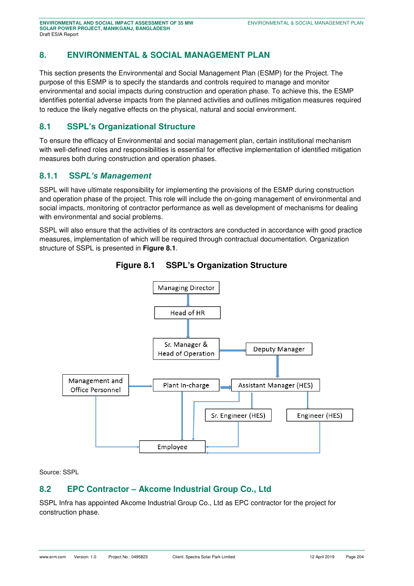# **8. ENVIRONMENTAL & SOCIAL MANAGEMENT PLAN**

This section presents the Environmental and Social Management Plan (ESMP) for the Project. The purpose of this ESMP is to specify the standards and controls required to manage and monitor environmental and social impacts during construction and operation phase. To achieve this, the ESMP identifies potential adverse impacts from the planned activities and outlines mitigation measures required to reduce the likely negative effects on the physical, natural and social environment.

# **8.1 SSPL's Organizational Structure**

To ensure the efficacy of Environmental and social management plan, certain institutional mechanism with well-defined roles and responsibilities is essential for effective implementation of identified mitigation measures both during construction and operation phases.

## **8.1.1 SS***PL's Management*

SSPL will have ultimate responsibility for implementing the provisions of the ESMP during construction and operation phase of the project. This role will include the on-going management of environmental and social impacts, monitoring of contractor performance as well as development of mechanisms for dealing with environmental and social problems.

SSPL will also ensure that the activities of its contractors are conducted in accordance with good practice measures, implementation of which will be required through contractual documentation. Organization structure of SSPL is presented in **[Figure 8.1](#page-46-0)**.

<span id="page-46-0"></span>



Source: SSPL

## **8.2 EPC Contractor – Akcome Industrial Group Co., Ltd**

SSPL Infra has appointed Akcome Industrial Group Co., Ltd as EPC contractor for the project for construction phase.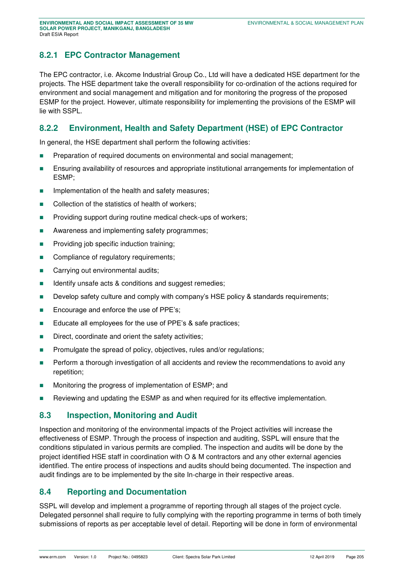## **8.2.1 EPC Contractor Management**

The EPC contractor, i.e. Akcome Industrial Group Co., Ltd will have a dedicated HSE department for the projects. The HSE department take the overall responsibility for co-ordination of the actions required for environment and social management and mitigation and for monitoring the progress of the proposed ESMP for the project. However, ultimate responsibility for implementing the provisions of the ESMP will lie with SSPL.

## **8.2.2 Environment, Health and Safety Department (HSE) of EPC Contractor**

In general, the HSE department shall perform the following activities:

- **Preparation of required documents on environmental and social management;**
- **Ensuring availability of resources and appropriate institutional arrangements for implementation of** ESMP;
- **IMPLEMENTER IMPLEMENTATION IN A THE MEASURE:** Implementation of the health and safety measures;
- Collection of the statistics of health of workers;
- **Providing support during routine medical check-ups of workers;**
- **Awareness and implementing safety programmes;**
- **Providing job specific induction training;**
- Compliance of regulatory requirements;
- **Carrying out environmental audits;**
- Identify unsafe acts & conditions and suggest remedies;
- Develop safety culture and comply with company's HSE policy & standards requirements;
- Encourage and enforce the use of PPE's;
- Educate all employees for the use of PPE's & safe practices;
- Direct, coordinate and orient the safety activities;
- **Promulgate the spread of policy, objectives, rules and/or regulations;**
- **Perform a thorough investigation of all accidents and review the recommendations to avoid any** repetition;
- **Monitoring the progress of implementation of ESMP; and**
- Reviewing and updating the ESMP as and when required for its effective implementation.

#### **8.3 Inspection, Monitoring and Audit**

Inspection and monitoring of the environmental impacts of the Project activities will increase the effectiveness of ESMP. Through the process of inspection and auditing, SSPL will ensure that the conditions stipulated in various permits are complied. The inspection and audits will be done by the project identified HSE staff in coordination with O & M contractors and any other external agencies identified. The entire process of inspections and audits should being documented. The inspection and audit findings are to be implemented by the site In-charge in their respective areas.

## **8.4 Reporting and Documentation**

SSPL will develop and implement a programme of reporting through all stages of the project cycle. Delegated personnel shall require to fully complying with the reporting programme in terms of both timely submissions of reports as per acceptable level of detail. Reporting will be done in form of environmental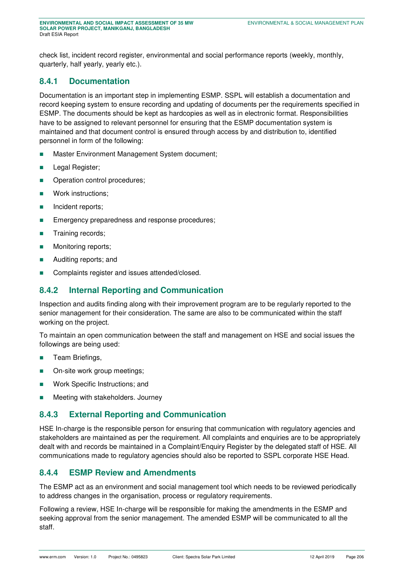check list, incident record register, environmental and social performance reports (weekly, monthly, quarterly, half yearly, yearly etc.).

## **8.4.1 Documentation**

Documentation is an important step in implementing ESMP. SSPL will establish a documentation and record keeping system to ensure recording and updating of documents per the requirements specified in ESMP. The documents should be kept as hardcopies as well as in electronic format. Responsibilities have to be assigned to relevant personnel for ensuring that the ESMP documentation system is maintained and that document control is ensured through access by and distribution to, identified personnel in form of the following:

- Master Environment Management System document;
- **Legal Register;**
- **Dearation control procedures;**
- **Nork instructions;**
- **Incident reports;**
- **Emergency preparedness and response procedures;**
- **Training records;**
- **Monitoring reports;**
- **Auditing reports; and**
- Complaints register and issues attended/closed.

## **8.4.2 Internal Reporting and Communication**

Inspection and audits finding along with their improvement program are to be regularly reported to the senior management for their consideration. The same are also to be communicated within the staff working on the project.

To maintain an open communication between the staff and management on HSE and social issues the followings are being used:

- **Team Briefings,**
- On-site work group meetings;
- **Nork Specific Instructions; and**
- **Meeting with stakeholders. Journey**

## **8.4.3 External Reporting and Communication**

HSE In-charge is the responsible person for ensuring that communication with regulatory agencies and stakeholders are maintained as per the requirement. All complaints and enquiries are to be appropriately dealt with and records be maintained in a Complaint/Enquiry Register by the delegated staff of HSE. All communications made to regulatory agencies should also be reported to SSPL corporate HSE Head.

#### **8.4.4 ESMP Review and Amendments**

The ESMP act as an environment and social management tool which needs to be reviewed periodically to address changes in the organisation, process or regulatory requirements.

Following a review, HSE In-charge will be responsible for making the amendments in the ESMP and seeking approval from the senior management. The amended ESMP will be communicated to all the staff.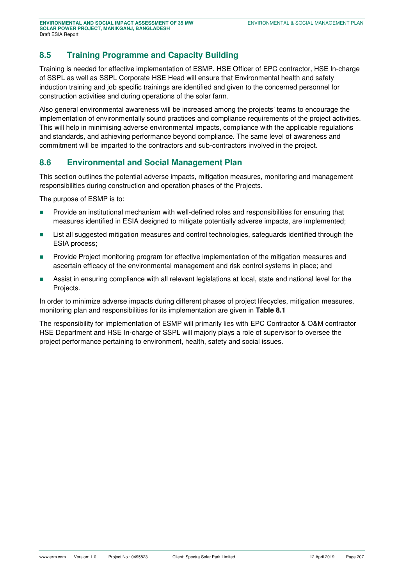# **8.5 Training Programme and Capacity Building**

Training is needed for effective implementation of ESMP. HSE Officer of EPC contractor, HSE In-charge of SSPL as well as SSPL Corporate HSE Head will ensure that Environmental health and safety induction training and job specific trainings are identified and given to the concerned personnel for construction activities and during operations of the solar farm.

Also general environmental awareness will be increased among the projects' teams to encourage the implementation of environmentally sound practices and compliance requirements of the project activities. This will help in minimising adverse environmental impacts, compliance with the applicable regulations and standards, and achieving performance beyond compliance. The same level of awareness and commitment will be imparted to the contractors and sub-contractors involved in the project.

## **8.6 Environmental and Social Management Plan**

This section outlines the potential adverse impacts, mitigation measures, monitoring and management responsibilities during construction and operation phases of the Projects.

The purpose of ESMP is to:

- Provide an institutional mechanism with well-defined roles and responsibilities for ensuring that measures identified in ESIA designed to mitigate potentially adverse impacts, are implemented;
- List all suggested mitigation measures and control technologies, safeguards identified through the ESIA process;
- **Provide Project monitoring program for effective implementation of the mitigation measures and** ascertain efficacy of the environmental management and risk control systems in place; and
- Assist in ensuring compliance with all relevant legislations at local, state and national level for the Projects.

In order to minimize adverse impacts during different phases of project lifecycles, mitigation measures, monitoring plan and responsibilities for its implementation are given in **[Table 8.1](#page-50-0)**

The responsibility for implementation of ESMP will primarily lies with EPC Contractor & O&M contractor HSE Department and HSE In-charge of SSPL will majorly plays a role of supervisor to oversee the project performance pertaining to environment, health, safety and social issues.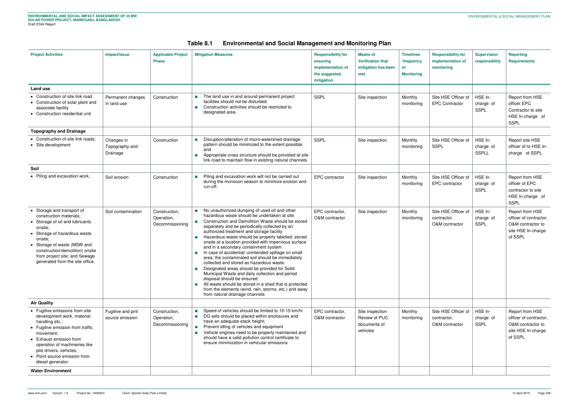| Table 8.1 | <b>Environmental and Social Management and Monitoring Plan</b> |  |
|-----------|----------------------------------------------------------------|--|
|           |                                                                |  |

<span id="page-50-0"></span>

| <b>Project Activities</b>                                                                                                                                                                                                                                                            | Impact/Issue                             | <b>Applicable Project</b><br><b>Phase</b>      | <b>Mitigation Measures</b>                                                                                                                                                                                                                                                                                                                                                                                                                                                                                                                                                                                                                                                                                                                                                                                                                                                                                                                                          | <b>Responsibility for</b><br>ensuring<br>implementation of<br>the suggested<br>mitigation | <b>Means of</b><br><b>Verification that</b><br>mitigation has been<br>met | <b>Timelines</b><br>/frequency<br>of<br><b>Monitoring</b> | <b>Responsibility for</b><br>implementation of<br>monitoring | <b>Supervision</b><br>responsibility | <b>Reporting</b><br><b>Requirements</b>                                                         |
|--------------------------------------------------------------------------------------------------------------------------------------------------------------------------------------------------------------------------------------------------------------------------------------|------------------------------------------|------------------------------------------------|---------------------------------------------------------------------------------------------------------------------------------------------------------------------------------------------------------------------------------------------------------------------------------------------------------------------------------------------------------------------------------------------------------------------------------------------------------------------------------------------------------------------------------------------------------------------------------------------------------------------------------------------------------------------------------------------------------------------------------------------------------------------------------------------------------------------------------------------------------------------------------------------------------------------------------------------------------------------|-------------------------------------------------------------------------------------------|---------------------------------------------------------------------------|-----------------------------------------------------------|--------------------------------------------------------------|--------------------------------------|-------------------------------------------------------------------------------------------------|
| Land use                                                                                                                                                                                                                                                                             |                                          |                                                |                                                                                                                                                                                                                                                                                                                                                                                                                                                                                                                                                                                                                                                                                                                                                                                                                                                                                                                                                                     |                                                                                           |                                                                           |                                                           |                                                              |                                      |                                                                                                 |
| • Construction of site link road<br>• Construction of solar plant and<br>associate facility<br>• Construction residential unit                                                                                                                                                       | Permanent changes<br>in land use         | Construction                                   | The land use in and around permanent project<br>facilities should not be disturbed.<br>Construction activities should be restricted to<br>$\mathcal{L}_{\mathcal{A}}$<br>designated area.                                                                                                                                                                                                                                                                                                                                                                                                                                                                                                                                                                                                                                                                                                                                                                           | <b>SSPL</b>                                                                               | Site inspection                                                           | Monthly<br>monitoring                                     | Site HSE Officer of<br><b>EPC Contractor</b>                 | HSE In-<br>charge of<br>SSPL         | Report from HSE<br>officer EPC<br>Contractor to site<br>HSE In-charge of<br><b>SSPL</b>         |
| <b>Topography and Drainage</b>                                                                                                                                                                                                                                                       |                                          |                                                |                                                                                                                                                                                                                                                                                                                                                                                                                                                                                                                                                                                                                                                                                                                                                                                                                                                                                                                                                                     |                                                                                           |                                                                           |                                                           |                                                              |                                      |                                                                                                 |
| • Construction of site link roads;<br>• Site development                                                                                                                                                                                                                             | Changes in<br>Topography and<br>Drainage | Construction                                   | Disruption/alteration of micro-watershed drainage<br>pattern should be minimized to the extent possible;<br>and<br>Appropriate cross structure should be provided at site<br>T.<br>link road to maintain flow in existing natural channels                                                                                                                                                                                                                                                                                                                                                                                                                                                                                                                                                                                                                                                                                                                          | SSPL                                                                                      | Site inspection                                                           | Monthly<br>monitoring                                     | Site HSE Officer of<br><b>SSPL</b>                           | HSE In-<br>charge of<br>SSPLL        | Report site HSE<br>officer of to HSE In-<br>charge of SSPL                                      |
| Soil                                                                                                                                                                                                                                                                                 |                                          |                                                |                                                                                                                                                                                                                                                                                                                                                                                                                                                                                                                                                                                                                                                                                                                                                                                                                                                                                                                                                                     |                                                                                           |                                                                           |                                                           |                                                              |                                      |                                                                                                 |
| • Piling and excavation work.                                                                                                                                                                                                                                                        | Soil erosion                             | Construction                                   | Piling and excavation work will not be carried out<br>during the monsoon season to minimize erosion and<br>run-off.                                                                                                                                                                                                                                                                                                                                                                                                                                                                                                                                                                                                                                                                                                                                                                                                                                                 | EPC contractor                                                                            | Site inspection                                                           | Monthly<br>monitoring                                     | Site HSE Officer of<br>EPC contractor                        | HSE In-<br>charge of<br>SSPL         | Report from HSE<br>officer of EPC<br>contractor to site<br>HSE In-charge of<br><b>SSPL</b>      |
| • Storage and transport of<br>construction materials:<br>• Storage of oil and lubricants<br>onsite;<br>• Storage of hazardous waste<br>onsite;<br>• Storage of waste (MSW and<br>construction/demolition) onsite<br>from project site; and Sewage<br>generated from the site office. | Soil contamination                       | Construction,<br>Operation,<br>Decommissioning | No unauthorized dumping of used oil and other<br>$\mathcal{L}_{\mathcal{A}}$<br>hazardous waste should be undertaken at site.<br>Construction and Demolition Waste should be stored<br>$\mathcal{L}_{\mathcal{A}}$<br>separately and be periodically collected by an<br>authorized treatment and storage facility<br>Hazardous waste should be properly labelled, stored<br>$\sim 1$<br>onsite at a location provided with impervious surface<br>and in a secondary containment system<br>In case of accidental/ unintended spillage on small<br><b>The Co</b><br>area, the contaminated soil should be immediately<br>collected and stored as hazardous waste.<br>Designated areas should be provided for Solid<br>Municipal Waste and daily collection and period<br>disposal should be ensured<br>All waste should be stored in a shed that is protected<br>$\sim 10$<br>from the elements (wind, rain, storms, etc.) and away<br>from natural drainage channels | EPC contractor,<br>O&M contractor                                                         | Site inspection                                                           | Monthly<br>monitoring                                     | Site HSE Officer of<br>contractor,<br>O&M contractor         | HSE In-<br>charge of<br>SSPL         | Report from HSE<br>officer of contractor,<br>O&M contractor to<br>site HSE In-charge<br>of SSPL |
| <b>Air Quality</b>                                                                                                                                                                                                                                                                   |                                          |                                                |                                                                                                                                                                                                                                                                                                                                                                                                                                                                                                                                                                                                                                                                                                                                                                                                                                                                                                                                                                     |                                                                                           |                                                                           |                                                           |                                                              |                                      |                                                                                                 |
| • Fugitive emissions from site<br>development work, material<br>handling etc.;<br>• Fugitive emission from traffic<br>movement;<br>• Exhaust emission from<br>operation of machineries like<br>pile drivers, vehicles;<br>• Point source emission from<br>diesel generator.          | Fugitive and pint<br>source emission     | Construction,<br>Operation,<br>Decommissioning | Speed of vehicles should be limited to 10-15 km/hr<br>■ DG sets should be placed within enclosures and<br>have an adequate stack height;<br>Prevent idling of vehicles and equipment<br>$\mathcal{H}^{\mathcal{A}}$<br>Vehicle engines need to be properly maintained and<br>should have a valid pollution control certificate to<br>ensure minimization in vehicular emissions                                                                                                                                                                                                                                                                                                                                                                                                                                                                                                                                                                                     | EPC contractor,<br>O&M contractor                                                         | Site inspection<br>Review of PUC<br>documents of<br>vehicles              | Monthly<br>monitoring                                     | Site HSE Officer of<br>contractor,<br>O&M contractor         | HSE In-<br>charge of<br>SSPL         | Report from HSE<br>officer of contractor,<br>O&M contractor to<br>site HSE In-charge<br>of SSPL |
| <b>Water Environment</b>                                                                                                                                                                                                                                                             |                                          |                                                |                                                                                                                                                                                                                                                                                                                                                                                                                                                                                                                                                                                                                                                                                                                                                                                                                                                                                                                                                                     |                                                                                           |                                                                           |                                                           |                                                              |                                      |                                                                                                 |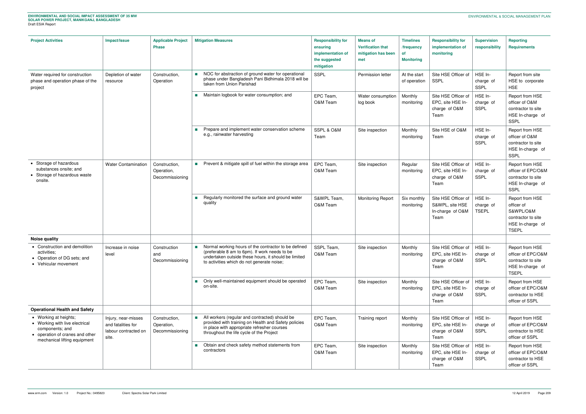| <b>Project Activities</b>                                                                                                                     | Impact/Issue                                                               | <b>Applicable Project</b><br><b>Phase</b>      | <b>Mitigation Measures</b>                                                                                                                                                                                  | <b>Responsibility for</b><br>ensuring<br>implementation of<br>the suggested<br>mitigation | <b>Means of</b><br><b>Verification that</b><br>mitigation has been<br>met | <b>Timelines</b><br>/frequency<br><b>of</b><br><b>Monitoring</b>  | <b>Responsibility for</b><br>implementation of<br>monitoring       | <b>Supervision</b><br>responsibility                                                       | <b>Reporting</b><br><b>Requirements</b>                                                              |
|-----------------------------------------------------------------------------------------------------------------------------------------------|----------------------------------------------------------------------------|------------------------------------------------|-------------------------------------------------------------------------------------------------------------------------------------------------------------------------------------------------------------|-------------------------------------------------------------------------------------------|---------------------------------------------------------------------------|-------------------------------------------------------------------|--------------------------------------------------------------------|--------------------------------------------------------------------------------------------|------------------------------------------------------------------------------------------------------|
| Water required for construction<br>phase and operation phase of the<br>project                                                                | Depletion of water<br>resource                                             | Construction,<br>Operation                     | NOC for abstraction of ground water for operational<br>phase under Bangladesh Pani Bidhimala 2018 will be<br>taken from Union Parishad                                                                      | <b>SSPL</b>                                                                               | Permission letter                                                         | At the start<br>of operation                                      | Site HSE Officer of<br><b>SSPL</b>                                 | HSE In-<br>charge of<br>SSPL                                                               | Report from site<br>HSE to corporate<br><b>HSE</b>                                                   |
|                                                                                                                                               |                                                                            | Maintain logbook for water consumption; and    | EPC Team,<br>O&M Team                                                                                                                                                                                       | Water consumption<br>log book                                                             | Monthly<br>monitoring                                                     | Site HSE Officer of<br>EPC, site HSE In-<br>charge of O&M<br>Team | HSE In-<br>charge of<br>SSPL                                       | Report from HSE<br>officer of O&M<br>contractor to site<br>HSE In-charge of<br><b>SSPL</b> |                                                                                                      |
|                                                                                                                                               |                                                                            |                                                | Prepare and implement water conservation scheme<br>e.g., rainwater harvesting                                                                                                                               | SSPL & O&M<br>Team                                                                        | Site inspection                                                           | Monthly<br>monitoring                                             | Site HSE of O&M<br>Team                                            | HSE In-<br>charge of<br>SSPL                                                               | Report from HSE<br>officer of O&M<br>contractor to site<br>HSE In-charge of<br><b>SSPL</b>           |
| • Storage of hazardous<br>substances onsite; and<br>• Storage of hazardous waste<br>onsite.                                                   | <b>Water Contamination</b>                                                 | Construction,<br>Operation,<br>Decommissioning | Prevent & mitigate spill of fuel within the storage area                                                                                                                                                    | EPC Team,<br>O&M Team                                                                     | Site inspection                                                           | Regular<br>monitoring                                             | Site HSE Officer of<br>EPC, site HSE In-<br>charge of O&M<br>Team  | HSE In-<br>charge of<br>SSPL                                                               | Report from HSE<br>officer of EPC/O&M<br>contractor to site<br>HSE In-charge of<br><b>SSPL</b>       |
|                                                                                                                                               |                                                                            |                                                | Regularly monitored the surface and ground water<br>quality                                                                                                                                                 | S&WPL Team,<br>O&M Team                                                                   | <b>Monitoring Report</b>                                                  | Six monthly<br>monitoring                                         | Site HSE Officer of<br>S&WPL, site HSE<br>In-charge of O&M<br>Team | HSE In-<br>charge of<br><b>TSEPL</b>                                                       | Report from HSE<br>officer of<br>S&WPL/O&M<br>contractor to site<br>HSE In-charge of<br><b>TSEPL</b> |
| <b>Noise quality</b>                                                                                                                          |                                                                            |                                                |                                                                                                                                                                                                             |                                                                                           |                                                                           |                                                                   |                                                                    |                                                                                            |                                                                                                      |
| • Construction and demolition<br>activities;<br>• Operation of DG sets; and<br>• Vehicular movement                                           | Increase in noise<br>level                                                 | Construction<br>and<br>Decommissioning         | Normal working hours of the contractor to be defined<br>(preferable 8 am to 6pm). If work needs to be<br>undertaken outside these hours, it should be limited<br>to activities which do not generate noise; | SSPL Team,<br>O&M Team                                                                    | Site inspection                                                           | Monthly<br>monitoring                                             | Site HSE Officer of<br>EPC, site HSE In-<br>charge of O&M<br>Team  | HSE In-<br>charge of<br>SSPL                                                               | Report from HSE<br>officer of EPC/O&M<br>contractor to site<br>HSE In-charge of<br><b>TSEPL</b>      |
|                                                                                                                                               |                                                                            |                                                | Only well-maintained equipment should be operated<br>on-site.                                                                                                                                               | EPC Team,<br>O&M Team                                                                     | Site inspection                                                           | Monthly<br>monitoring                                             | Site HSE Officer of<br>EPC, site HSE In-<br>charge of O&M<br>Team  | HSE In-<br>charge of<br>SSPL                                                               | Report from HSE<br>officer of EPC/O&M<br>contractor to HSE<br>officer of SSPL                        |
| <b>Operational Health and Safety</b>                                                                                                          |                                                                            |                                                |                                                                                                                                                                                                             |                                                                                           |                                                                           |                                                                   |                                                                    |                                                                                            |                                                                                                      |
| • Working at heights;<br>• Working with live electrical<br>components; and<br>• operation of cranes and other<br>mechanical lifting equipment | Injury, near-misses<br>and fatalities for<br>labour contracted on<br>site. | Construction,<br>Operation,<br>Decommissioning | All workers (regular and contracted) should be<br>provided with training on Health and Safety policies<br>in place with appropriate refresher courses<br>throughout the life cycle of the Project           | EPC Team,<br>O&M Team                                                                     | Training report                                                           | Monthly<br>monitoring                                             | Site HSE Officer of<br>EPC, site HSE In-<br>charge of O&M<br>Team  | HSE In-<br>charge of<br>SSPL                                                               | Report from HSE<br>officer of EPC/O&M<br>contractor to HSE<br>officer of SSPL                        |
|                                                                                                                                               |                                                                            |                                                | Obtain and check safety method statements from<br>contractors                                                                                                                                               | EPC Team,<br>O&M Team                                                                     | Site inspection                                                           | Monthly<br>monitoring                                             | Site HSE Officer of<br>EPC, site HSE In-<br>charge of O&M<br>Team  | HSE In-<br>charge of<br>SSPL                                                               | Report from HSE<br>officer of EPC/O&M<br>contractor to HSE<br>officer of SSPL                        |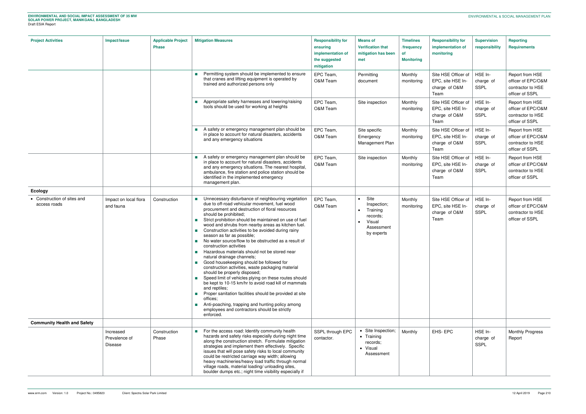| <b>Project Activities</b>                   | Impact/Issue                          | <b>Applicable Project</b><br><b>Phase</b> | <b>Mitigation Measures</b>                                                                                                                                                                                                                                                                                                                                                                                                                                                                                                                                                                                                                                                                                                                                                                                                                                                                                                                                                                                                                                                      | <b>Responsibility for</b><br>ensuring<br>implementation of<br>the suggested<br>mitigation | <b>Means of</b><br><b>Verification that</b><br>mitigation has been<br>met                      | <b>Timelines</b><br>/frequency<br><b>of</b><br><b>Monitoring</b> | <b>Responsibility for</b><br>implementation of<br>monitoring      | <b>Supervision</b><br>responsibility | <b>Reporting</b><br><b>Requirements</b>                                       |
|---------------------------------------------|---------------------------------------|-------------------------------------------|---------------------------------------------------------------------------------------------------------------------------------------------------------------------------------------------------------------------------------------------------------------------------------------------------------------------------------------------------------------------------------------------------------------------------------------------------------------------------------------------------------------------------------------------------------------------------------------------------------------------------------------------------------------------------------------------------------------------------------------------------------------------------------------------------------------------------------------------------------------------------------------------------------------------------------------------------------------------------------------------------------------------------------------------------------------------------------|-------------------------------------------------------------------------------------------|------------------------------------------------------------------------------------------------|------------------------------------------------------------------|-------------------------------------------------------------------|--------------------------------------|-------------------------------------------------------------------------------|
|                                             |                                       |                                           | Permitting system should be implemented to ensure<br>that cranes and lifting equipment is operated by<br>trained and authorized persons only                                                                                                                                                                                                                                                                                                                                                                                                                                                                                                                                                                                                                                                                                                                                                                                                                                                                                                                                    | EPC Team,<br>O&M Team                                                                     | Permitting<br>document                                                                         | Monthly<br>monitoring                                            | Site HSE Officer of<br>EPC, site HSE In-<br>charge of O&M<br>Team | HSE In-<br>charge of<br>SSPL         | Report from HSE<br>officer of EPC/O&M<br>contractor to HSE<br>officer of SSPL |
|                                             |                                       |                                           | Appropriate safety harnesses and lowering/raising<br>tools should be used for working at heights                                                                                                                                                                                                                                                                                                                                                                                                                                                                                                                                                                                                                                                                                                                                                                                                                                                                                                                                                                                | EPC Team,<br>O&M Team                                                                     | Site inspection                                                                                | Monthly<br>monitoring                                            | Site HSE Officer of<br>EPC, site HSE In-<br>charge of O&M<br>Team | HSE In-<br>charge of<br>SSPL         | Report from HSE<br>officer of EPC/O&M<br>contractor to HSE<br>officer of SSPL |
|                                             |                                       |                                           | A safety or emergency management plan should be<br>in place to account for natural disasters, accidents<br>and any emergency situations                                                                                                                                                                                                                                                                                                                                                                                                                                                                                                                                                                                                                                                                                                                                                                                                                                                                                                                                         | EPC Team,<br>O&M Team                                                                     | Site specific<br>Emergency<br>Management Plan                                                  | Monthly<br>monitoring                                            | Site HSE Officer of<br>EPC, site HSE In-<br>charge of O&M<br>Team | HSE In-<br>charge of<br>SSPL         | Report from HSE<br>officer of EPC/O&M<br>contractor to HSE<br>officer of SSPL |
|                                             |                                       |                                           | A safety or emergency management plan should be<br>$\mathcal{L}_{\mathcal{A}}$<br>in place to account for natural disasters, accidents<br>and any emergency situations. The nearest hospital,<br>ambulance, fire station and police station should be<br>identified in the implemented emergency<br>management plan.                                                                                                                                                                                                                                                                                                                                                                                                                                                                                                                                                                                                                                                                                                                                                            | EPC Team,<br>O&M Team                                                                     | Site inspection                                                                                | Monthly<br>monitoring                                            | Site HSE Officer of<br>EPC, site HSE In-<br>charge of O&M<br>Team | HSE In-<br>charge of<br>SSPL         | Report from HSE<br>officer of EPC/O&M<br>contractor to HSE<br>officer of SSPL |
| <b>Ecology</b>                              |                                       |                                           |                                                                                                                                                                                                                                                                                                                                                                                                                                                                                                                                                                                                                                                                                                                                                                                                                                                                                                                                                                                                                                                                                 |                                                                                           |                                                                                                |                                                                  |                                                                   |                                      |                                                                               |
| • Construction of sites and<br>access roads | Impact on local flora<br>and fauna    | Construction                              | Unnecessary disturbance of neighbouring vegetation<br><b>The Contract of State</b><br>due to off-road vehicular movement, fuel wood<br>procurement and destruction of floral resources<br>should be prohibited;<br>Strict prohibition should be maintained on use of fuel<br>wood and shrubs from nearby areas as kitchen fuel.<br>Construction activities to be avoided during rainy<br>season as far as possible;<br>No water source/flow to be obstructed as a result of<br>$\mathcal{L}_{\mathcal{A}}$<br>construction activities<br>Hazardous materials should not be stored near<br>natural drainage channels;<br>Good housekeeping should be followed for<br>construction activities, waste packaging material<br>should be properly disposed;<br>Speed limit of vehicles plying on these routes should<br>be kept to 10-15 km/hr to avoid road kill of mammals<br>and reptiles;<br>Proper sanitation facilities should be provided at site<br>offices:<br>Anti-poaching, trapping and hunting policy among<br>employees and contractors should be strictly<br>enforced. | EPC Team,<br>O&M Team                                                                     | Site<br>$\bullet$<br>Inspection;<br>Training<br>records;<br>Visual<br>Assessment<br>by experts | Monthly<br>monitoring                                            | Site HSE Officer of<br>EPC, site HSE In-<br>charge of O&M<br>Team | HSE In-<br>charge of<br>SSPL         | Report from HSE<br>officer of EPC/O&M<br>contractor to HSE<br>officer of SSPL |
| <b>Community Health and Safety</b>          |                                       |                                           |                                                                                                                                                                                                                                                                                                                                                                                                                                                                                                                                                                                                                                                                                                                                                                                                                                                                                                                                                                                                                                                                                 |                                                                                           |                                                                                                |                                                                  |                                                                   |                                      |                                                                               |
|                                             | Increased<br>Prevalence of<br>Disease | Construction<br>Phase                     | For the access road: Identify community health<br>hazards and safety risks especially during night time<br>along the construction stretch. Formulate mitigation<br>strategies and implement them effectively. Specific<br>issues that will pose safety risks to local community<br>could be restricted carriage way width; allowing<br>heavy machineries/heavy load traffic through normal<br>village roads, material loading/ unloading sites,<br>boulder dumps etc.; night time visibility especially if                                                                                                                                                                                                                                                                                                                                                                                                                                                                                                                                                                      | SSPL through EPC<br>contactor.                                                            | • Site Inspection;<br>• Training<br>records;<br>• Visual<br>Assessment                         | Monthly                                                          | EHS-EPC                                                           | HSE In-<br>charge of<br>SSPL         | <b>Monthly Progress</b><br>Report                                             |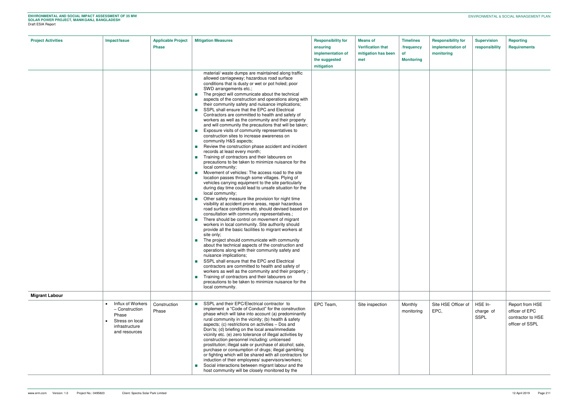| <b>Project Activities</b> | Impact/Issue                                                                                                    | <b>Applicable Project</b><br><b>Phase</b> | <b>Mitigation Measures</b>                                                                                                                                                                                                                                                                                                                                                                                                                                                                                                                                                                                                                                                                                                                                                                                                                                                                                                                                                                                                                                                                                                                                                                                                                                                                                                                                                                                                                                                                                                                                                                                                                                                                                                                                                                                                                                                                                                                                                                                                                                                                                                | <b>Responsibility for</b><br>ensuring<br>implementation of<br>the suggested<br>mitigation | <b>Means of</b><br><b>Verification that</b><br>mitigation has been<br>met | <b>Timelines</b><br>/frequency<br><b>of</b><br><b>Monitoring</b> | <b>Responsibility for</b><br>implementation of<br>monitoring | <b>Supervision</b><br>responsibility | <b>Reporting</b><br>Requirements                                          |
|---------------------------|-----------------------------------------------------------------------------------------------------------------|-------------------------------------------|---------------------------------------------------------------------------------------------------------------------------------------------------------------------------------------------------------------------------------------------------------------------------------------------------------------------------------------------------------------------------------------------------------------------------------------------------------------------------------------------------------------------------------------------------------------------------------------------------------------------------------------------------------------------------------------------------------------------------------------------------------------------------------------------------------------------------------------------------------------------------------------------------------------------------------------------------------------------------------------------------------------------------------------------------------------------------------------------------------------------------------------------------------------------------------------------------------------------------------------------------------------------------------------------------------------------------------------------------------------------------------------------------------------------------------------------------------------------------------------------------------------------------------------------------------------------------------------------------------------------------------------------------------------------------------------------------------------------------------------------------------------------------------------------------------------------------------------------------------------------------------------------------------------------------------------------------------------------------------------------------------------------------------------------------------------------------------------------------------------------------|-------------------------------------------------------------------------------------------|---------------------------------------------------------------------------|------------------------------------------------------------------|--------------------------------------------------------------|--------------------------------------|---------------------------------------------------------------------------|
|                           |                                                                                                                 |                                           | material/ waste dumps are maintained along traffic<br>allowed carriageway; hazardous road surface<br>conditions that is dusty or wet or pot holed; poor<br>SWD arrangements etc.;<br>The project will communicate about the technical<br>$\mathcal{L}^{\text{max}}$<br>aspects of the construction and operations along with<br>their community safety and nuisance implications;<br>SSPL shall ensure that the EPC and Electrical<br>Contractors are committed to health and safety of<br>workers as well as the community and their property<br>and will community the precautions that will be taken;<br>Exposure visits of community representatives to<br>construction sites to increase awareness on<br>community H&S aspects;<br>Review the construction phase accident and incident<br>$\sim 1$<br>records at least every month;<br>Training of contractors and their labourers on<br>precautions to be taken to minimize nuisance for the<br>local community;<br>Movement of vehicles: The access road to the site<br>location passes through some villages. Plying of<br>vehicles carrying equipment to the site particularly<br>during day time could lead to unsafe situation for the<br>local community;<br>Other safety measure like provision for night time<br>visibility at accident prone areas, repair hazardous<br>road surface conditions etc. should devised based on<br>consultation with community representatives.;<br>There should be control on movement of migrant<br>workers in local community. Site authority should<br>provide all the basic facilities to migrant workers at<br>site only;<br>The project should communicate with community<br>about the technical aspects of the construction and<br>operations along with their community safety and<br>nuisance implications;<br>SSPL shall ensure that the EPC and Electrical<br>contractors are committed to health and safety of<br>workers as well as the community and their property;<br>Training of contractors and their labourers on<br>$\sim 1$<br>precautions to be taken to minimize nuisance for the<br>local community. |                                                                                           |                                                                           |                                                                  |                                                              |                                      |                                                                           |
| <b>Migrant Labour</b>     |                                                                                                                 |                                           |                                                                                                                                                                                                                                                                                                                                                                                                                                                                                                                                                                                                                                                                                                                                                                                                                                                                                                                                                                                                                                                                                                                                                                                                                                                                                                                                                                                                                                                                                                                                                                                                                                                                                                                                                                                                                                                                                                                                                                                                                                                                                                                           |                                                                                           |                                                                           |                                                                  |                                                              |                                      |                                                                           |
|                           | Influx of Workers<br>$\bullet$<br>- Construction<br>Phase<br>Stress on local<br>infrastructure<br>and resources | Construction<br>Phase                     | SSPL and their EPC/Electrical contractor to<br>implement a "Code of Conduct" for the construction<br>phase which will take into account (a) predominantly<br>rural community in the vicinity; (b) health & safety<br>aspects; (c) restrictions on activities - Dos and<br>Don'ts; (d) briefing on the local area/immediate<br>vicinity etc. (e) zero tolerance of illegal activities by<br>construction personnel including: unlicensed<br>prostitution; illegal sale or purchase of alcohol; sale,<br>purchase or consumption of drugs; illegal gambling<br>or fighting which will be shared with all contractors for<br>induction of their employees/ supervisors/workers;<br>Social interactions between migrant labour and the<br>host community will be closely monitored by the                                                                                                                                                                                                                                                                                                                                                                                                                                                                                                                                                                                                                                                                                                                                                                                                                                                                                                                                                                                                                                                                                                                                                                                                                                                                                                                                     | EPC Team,                                                                                 | Site inspection                                                           | Monthly<br>monitoring                                            | Site HSE Officer of<br>EPC,                                  | HSE In-<br>charge of<br>SSPL         | Report from HSE<br>officer of EPC<br>contractor to HSE<br>officer of SSPL |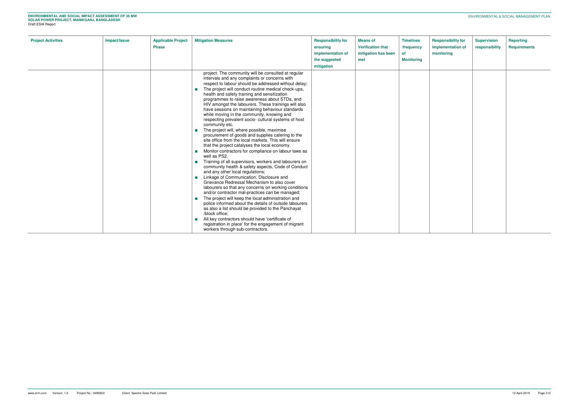| <b>Project Activities</b> | Impact/Issue | <b>Applicable Project</b><br><b>Phase</b> | <b>Mitigation Measures</b>                                                                                                                                                                                                                                                                                                                                                                                                                                                                                                                                                                                                                                                                                                                                                                                                                                                                                                                                                                                                                                                                                                                                                                                                                                                                                                                                                                                                                                                                                                                           | <b>Responsibility for</b><br>ensuring<br>implementation of<br>the suggested<br>mitigation | <b>Means of</b><br><b>Verification that</b><br>mitigation has been<br>met | <b>Timelines</b><br>/frequency<br>0f<br><b>Monitoring</b> | <b>Responsibility for</b><br>implementation of<br>monitoring | <b>Supervision</b><br>responsibility | <b>Reporting</b><br><b>Requirements</b> |
|---------------------------|--------------|-------------------------------------------|------------------------------------------------------------------------------------------------------------------------------------------------------------------------------------------------------------------------------------------------------------------------------------------------------------------------------------------------------------------------------------------------------------------------------------------------------------------------------------------------------------------------------------------------------------------------------------------------------------------------------------------------------------------------------------------------------------------------------------------------------------------------------------------------------------------------------------------------------------------------------------------------------------------------------------------------------------------------------------------------------------------------------------------------------------------------------------------------------------------------------------------------------------------------------------------------------------------------------------------------------------------------------------------------------------------------------------------------------------------------------------------------------------------------------------------------------------------------------------------------------------------------------------------------------|-------------------------------------------------------------------------------------------|---------------------------------------------------------------------------|-----------------------------------------------------------|--------------------------------------------------------------|--------------------------------------|-----------------------------------------|
|                           |              |                                           | project. The community will be consulted at regular<br>intervals and any complaints or concerns with<br>respect to labour should be addressed without delay;<br>The project will conduct routine medical check-ups,<br>health and safety training and sensitization<br>programmes to raise awareness about STDs, and<br>HIV amongst the labourers. These trainings will also<br>have sessions on maintaining behaviour standards<br>while moving in the community, knowing and<br>respecting prevalent socio- cultural systems of host<br>community etc.<br>The project will, where possible, maximise<br>procurement of goods and supplies catering to the<br>site office from the local markets. This will ensure<br>that the project catalyses the local economy.<br>Monitor contractors for compliance on labour laws as<br>well as PS2.<br>Training of all supervisors, workers and labourers on<br>community health & safety aspects, Code of Conduct<br>and any other local regulations;<br><b>Elinkage of Communication, Disclosure and</b><br>Grievance Redressal Mechanism to also cover<br>labourers so that any concerns on working conditions<br>and/or contractor mal-practices can be managed;<br>The project will keep the local administration and<br>police informed about the details of outside labourers<br>as also a list should be provided to the Panchayat<br>/block office;<br>All key contractors should have 'certificate of<br>registration in place' for the engagement of migrant<br>workers through sub-contractors. |                                                                                           |                                                                           |                                                           |                                                              |                                      |                                         |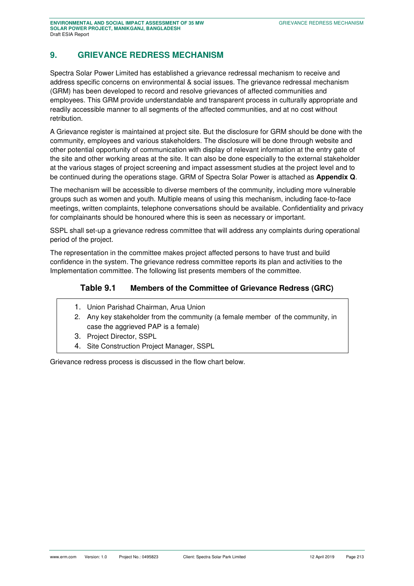# **9. GRIEVANCE REDRESS MECHANISM**

Spectra Solar Power Limited has established a grievance redressal mechanism to receive and address specific concerns on environmental & social issues. The grievance redressal mechanism (GRM) has been developed to record and resolve grievances of affected communities and employees. This GRM provide understandable and transparent process in culturally appropriate and readily accessible manner to all segments of the affected communities, and at no cost without retribution.

A Grievance register is maintained at project site. But the disclosure for GRM should be done with the community, employees and various stakeholders. The disclosure will be done through website and other potential opportunity of communication with display of relevant information at the entry gate of the site and other working areas at the site. It can also be done especially to the external stakeholder at the various stages of project screening and impact assessment studies at the project level and to be continued during the operations stage. GRM of Spectra Solar Power is attached as **Appendix Q**.

The mechanism will be accessible to diverse members of the community, including more vulnerable groups such as women and youth. Multiple means of using this mechanism, including face-to-face meetings, written complaints, telephone conversations should be available. Confidentiality and privacy for complainants should be honoured where this is seen as necessary or important.

SSPL shall set-up a grievance redress committee that will address any complaints during operational period of the project.

The representation in the committee makes project affected persons to have trust and build confidence in the system. The grievance redress committee reports its plan and activities to the Implementation committee. The following list presents members of the committee.

## **Table 9.1 Members of the Committee of Grievance Redress (GRC)**

- 1. Union Parishad Chairman, Arua Union
- 2. Any key stakeholder from the community (a female member of the community, in case the aggrieved PAP is a female)
- 3. Project Director, SSPL
- 4. Site Construction Project Manager, SSPL

Grievance redress process is discussed in the flow chart below.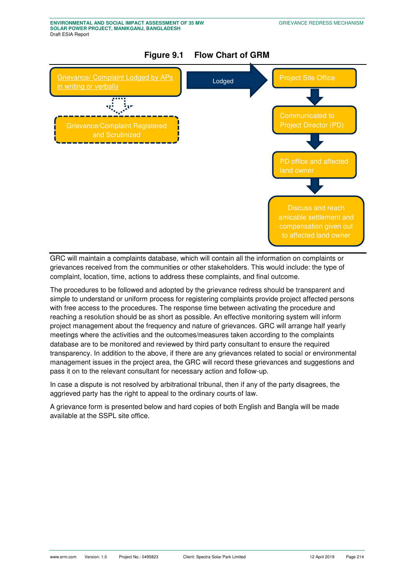

GRC will maintain a complaints database, which will contain all the information on complaints or grievances received from the communities or other stakeholders. This would include: the type of complaint, location, time, actions to address these complaints, and final outcome.

The procedures to be followed and adopted by the grievance redress should be transparent and simple to understand or uniform process for registering complaints provide project affected persons with free access to the procedures. The response time between activating the procedure and reaching a resolution should be as short as possible. An effective monitoring system will inform project management about the frequency and nature of grievances. GRC will arrange half yearly meetings where the activities and the outcomes/measures taken according to the complaints database are to be monitored and reviewed by third party consultant to ensure the required transparency. In addition to the above, if there are any grievances related to social or environmental management issues in the project area, the GRC will record these grievances and suggestions and pass it on to the relevant consultant for necessary action and follow-up.

In case a dispute is not resolved by arbitrational tribunal, then if any of the party disagrees, the aggrieved party has the right to appeal to the ordinary courts of law.

A grievance form is presented below and hard copies of both English and Bangla will be made available at the SSPL site office.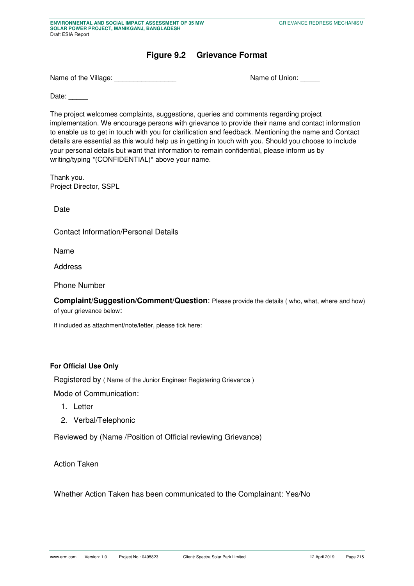# **Figure 9.2 Grievance Format**

Name of the Village: \_\_\_\_\_\_\_\_\_\_\_\_\_\_\_\_ Name of Union: \_\_\_\_\_

Date:

The project welcomes complaints, suggestions, queries and comments regarding project implementation. We encourage persons with grievance to provide their name and contact information to enable us to get in touch with you for clarification and feedback. Mentioning the name and Contact details are essential as this would help us in getting in touch with you. Should you choose to include your personal details but want that information to remain confidential, please inform us by writing/typing \*(CONFIDENTIAL)\* above your name.

Thank you. Project Director, SSPL

Date

Contact Information/Personal Details

Name

Address

Phone Number

**Complaint/Suggestion/Comment/Question**: Please provide the details ( who, what, where and how) of your grievance below:

If included as attachment/note/letter, please tick here:

#### **For Official Use Only**

Registered by ( Name of the Junior Engineer Registering Grievance )

Mode of Communication:

- 1. Letter
- 2. Verbal/Telephonic

Reviewed by (Name /Position of Official reviewing Grievance)

Action Taken

Whether Action Taken has been communicated to the Complainant: Yes/No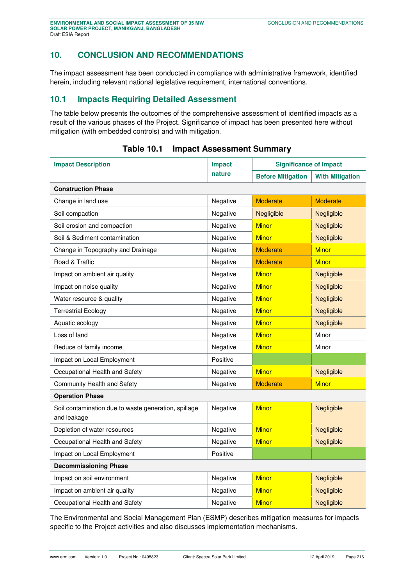## **10. CONCLUSION AND RECOMMENDATIONS**

The impact assessment has been conducted in compliance with administrative framework, identified herein, including relevant national legislative requirement, international conventions.

# **10.1 Impacts Requiring Detailed Assessment**

The table below presents the outcomes of the comprehensive assessment of identified impacts as a result of the various phases of the Project. Significance of impact has been presented here without mitigation (with embedded controls) and with mitigation.

<span id="page-58-0"></span>

| <b>Impact Description</b>                                           | <b>Impact</b> | <b>Significance of Impact</b> |                        |  |  |  |
|---------------------------------------------------------------------|---------------|-------------------------------|------------------------|--|--|--|
|                                                                     | nature        | <b>Before Mitigation</b>      | <b>With Mitigation</b> |  |  |  |
| <b>Construction Phase</b>                                           |               |                               |                        |  |  |  |
| Change in land use                                                  | Negative      | <b>Moderate</b>               | <b>Moderate</b>        |  |  |  |
| Soil compaction                                                     | Negative      | Negligible                    | Negligible             |  |  |  |
| Soil erosion and compaction                                         | Negative      | <b>Minor</b>                  | Negligible             |  |  |  |
| Soil & Sediment contamination                                       | Negative      | <b>Minor</b>                  | Negligible             |  |  |  |
| Change in Topography and Drainage                                   | Negative      | <b>Moderate</b>               | <b>Minor</b>           |  |  |  |
| Road & Traffic                                                      | Negative      | <b>Moderate</b>               | <b>Minor</b>           |  |  |  |
| Impact on ambient air quality                                       | Negative      | <b>Minor</b>                  | Negligible             |  |  |  |
| Impact on noise quality                                             | Negative      | <b>Minor</b>                  | Negligible             |  |  |  |
| Water resource & quality                                            | Negative      | <b>Minor</b>                  | Negligible             |  |  |  |
| <b>Terrestrial Ecology</b>                                          | Negative      | <b>Minor</b>                  | Negligible             |  |  |  |
| Aquatic ecology                                                     | Negative      | <b>Minor</b>                  | Negligible             |  |  |  |
| Loss of land                                                        | Negative      | <b>Minor</b>                  | Minor                  |  |  |  |
| Reduce of family income                                             | Negative      | <b>Minor</b>                  | Minor                  |  |  |  |
| Impact on Local Employment                                          | Positive      |                               |                        |  |  |  |
| Occupational Health and Safety                                      | Negative      | <b>Minor</b>                  | Negligible             |  |  |  |
| Community Health and Safety                                         | Negative      | <b>Moderate</b>               | <b>Minor</b>           |  |  |  |
| <b>Operation Phase</b>                                              |               |                               |                        |  |  |  |
| Soil contamination due to waste generation, spillage<br>and leakage | Negative      | <b>Minor</b>                  | Negligible             |  |  |  |
| Depletion of water resources                                        | Negative      | <b>Minor</b>                  | Negligible             |  |  |  |
| Occupational Health and Safety                                      | Negative      | <b>Minor</b>                  | Negligible             |  |  |  |
| Impact on Local Employment                                          | Positive      |                               |                        |  |  |  |
| <b>Decommissioning Phase</b>                                        |               |                               |                        |  |  |  |
| Impact on soil environment                                          | Negative      | <b>Minor</b>                  | Negligible             |  |  |  |
| Impact on ambient air quality                                       | Negative      | <b>Minor</b>                  | Negligible             |  |  |  |
| Occupational Health and Safety                                      | Negative      | <b>Minor</b>                  | Negligible             |  |  |  |

#### **Table 10.1 Impact Assessment Summary**

The Environmental and Social Management Plan (ESMP) describes mitigation measures for impacts specific to the Project activities and also discusses implementation mechanisms.